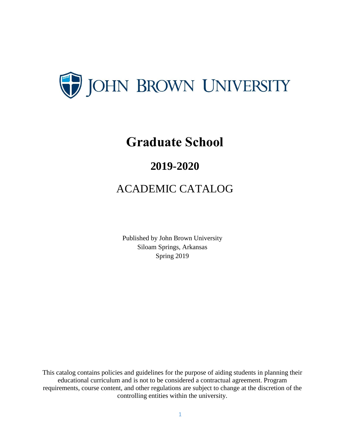

# **Graduate School**

# **2019-2020**

# ACADEMIC CATALOG

Published by John Brown University Siloam Springs, Arkansas Spring 2019

This catalog contains policies and guidelines for the purpose of aiding students in planning their educational curriculum and is not to be considered a contractual agreement. Program requirements, course content, and other regulations are subject to change at the discretion of the controlling entities within the university.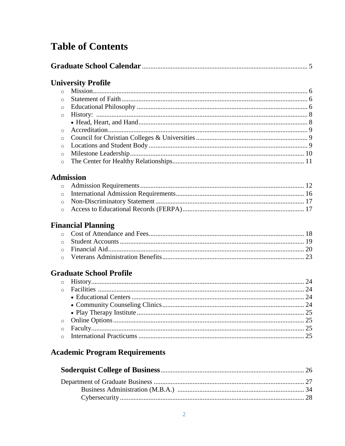# **Table of Contents**

| <b>University Profile</b> |  |
|---------------------------|--|

| $\circ$ |  |
|---------|--|
|         |  |
|         |  |

### **Admission**

# **Financial Planning**

## **Graduate School Profile**

# **Academic Program Requirements**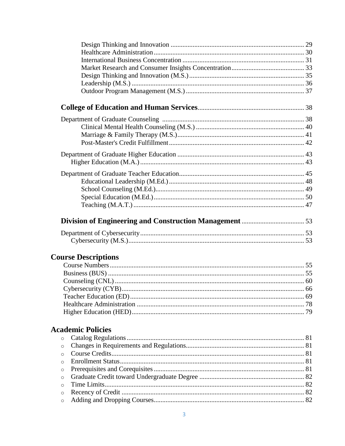| <b>Course Descriptions</b> |  |
|----------------------------|--|
|                            |  |
|                            |  |
|                            |  |

# **Academic Policies**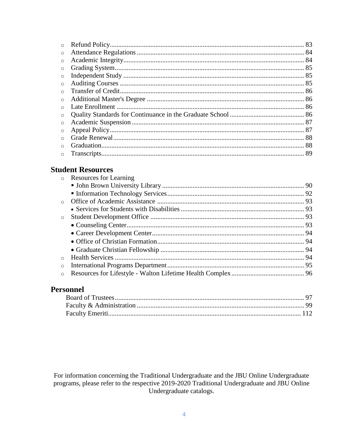| $\circ$ |  |
|---------|--|
|         |  |

## **Student Resources**

| $\circ$ | Resources for Learning |  |
|---------|------------------------|--|
|         |                        |  |
|         |                        |  |
| $\circ$ |                        |  |
|         |                        |  |
| $\circ$ |                        |  |
|         |                        |  |
|         |                        |  |
|         |                        |  |
|         |                        |  |
| $\circ$ |                        |  |
| $\circ$ |                        |  |
| $\circ$ |                        |  |

## Personnel

For information concerning the Traditional Undergraduate and the JBU Online Undergraduate programs, please refer to the respective 2019-2020 Traditional Undergraduate and JBU Online Undergraduate catalogs.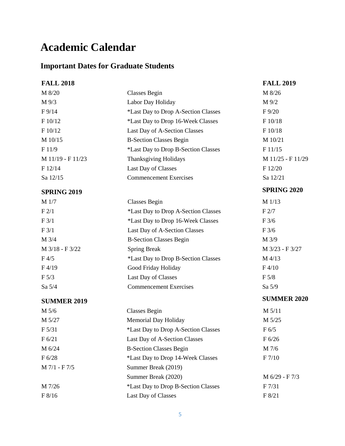# **Academic Calendar**

# **Important Dates for Graduate Students**

| <b>FALL 2018</b>   |                                     | <b>FALL 2019</b>   |
|--------------------|-------------------------------------|--------------------|
| M 8/20             | <b>Classes Begin</b>                | M 8/26             |
| M 9/3              | Labor Day Holiday                   | M 9/2              |
| F9/14              | *Last Day to Drop A-Section Classes | $F\,9/20$          |
| F 10/12            | *Last Day to Drop 16-Week Classes   | F 10/18            |
| F 10/12            | Last Day of A-Section Classes       | F 10/18            |
| M 10/15            | <b>B-Section Classes Begin</b>      | M 10/21            |
| F11/9              | *Last Day to Drop B-Section Classes | F11/15             |
| M 11/19 - F 11/23  | Thanksgiving Holidays               | M 11/25 - F 11/29  |
| F 12/14            | Last Day of Classes                 | F 12/20            |
| Sa 12/15           | <b>Commencement Exercises</b>       | Sa 12/21           |
| <b>SPRING 2019</b> |                                     | <b>SPRING 2020</b> |
| M 1/7              | <b>Classes Begin</b>                | M 1/13             |
| F2/1               | *Last Day to Drop A-Section Classes | F2/7               |
| F3/1               | *Last Day to Drop 16-Week Classes   | F3/6               |
| F3/1               | Last Day of A-Section Classes       | F3/6               |
| M 3/4              | <b>B-Section Classes Begin</b>      | M 3/9              |
| M 3/18 - F 3/22    | <b>Spring Break</b>                 | M 3/23 - F 3/27    |
| $F\,4/5$           | *Last Day to Drop B-Section Classes | M 4/13             |
| F4/19              | Good Friday Holiday                 | F4/10              |
| F 5/3              | Last Day of Classes                 | F 5/8              |
| Sa 5/4             | <b>Commencement Exercises</b>       | Sa 5/9             |
| <b>SUMMER 2019</b> |                                     | <b>SUMMER 2020</b> |
| M 5/6              | <b>Classes Begin</b>                | M 5/11             |
| M 5/27             | Memorial Day Holiday                | M 5/25             |
| F 5/31             | *Last Day to Drop A-Section Classes | F 6/5              |
| F 6/21             | Last Day of A-Section Classes       | F 6/26             |
| M 6/24             | <b>B-Section Classes Begin</b>      | M 7/6              |
| F 6/28             | *Last Day to Drop 14-Week Classes   | F 7/10             |
| M 7/1 - F 7/5      | Summer Break (2019)                 |                    |
|                    | Summer Break (2020)                 | M 6/29 - F 7/3     |
| M 7/26             | *Last Day to Drop B-Section Classes | F 7/31             |
| F 8/16             | Last Day of Classes                 | F 8/21             |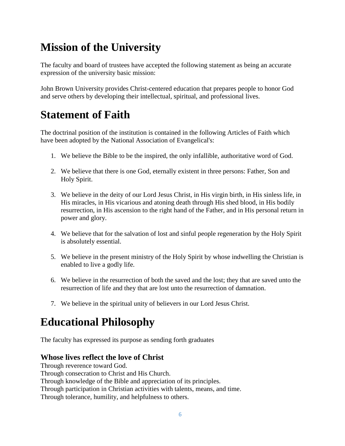# **Mission of the University**

The faculty and board of trustees have accepted the following statement as being an accurate expression of the university basic mission:

John Brown University provides Christ-centered education that prepares people to honor God and serve others by developing their intellectual, spiritual, and professional lives.

# **Statement of Faith**

The doctrinal position of the institution is contained in the following Articles of Faith which have been adopted by the National Association of Evangelical's:

- 1. We believe the Bible to be the inspired, the only infallible, authoritative word of God.
- 2. We believe that there is one God, eternally existent in three persons: Father, Son and Holy Spirit.
- 3. We believe in the deity of our Lord Jesus Christ, in His virgin birth, in His sinless life, in His miracles, in His vicarious and atoning death through His shed blood, in His bodily resurrection, in His ascension to the right hand of the Father, and in His personal return in power and glory.
- 4. We believe that for the salvation of lost and sinful people regeneration by the Holy Spirit is absolutely essential.
- 5. We believe in the present ministry of the Holy Spirit by whose indwelling the Christian is enabled to live a godly life.
- 6. We believe in the resurrection of both the saved and the lost; they that are saved unto the resurrection of life and they that are lost unto the resurrection of damnation.
- 7. We believe in the spiritual unity of believers in our Lord Jesus Christ.

# **Educational Philosophy**

The faculty has expressed its purpose as sending forth graduates

## **Whose lives reflect the love of Christ**

Through reverence toward God. Through consecration to Christ and His Church. Through knowledge of the Bible and appreciation of its principles. Through participation in Christian activities with talents, means, and time. Through tolerance, humility, and helpfulness to others.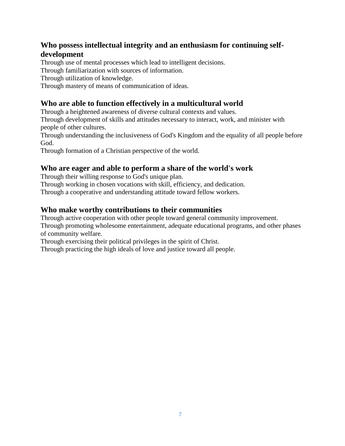### **Who possess intellectual integrity and an enthusiasm for continuing selfdevelopment**

Through use of mental processes which lead to intelligent decisions.

Through familiarization with sources of information.

Through utilization of knowledge.

Through mastery of means of communication of ideas.

## **Who are able to function effectively in a multicultural world**

Through a heightened awareness of diverse cultural contexts and values.

Through development of skills and attitudes necessary to interact, work, and minister with people of other cultures.

Through understanding the inclusiveness of God's Kingdom and the equality of all people before God.

Through formation of a Christian perspective of the world.

### **Who are eager and able to perform a share of the world's work**

Through their willing response to God's unique plan.

Through working in chosen vocations with skill, efficiency, and dedication.

Through a cooperative and understanding attitude toward fellow workers.

## **Who make worthy contributions to their communities**

Through active cooperation with other people toward general community improvement. Through promoting wholesome entertainment, adequate educational programs, and other phases of community welfare.

Through exercising their political privileges in the spirit of Christ.

Through practicing the high ideals of love and justice toward all people.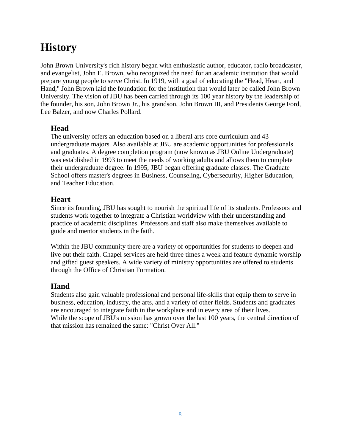# **History**

John Brown University's rich history began with enthusiastic author, educator, radio broadcaster, and evangelist, John E. Brown, who recognized the need for an academic institution that would prepare young people to serve Christ. In 1919, with a goal of educating the "Head, Heart, and Hand," John Brown laid the foundation for the institution that would later be called John Brown University. The vision of JBU has been carried through its 100 year history by the leadership of the founder, his son, John Brown Jr., his grandson, John Brown III, and Presidents George Ford, Lee Balzer, and now Charles Pollard.

### **Head**

The university offers an education based on a liberal arts core curriculum and 43 undergraduate majors. Also available at JBU are academic opportunities for professionals and graduates. A degree completion program (now known as JBU Online Undergraduate) was established in 1993 to meet the needs of working adults and allows them to complete their undergraduate degree. In 1995, JBU began offering graduate classes. The Graduate School offers master's degrees in Business, Counseling, Cybersecurity, Higher Education, and Teacher Education.

### **Heart**

Since its founding, JBU has sought to nourish the spiritual life of its students. Professors and students work together to integrate a Christian worldview with their understanding and practice of academic disciplines. Professors and staff also make themselves available to guide and mentor students in the faith.

Within the JBU community there are a variety of opportunities for students to deepen and live out their faith. Chapel services are held three times a week and feature dynamic worship and gifted guest speakers. A wide variety of ministry opportunities are offered to students through the Office of Christian Formation.

## **Hand**

Students also gain valuable professional and personal life-skills that equip them to serve in business, education, industry, the arts, and a variety of other fields. Students and graduates are encouraged to integrate faith in the workplace and in every area of their lives. While the scope of JBU's mission has grown over the last 100 years, the central direction of that mission has remained the same: "Christ Over All."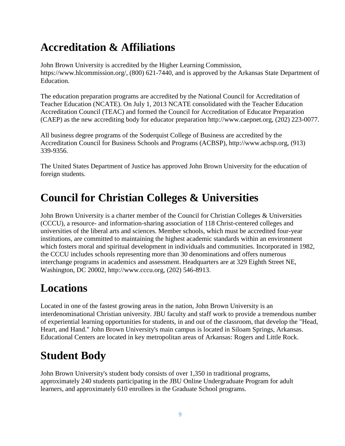# **Accreditation & Affiliations**

John Brown University is accredited by the Higher Learning Commission, https://www.hlcommission.org/, (800) 621-7440, and is approved by the Arkansas State Department of Education.

The education preparation programs are accredited by the National Council for Accreditation of Teacher Education (NCATE). On July 1, 2013 NCATE consolidated with the Teacher Education Accreditation Council (TEAC) and formed the Council for Accreditation of Educator Preparation (CAEP) as the new accrediting body for educator preparation http://www.caepnet.org, (202) 223-0077.

All business degree programs of the Soderquist College of Business are accredited by the Accreditation Council for Business Schools and Programs (ACBSP), http://www.acbsp.org, (913) 339-9356.

The United States Department of Justice has approved John Brown University for the education of foreign students.

# **Council for Christian Colleges & Universities**

John Brown University is a charter member of the Council for Christian Colleges & Universities (CCCU), a resource- and information-sharing association of 118 Christ-centered colleges and universities of the liberal arts and sciences. Member schools, which must be accredited four-year institutions, are committed to maintaining the highest academic standards within an environment which fosters moral and spiritual development in individuals and communities. Incorporated in 1982, the CCCU includes schools representing more than 30 denominations and offers numerous interchange programs in academics and assessment. Headquarters are at 329 Eighth Street NE, Washington, DC 20002, http://www.cccu.org, (202) 546-8913.

# **Locations**

Located in one of the fastest growing areas in the nation, John Brown University is an interdenominational Christian university. JBU faculty and staff work to provide a tremendous number of experiential learning opportunities for students, in and out of the classroom, that develop the "Head, Heart, and Hand." John Brown University's main campus is located in Siloam Springs, Arkansas. Educational Centers are located in key metropolitan areas of Arkansas: Rogers and Little Rock.

# **Student Body**

John Brown University's student body consists of over 1,350 in traditional programs, approximately 240 students participating in the JBU Online Undergraduate Program for adult learners, and approximately 610 enrollees in the Graduate School programs.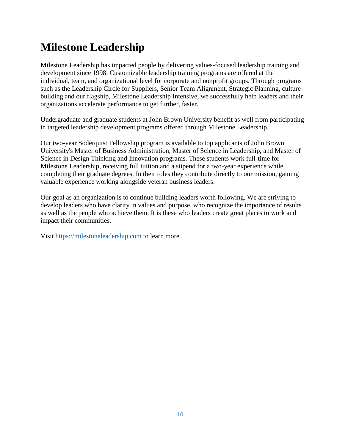# **Milestone Leadership**

Milestone Leadership has impacted people by delivering values-focused leadership training and development since 1998. Customizable leadership training programs are offered at the individual, team, and organizational level for corporate and nonprofit groups. Through programs such as the Leadership Circle for Suppliers, Senior Team Alignment, Strategic Planning, culture building and our flagship, Milestone Leadership Intensive, we successfully help leaders and their organizations accelerate performance to get further, faster.

Undergraduate and graduate students at John Brown University benefit as well from participating in targeted leadership development programs offered through Milestone Leadership.

Our two-year Soderquist Fellowship program is available to top applicants of John Brown University's Master of Business Administration, Master of Science in Leadership, and Master of Science in Design Thinking and Innovation programs. These students work full-time for Milestone Leadership, receiving full tuition and a stipend for a two-year experience while completing their graduate degrees. In their roles they contribute directly to our mission, gaining valuable experience working alongside veteran business leaders.

Our goal as an organization is to continue building leaders worth following. We are striving to develop leaders who have clarity in values and purpose, who recognize the importance of results as well as the people who achieve them. It is these who leaders create great places to work and impact their communities.

Visit [https://milestoneleadership.com](https://milestoneleadership.com/) to learn more.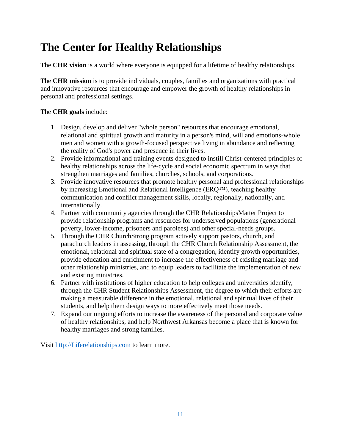# **The Center for Healthy Relationships**

The **CHR vision** is a world where everyone is equipped for a lifetime of healthy relationships.

The **CHR mission** is to provide individuals, couples, families and organizations with practical and innovative resources that encourage and empower the growth of healthy relationships in personal and professional settings.

#### The **CHR goals** include:

- 1. Design, develop and deliver "whole person" resources that encourage emotional, relational and spiritual growth and maturity in a person's mind, will and emotions-whole men and women with a growth-focused perspective living in abundance and reflecting the reality of God's power and presence in their lives.
- 2. Provide informational and training events designed to instill Christ-centered principles of healthy relationships across the life-cycle and social economic spectrum in ways that strengthen marriages and families, churches, schools, and corporations.
- 3. Provide innovative resources that promote healthy personal and professional relationships by increasing Emotional and Relational Intelligence (ERQ™), teaching healthy communication and conflict management skills, locally, regionally, nationally, and internationally.
- 4. Partner with community agencies through the CHR RelationshipsMatter Project to provide relationship programs and resources for underserved populations (generational poverty, lower-income, prisoners and parolees) and other special-needs groups.
- 5. Through the CHR ChurchStrong program actively support pastors, church, and parachurch leaders in assessing, through the CHR Church Relationship Assessment, the emotional, relational and spiritual state of a congregation, identify growth opportunities, provide education and enrichment to increase the effectiveness of existing marriage and other relationship ministries, and to equip leaders to facilitate the implementation of new and existing ministries.
- 6. Partner with institutions of higher education to help colleges and universities identify, through the CHR Student Relationships Assessment, the degree to which their efforts are making a measurable difference in the emotional, relational and spiritual lives of their students, and help them design ways to more effectively meet those needs.
- 7. Expand our ongoing efforts to increase the awareness of the personal and corporate value of healthy relationships, and help Northwest Arkansas become a place that is known for healthy marriages and strong families.

Visit [http://Liferelationships.com](http://liferelationships.com/) to learn more.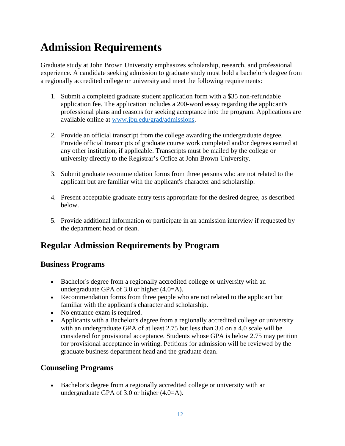# **Admission Requirements**

Graduate study at John Brown University emphasizes scholarship, research, and professional experience. A candidate seeking admission to graduate study must hold a bachelor's degree from a regionally accredited college or university and meet the following requirements:

- 1. Submit a completed graduate student application form with a \$35 non-refundable application fee. The application includes a 200-word essay regarding the applicant's professional plans and reasons for seeking acceptance into the program. Applications are available online at [www.jbu.edu/grad/admissions.](http://www.jbu.edu/grad/admissions)
- 2. Provide an official transcript from the college awarding the undergraduate degree. Provide official transcripts of graduate course work completed and/or degrees earned at any other institution, if applicable. Transcripts must be mailed by the college or university directly to the Registrar's Office at John Brown University.
- 3. Submit graduate recommendation forms from three persons who are not related to the applicant but are familiar with the applicant's character and scholarship.
- 4. Present acceptable graduate entry tests appropriate for the desired degree, as described below.
- 5. Provide additional information or participate in an admission interview if requested by the department head or dean.

# **Regular Admission Requirements by Program**

## **Business Programs**

- Bachelor's degree from a regionally accredited college or university with an undergraduate GPA of 3.0 or higher (4.0=A).
- Recommendation forms from three people who are not related to the applicant but familiar with the applicant's character and scholarship.
- No entrance exam is required.
- Applicants with a Bachelor's degree from a regionally accredited college or university with an undergraduate GPA of at least 2.75 but less than 3.0 on a 4.0 scale will be considered for provisional acceptance. Students whose GPA is below 2.75 may petition for provisional acceptance in writing. Petitions for admission will be reviewed by the graduate business department head and the graduate dean.

## **Counseling Programs**

 Bachelor's degree from a regionally accredited college or university with an undergraduate GPA of 3.0 or higher (4.0=A).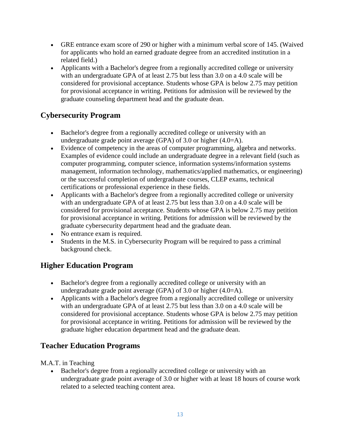- GRE entrance exam score of 290 or higher with a minimum verbal score of 145. (Waived for applicants who hold an earned graduate degree from an accredited institution in a related field.)
- Applicants with a Bachelor's degree from a regionally accredited college or university with an undergraduate GPA of at least 2.75 but less than 3.0 on a 4.0 scale will be considered for provisional acceptance. Students whose GPA is below 2.75 may petition for provisional acceptance in writing. Petitions for admission will be reviewed by the graduate counseling department head and the graduate dean.

## **Cybersecurity Program**

- Bachelor's degree from a regionally accredited college or university with an undergraduate grade point average (GPA) of 3.0 or higher  $(4.0=A)$ .
- Evidence of competency in the areas of computer programming, algebra and networks. Examples of evidence could include an undergraduate degree in a relevant field (such as computer programming, computer science, information systems/information systems management, information technology, mathematics/applied mathematics, or engineering) or the successful completion of undergraduate courses, CLEP exams, technical certifications or professional experience in these fields.
- Applicants with a Bachelor's degree from a regionally accredited college or university with an undergraduate GPA of at least 2.75 but less than 3.0 on a 4.0 scale will be considered for provisional acceptance. Students whose GPA is below 2.75 may petition for provisional acceptance in writing. Petitions for admission will be reviewed by the graduate cybersecurity department head and the graduate dean.
- No entrance exam is required.
- Students in the M.S. in Cybersecurity Program will be required to pass a criminal background check.

## **Higher Education Program**

- Bachelor's degree from a regionally accredited college or university with an undergraduate grade point average (GPA) of 3.0 or higher (4.0=A).
- Applicants with a Bachelor's degree from a regionally accredited college or university with an undergraduate GPA of at least 2.75 but less than 3.0 on a 4.0 scale will be considered for provisional acceptance. Students whose GPA is below 2.75 may petition for provisional acceptance in writing. Petitions for admission will be reviewed by the graduate higher education department head and the graduate dean.

## **Teacher Education Programs**

M.A.T. in Teaching

 Bachelor's degree from a regionally accredited college or university with an undergraduate grade point average of 3.0 or higher with at least 18 hours of course work related to a selected teaching content area.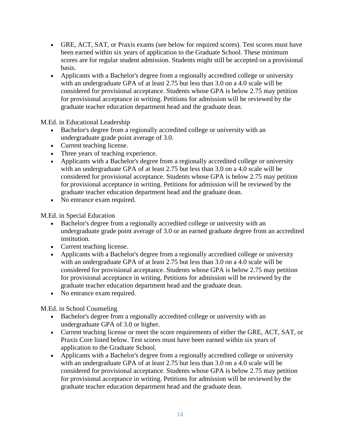- GRE, ACT, SAT, or Praxis exams (see below for required scores). Test scores must have been earned within six years of application to the Graduate School. These minimum scores are for regular student admission. Students might still be accepted on a provisional basis.
- Applicants with a Bachelor's degree from a regionally accredited college or university with an undergraduate GPA of at least 2.75 but less than 3.0 on a 4.0 scale will be considered for provisional acceptance. Students whose GPA is below 2.75 may petition for provisional acceptance in writing. Petitions for admission will be reviewed by the graduate teacher education department head and the graduate dean.

M.Ed. in Educational Leadership

- Bachelor's degree from a regionally accredited college or university with an undergraduate grade point average of 3.0.
- Current teaching license.
- Three years of teaching experience.
- Applicants with a Bachelor's degree from a regionally accredited college or university with an undergraduate GPA of at least 2.75 but less than 3.0 on a 4.0 scale will be considered for provisional acceptance. Students whose GPA is below 2.75 may petition for provisional acceptance in writing. Petitions for admission will be reviewed by the graduate teacher education department head and the graduate dean.
- No entrance exam required.

M.Ed. in Special Education

- Bachelor's degree from a regionally accredited college or university with an undergraduate grade point average of 3.0 or an earned graduate degree from an accredited institution.
- Current teaching license.
- Applicants with a Bachelor's degree from a regionally accredited college or university with an undergraduate GPA of at least 2.75 but less than 3.0 on a 4.0 scale will be considered for provisional acceptance. Students whose GPA is below 2.75 may petition for provisional acceptance in writing. Petitions for admission will be reviewed by the graduate teacher education department head and the graduate dean.
- No entrance exam required.

M.Ed. in School Counseling

- Bachelor's degree from a regionally accredited college or university with an undergraduate GPA of 3.0 or higher.
- Current teaching license or meet the score requirements of either the GRE, ACT, SAT, or Praxis Core listed below. Test scores must have been earned within six years of application to the Graduate School.
- Applicants with a Bachelor's degree from a regionally accredited college or university with an undergraduate GPA of at least 2.75 but less than 3.0 on a 4.0 scale will be considered for provisional acceptance. Students whose GPA is below 2.75 may petition for provisional acceptance in writing. Petitions for admission will be reviewed by the graduate teacher education department head and the graduate dean.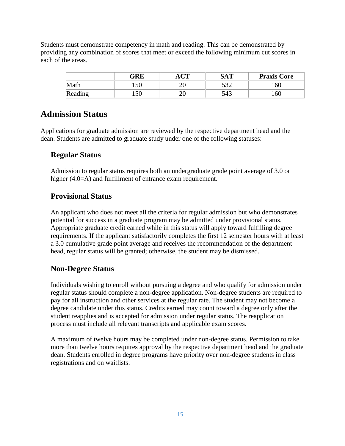Students must demonstrate competency in math and reading. This can be demonstrated by providing any combination of scores that meet or exceed the following minimum cut scores in each of the areas.

|         | GRE | $\sim$ | <b>SAT</b> | <b>Praxis Core</b> |
|---------|-----|--------|------------|--------------------|
| Math    | 150 | ∠∪     | - م        | 160                |
| Reading | 150 | ∠∪     | 543        | 160                |

## **Admission Status**

Applications for graduate admission are reviewed by the respective department head and the dean. Students are admitted to graduate study under one of the following statuses:

### **Regular Status**

Admission to regular status requires both an undergraduate grade point average of 3.0 or higher (4.0=A) and fulfillment of entrance exam requirement.

### **Provisional Status**

An applicant who does not meet all the criteria for regular admission but who demonstrates potential for success in a graduate program may be admitted under provisional status. Appropriate graduate credit earned while in this status will apply toward fulfilling degree requirements. If the applicant satisfactorily completes the first 12 semester hours with at least a 3.0 cumulative grade point average and receives the recommendation of the department head, regular status will be granted; otherwise, the student may be dismissed.

### **Non-Degree Status**

Individuals wishing to enroll without pursuing a degree and who qualify for admission under regular status should complete a non-degree application. Non-degree students are required to pay for all instruction and other services at the regular rate. The student may not become a degree candidate under this status. Credits earned may count toward a degree only after the student reapplies and is accepted for admission under regular status. The reapplication process must include all relevant transcripts and applicable exam scores.

A maximum of twelve hours may be completed under non-degree status. Permission to take more than twelve hours requires approval by the respective department head and the graduate dean. Students enrolled in degree programs have priority over non-degree students in class registrations and on waitlists.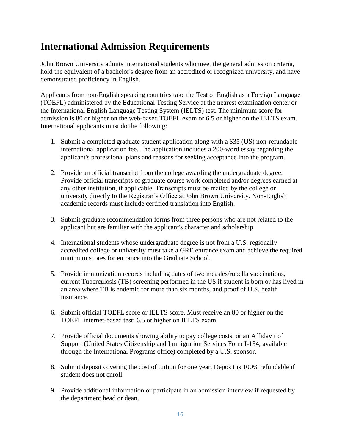# **International Admission Requirements**

John Brown University admits international students who meet the general admission criteria, hold the equivalent of a bachelor's degree from an accredited or recognized university, and have demonstrated proficiency in English.

Applicants from non-English speaking countries take the Test of English as a Foreign Language (TOEFL) administered by the Educational Testing Service at the nearest examination center or the International English Language Testing System (IELTS) test. The minimum score for admission is 80 or higher on the web-based TOEFL exam or 6.5 or higher on the IELTS exam. International applicants must do the following:

- 1. Submit a completed graduate student application along with a \$35 (US) non-refundable international application fee. The application includes a 200-word essay regarding the applicant's professional plans and reasons for seeking acceptance into the program.
- 2. Provide an official transcript from the college awarding the undergraduate degree. Provide official transcripts of graduate course work completed and/or degrees earned at any other institution, if applicable. Transcripts must be mailed by the college or university directly to the Registrar's Office at John Brown University. Non-English academic records must include certified translation into English.
- 3. Submit graduate recommendation forms from three persons who are not related to the applicant but are familiar with the applicant's character and scholarship.
- 4. International students whose undergraduate degree is not from a U.S. regionally accredited college or university must take a GRE entrance exam and achieve the required minimum scores for entrance into the Graduate School.
- 5. Provide immunization records including dates of two measles/rubella vaccinations, current Tuberculosis (TB) screening performed in the US if student is born or has lived in an area where TB is endemic for more than six months, and proof of U.S. health insurance.
- 6. Submit official TOEFL score or IELTS score. Must receive an 80 or higher on the TOEFL internet-based test; 6.5 or higher on IELTS exam.
- 7. Provide official documents showing ability to pay college costs, or an Affidavit of Support (United States Citizenship and Immigration Services Form I-134, available through the International Programs office) completed by a U.S. sponsor.
- 8. Submit deposit covering the cost of tuition for one year. Deposit is 100% refundable if student does not enroll.
- 9. Provide additional information or participate in an admission interview if requested by the department head or dean.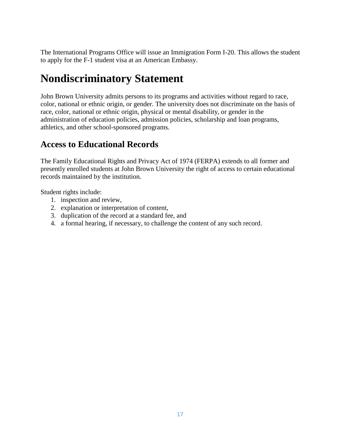The International Programs Office will issue an Immigration Form I-20. This allows the student to apply for the F-1 student visa at an American Embassy.

# **Nondiscriminatory Statement**

John Brown University admits persons to its programs and activities without regard to race, color, national or ethnic origin, or gender. The university does not discriminate on the basis of race, color, national or ethnic origin, physical or mental disability, or gender in the administration of education policies, admission policies, scholarship and loan programs, athletics, and other school-sponsored programs.

# **Access to Educational Records**

The Family Educational Rights and Privacy Act of 1974 (FERPA) extends to all former and presently enrolled students at John Brown University the right of access to certain educational records maintained by the institution.

Student rights include:

- 1. inspection and review,
- 2. explanation or interpretation of content,
- 3. duplication of the record at a standard fee, and
- 4. a formal hearing, if necessary, to challenge the content of any such record.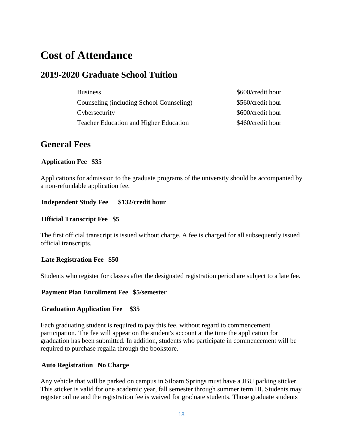# **Cost of Attendance**

## **2019-2020 Graduate School Tuition**

| <b>Business</b>                               | \$600/credit hour |
|-----------------------------------------------|-------------------|
| Counseling (including School Counseling)      | \$560/credit hour |
| Cybersecurity                                 | \$600/credit hour |
| <b>Teacher Education and Higher Education</b> | \$460/credit hour |

## **General Fees**

#### **Application Fee \$35**

Applications for admission to the graduate programs of the university should be accompanied by a non-refundable application fee.

#### **Independent Study Fee \$132/credit hour**

#### **Official Transcript Fee \$5**

The first official transcript is issued without charge. A fee is charged for all subsequently issued official transcripts.

#### **Late Registration Fee \$50**

Students who register for classes after the designated registration period are subject to a late fee.

#### **Payment Plan Enrollment Fee \$5/semester**

#### **Graduation Application Fee \$35**

Each graduating student is required to pay this fee, without regard to commencement participation. The fee will appear on the student's account at the time the application for graduation has been submitted. In addition, students who participate in commencement will be required to purchase regalia through the bookstore.

#### **Auto Registration No Charge**

Any vehicle that will be parked on campus in Siloam Springs must have a JBU parking sticker. This sticker is valid for one academic year, fall semester through summer term III. Students may register online and the registration fee is waived for graduate students. Those graduate students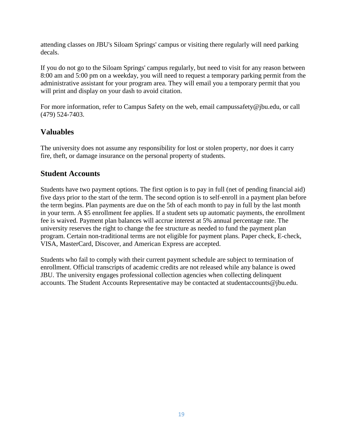attending classes on JBU's Siloam Springs' campus or visiting there regularly will need parking decals.

If you do not go to the Siloam Springs' campus regularly, but need to visit for any reason between 8:00 am and 5:00 pm on a weekday, you will need to request a temporary parking permit from the administrative assistant for your program area. They will email you a temporary permit that you will print and display on your dash to avoid citation.

For more information, refer to Campus Safety on the web, email campussafety@jbu.edu, or call (479) 524-7403.

### **Valuables**

The university does not assume any responsibility for lost or stolen property, nor does it carry fire, theft, or damage insurance on the personal property of students.

#### **Student Accounts**

Students have two payment options. The first option is to pay in full (net of pending financial aid) five days prior to the start of the term. The second option is to self-enroll in a payment plan before the term begins. Plan payments are due on the 5th of each month to pay in full by the last month in your term. A \$5 enrollment fee applies. If a student sets up automatic payments, the enrollment fee is waived. Payment plan balances will accrue interest at 5% annual percentage rate. The university reserves the right to change the fee structure as needed to fund the payment plan program. Certain non-traditional terms are not eligible for payment plans. Paper check, E-check, VISA, MasterCard, Discover, and American Express are accepted.

Students who fail to comply with their current payment schedule are subject to termination of enrollment. Official transcripts of academic credits are not released while any balance is owed JBU. The university engages professional collection agencies when collecting delinquent accounts. The Student Accounts Representative may be contacted at studentaccounts@jbu.edu.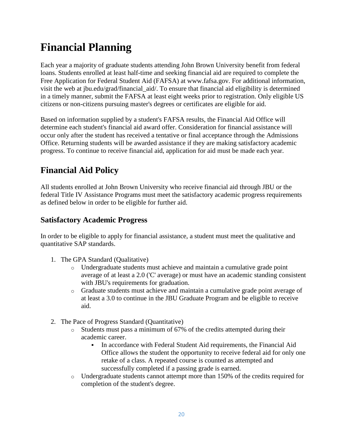# **Financial Planning**

Each year a majority of graduate students attending John Brown University benefit from federal loans. Students enrolled at least half-time and seeking financial aid are required to complete the Free Application for Federal Student Aid (FAFSA) at www.fafsa.gov. For additional information, visit the web at jbu.edu/grad/financial\_aid/. To ensure that financial aid eligibility is determined in a timely manner, submit the FAFSA at least eight weeks prior to registration. Only eligible US citizens or non-citizens pursuing master's degrees or certificates are eligible for aid.

Based on information supplied by a student's FAFSA results, the Financial Aid Office will determine each student's financial aid award offer. Consideration for financial assistance will occur only after the student has received a tentative or final acceptance through the Admissions Office. Returning students will be awarded assistance if they are making satisfactory academic progress. To continue to receive financial aid, application for aid must be made each year.

# **Financial Aid Policy**

All students enrolled at John Brown University who receive financial aid through JBU or the federal Title IV Assistance Programs must meet the satisfactory academic progress requirements as defined below in order to be eligible for further aid.

### **Satisfactory Academic Progress**

In order to be eligible to apply for financial assistance, a student must meet the qualitative and quantitative SAP standards.

- 1. The GPA Standard (Qualitative)
	- o Undergraduate students must achieve and maintain a cumulative grade point average of at least a 2.0 ('C' average) or must have an academic standing consistent with JBU's requirements for graduation.
	- o Graduate students must achieve and maintain a cumulative grade point average of at least a 3.0 to continue in the JBU Graduate Program and be eligible to receive aid.
- 2. The Pace of Progress Standard (Quantitative)
	- $\circ$  Students must pass a minimum of 67% of the credits attempted during their academic career.
		- In accordance with Federal Student Aid requirements, the Financial Aid Office allows the student the opportunity to receive federal aid for only one retake of a class. A repeated course is counted as attempted and successfully completed if a passing grade is earned.
	- o Undergraduate students cannot attempt more than 150% of the credits required for completion of the student's degree.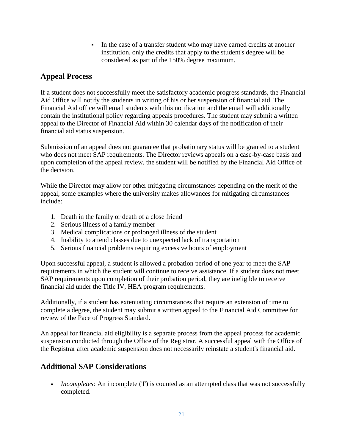In the case of a transfer student who may have earned credits at another institution, only the credits that apply to the student's degree will be considered as part of the 150% degree maximum.

### **Appeal Process**

If a student does not successfully meet the satisfactory academic progress standards, the Financial Aid Office will notify the students in writing of his or her suspension of financial aid. The Financial Aid office will email students with this notification and the email will additionally contain the institutional policy regarding appeals procedures. The student may submit a written appeal to the Director of Financial Aid within 30 calendar days of the notification of their financial aid status suspension.

Submission of an appeal does not guarantee that probationary status will be granted to a student who does not meet SAP requirements. The Director reviews appeals on a case-by-case basis and upon completion of the appeal review, the student will be notified by the Financial Aid Office of the decision.

While the Director may allow for other mitigating circumstances depending on the merit of the appeal, some examples where the university makes allowances for mitigating circumstances include:

- 1. Death in the family or death of a close friend
- 2. Serious illness of a family member
- 3. Medical complications or prolonged illness of the student
- 4. Inability to attend classes due to unexpected lack of transportation
- 5. Serious financial problems requiring excessive hours of employment

Upon successful appeal, a student is allowed a probation period of one year to meet the SAP requirements in which the student will continue to receive assistance. If a student does not meet SAP requirements upon completion of their probation period, they are ineligible to receive financial aid under the Title IV, HEA program requirements.

Additionally, if a student has extenuating circumstances that require an extension of time to complete a degree, the student may submit a written appeal to the Financial Aid Committee for review of the Pace of Progress Standard.

An appeal for financial aid eligibility is a separate process from the appeal process for academic suspension conducted through the Office of the Registrar. A successful appeal with the Office of the Registrar after academic suspension does not necessarily reinstate a student's financial aid.

### **Additional SAP Considerations**

• *Incompletes:* An incomplete (T) is counted as an attempted class that was not successfully completed.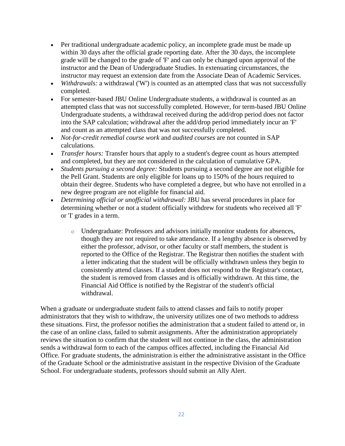- Per traditional undergraduate academic policy, an incomplete grade must be made up within 30 days after the official grade reporting date. After the 30 days, the incomplete grade will be changed to the grade of 'F' and can only be changed upon approval of the instructor and the Dean of Undergraduate Studies. In extenuating circumstances, the instructor may request an extension date from the Associate Dean of Academic Services.
- *Withdrawals:* a withdrawal ('W') is counted as an attempted class that was not successfully completed.
- For semester-based JBU Online Undergraduate students, a withdrawal is counted as an attempted class that was not successfully completed. However, for term-based JBU Online Undergraduate students, a withdrawal received during the add/drop period does not factor into the SAP calculation; withdrawal after the add/drop period immediately incur an 'F' and count as an attempted class that was not successfully completed.
- *Not-for-credit remedial course work* and *audited courses* are not counted in SAP calculations.
- *Transfer hours:* Transfer hours that apply to a student's degree count as hours attempted and completed, but they are not considered in the calculation of cumulative GPA.
- *Students pursuing a second degree:* Students pursuing a second degree are not eligible for the Pell Grant. Students are only eligible for loans up to 150% of the hours required to obtain their degree. Students who have completed a degree, but who have not enrolled in a new degree program are not eligible for financial aid.
- *Determining official or unofficial withdrawal:* JBU has several procedures in place for determining whether or not a student officially withdrew for students who received all 'F' or 'I' grades in a term.
	- o Undergraduate: Professors and advisors initially monitor students for absences, though they are not required to take attendance. If a lengthy absence is observed by either the professor, advisor, or other faculty or staff members, the student is reported to the Office of the Registrar. The Registrar then notifies the student with a letter indicating that the student will be officially withdrawn unless they begin to consistently attend classes. If a student does not respond to the Registrar's contact, the student is removed from classes and is officially withdrawn. At this time, the Financial Aid Office is notified by the Registrar of the student's official withdrawal.

When a graduate or undergraduate student fails to attend classes and fails to notify proper administrators that they wish to withdraw, the university utilizes one of two methods to address these situations. First, the professor notifies the administration that a student failed to attend or, in the case of an online class, failed to submit assignments. After the administration appropriately reviews the situation to confirm that the student will not continue in the class, the administration sends a withdrawal form to each of the campus offices affected, including the Financial Aid Office. For graduate students, the administration is either the administrative assistant in the Office of the Graduate School or the administrative assistant in the respective Division of the Graduate School. For undergraduate students, professors should submit an Ally Alert.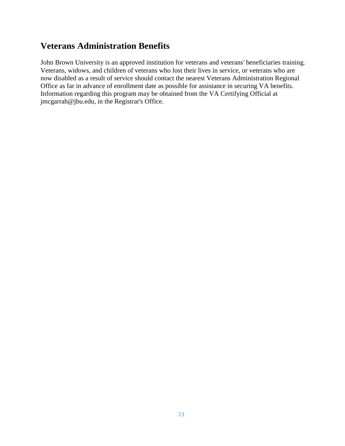# **Veterans Administration Benefits**

John Brown University is an approved institution for veterans and veterans' beneficiaries training. Veterans, widows, and children of veterans who lost their lives in service, or veterans who are now disabled as a result of service should contact the nearest Veterans Administration Regional Office as far in advance of enrollment date as possible for assistance in securing VA benefits. Information regarding this program may be obtained from the VA Certifying Official at jmcgarrah@jbu.edu, in the Registrar's Office.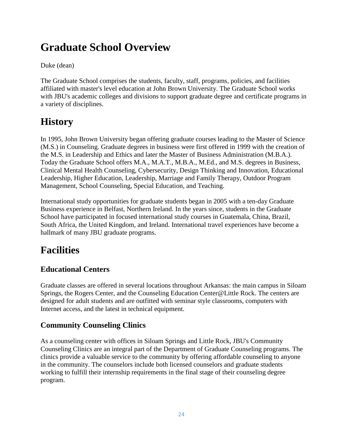# **Graduate School Overview**

#### Duke (dean)

The Graduate School comprises the students, faculty, staff, programs, policies, and facilities affiliated with master's level education at John Brown University. The Graduate School works with JBU's academic colleges and divisions to support graduate degree and certificate programs in a variety of disciplines.

# **History**

In 1995, John Brown University began offering graduate courses leading to the Master of Science (M.S.) in Counseling. Graduate degrees in business were first offered in 1999 with the creation of the M.S. in Leadership and Ethics and later the Master of Business Administration (M.B.A.). Today the Graduate School offers M.A., M.A.T., M.B.A., M.Ed., and M.S. degrees in Business, Clinical Mental Health Counseling, Cybersecurity, Design Thinking and Innovation, Educational Leadership, Higher Education, Leadership, Marriage and Family Therapy, Outdoor Program Management, School Counseling, Special Education, and Teaching.

International study opportunities for graduate students began in 2005 with a ten-day Graduate Business experience in Belfast, Northern Ireland. In the years since, students in the Graduate School have participated in focused international study courses in Guatemala, China, Brazil, South Africa, the United Kingdom, and Ireland. International travel experiences have become a hallmark of many JBU graduate programs.

# **Facilities**

## **Educational Centers**

Graduate classes are offered in several locations throughout Arkansas: the main campus in Siloam Springs, the Rogers Center, and the Counseling Education Center@Little Rock. The centers are designed for adult students and are outfitted with seminar style classrooms, computers with Internet access, and the latest in technical equipment.

## **Community Counseling Clinics**

As a counseling center with offices in Siloam Springs and Little Rock, JBU's Community Counseling Clinics are an integral part of the Department of Graduate Counseling programs. The clinics provide a valuable service to the community by offering affordable counseling to anyone in the community. The counselors include both licensed counselors and graduate students working to fulfill their internship requirements in the final stage of their counseling degree program.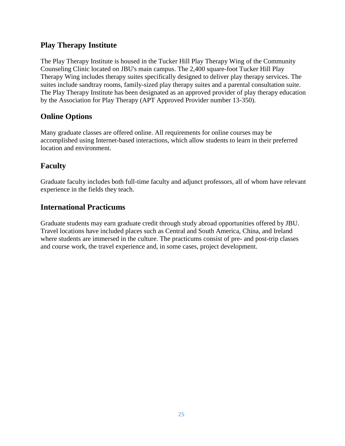### **Play Therapy Institute**

The Play Therapy Institute is housed in the Tucker Hill Play Therapy Wing of the Community Counseling Clinic located on JBU's main campus. The 2,400 square-foot Tucker Hill Play Therapy Wing includes therapy suites specifically designed to deliver play therapy services. The suites include sandtray rooms, family-sized play therapy suites and a parental consultation suite. The Play Therapy Institute has been designated as an approved provider of play therapy education by the Association for Play Therapy (APT Approved Provider number 13-350).

### **Online Options**

Many graduate classes are offered online. All requirements for online courses may be accomplished using Internet-based interactions, which allow students to learn in their preferred location and environment.

### **Faculty**

Graduate faculty includes both full-time faculty and adjunct professors, all of whom have relevant experience in the fields they teach.

### **International Practicums**

Graduate students may earn graduate credit through study abroad opportunities offered by JBU. Travel locations have included places such as Central and South America, China, and Ireland where students are immersed in the culture. The practicums consist of pre- and post-trip classes and course work, the travel experience and, in some cases, project development.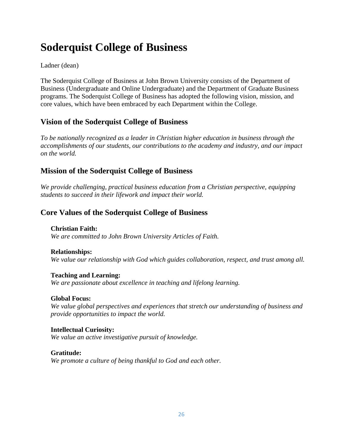# **Soderquist College of Business**

#### Ladner (dean)

The Soderquist College of Business at John Brown University consists of the Department of Business (Undergraduate and Online Undergraduate) and the Department of Graduate Business programs. The Soderquist College of Business has adopted the following vision, mission, and core values, which have been embraced by each Department within the College.

### **Vision of the Soderquist College of Business**

*To be nationally recognized as a leader in Christian higher education in business through the accomplishments of our students, our contributions to the academy and industry, and our impact on the world.*

### **Mission of the Soderquist College of Business**

*We provide challenging, practical business education from a Christian perspective, equipping students to succeed in their lifework and impact their world.*

### **Core Values of the Soderquist College of Business**

**Christian Faith:** *We are committed to John Brown University Articles of Faith.*

#### **Relationships:**

*We value our relationship with God which guides collaboration, respect, and trust among all.*

**Teaching and Learning:** *We are passionate about excellence in teaching and lifelong learning.*

#### **Global Focus:**

*We value global perspectives and experiences that stretch our understanding of business and provide opportunities to impact the world.*

**Intellectual Curiosity:** *We value an active investigative pursuit of knowledge.*

#### **Gratitude:**

*We promote a culture of being thankful to God and each other.*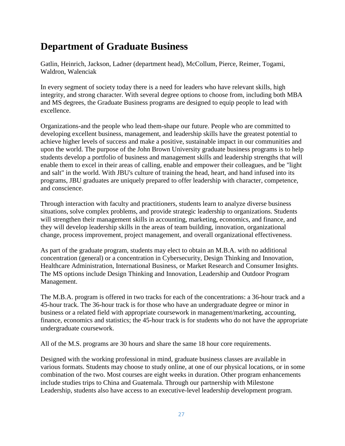# **Department of Graduate Business**

Gatlin, Heinrich, Jackson, Ladner (department head), McCollum, Pierce, Reimer, Togami, Waldron, Walenciak

In every segment of society today there is a need for leaders who have relevant skills, high integrity, and strong character. With several degree options to choose from, including both MBA and MS degrees, the Graduate Business programs are designed to equip people to lead with excellence.

Organizations-and the people who lead them-shape our future. People who are committed to developing excellent business, management, and leadership skills have the greatest potential to achieve higher levels of success and make a positive, sustainable impact in our communities and upon the world. The purpose of the John Brown University graduate business programs is to help students develop a portfolio of business and management skills and leadership strengths that will enable them to excel in their areas of calling, enable and empower their colleagues, and be "light and salt" in the world. With JBU's culture of training the head, heart, and hand infused into its programs, JBU graduates are uniquely prepared to offer leadership with character, competence, and conscience.

Through interaction with faculty and practitioners, students learn to analyze diverse business situations, solve complex problems, and provide strategic leadership to organizations. Students will strengthen their management skills in accounting, marketing, economics, and finance, and they will develop leadership skills in the areas of team building, innovation, organizational change, process improvement, project management, and overall organizational effectiveness.

As part of the graduate program, students may elect to obtain an M.B.A. with no additional concentration (general) or a concentration in Cybersecurity, Design Thinking and Innovation, Healthcare Administration, International Business, or Market Research and Consumer Insights. The MS options include Design Thinking and Innovation, Leadership and Outdoor Program Management.

The M.B.A. program is offered in two tracks for each of the concentrations: a 36-hour track and a 45-hour track. The 36-hour track is for those who have an undergraduate degree or minor in business or a related field with appropriate coursework in management/marketing, accounting, finance, economics and statistics; the 45-hour track is for students who do not have the appropriate undergraduate coursework.

All of the M.S. programs are 30 hours and share the same 18 hour core requirements.

Designed with the working professional in mind, graduate business classes are available in various formats. Students may choose to study online, at one of our physical locations, or in some combination of the two. Most courses are eight weeks in duration. Other program enhancements include studies trips to China and Guatemala. Through our partnership with Milestone Leadership, students also have access to an executive-level leadership development program.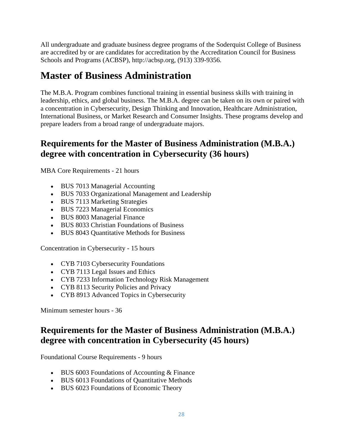All undergraduate and graduate business degree programs of the Soderquist College of Business are accredited by or are candidates for accreditation by the Accreditation Council for Business Schools and Programs (ACBSP), http://acbsp.org, (913) 339-9356.

# **Master of Business Administration**

The M.B.A. Program combines functional training in essential business skills with training in leadership, ethics, and global business. The M.B.A. degree can be taken on its own or paired with a concentration in Cybersecurity, Design Thinking and Innovation, Healthcare Administration, International Business, or Market Research and Consumer Insights. These programs develop and prepare leaders from a broad range of undergraduate majors.

## **Requirements for the Master of Business Administration (M.B.A.) degree with concentration in Cybersecurity (36 hours)**

MBA Core Requirements - 21 hours

- BUS 7013 Managerial Accounting
- BUS 7033 Organizational Management and Leadership
- BUS 7113 Marketing Strategies
- BUS 7223 Managerial Economics
- BUS 8003 Managerial Finance
- BUS 8033 Christian Foundations of Business
- BUS 8043 Quantitative Methods for Business

Concentration in Cybersecurity - 15 hours

- CYB 7103 Cybersecurity Foundations
- CYB 7113 Legal Issues and Ethics
- CYB 7233 Information Technology Risk Management
- CYB 8113 Security Policies and Privacy
- CYB 8913 Advanced Topics in Cybersecurity

Minimum semester hours - 36

## **Requirements for the Master of Business Administration (M.B.A.) degree with concentration in Cybersecurity (45 hours)**

Foundational Course Requirements - 9 hours

- BUS 6003 Foundations of Accounting & Finance
- BUS 6013 Foundations of Quantitative Methods
- BUS 6023 Foundations of Economic Theory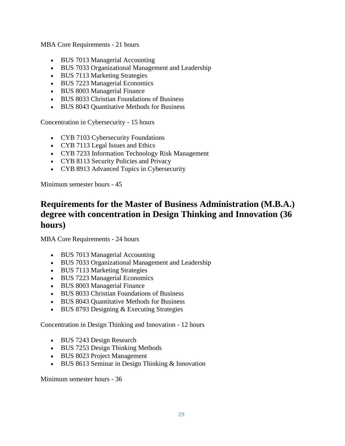MBA Core Requirements - 21 hours

- BUS 7013 Managerial Accounting
- BUS 7033 Organizational Management and Leadership
- BUS 7113 Marketing Strategies
- BUS 7223 Managerial Economics
- BUS 8003 Managerial Finance
- BUS 8033 Christian Foundations of Business
- BUS 8043 Quantitative Methods for Business

Concentration in Cybersecurity - 15 hours

- CYB 7103 Cybersecurity Foundations
- CYB 7113 Legal Issues and Ethics
- CYB 7233 Information Technology Risk Management
- CYB 8113 Security Policies and Privacy
- CYB 8913 Advanced Topics in Cybersecurity

Minimum semester hours - 45

## **Requirements for the Master of Business Administration (M.B.A.) degree with concentration in Design Thinking and Innovation (36 hours)**

MBA Core Requirements - 24 hours

- BUS 7013 Managerial Accounting
- BUS 7033 Organizational Management and Leadership
- BUS 7113 Marketing Strategies
- BUS 7223 Managerial Economics
- BUS 8003 Managerial Finance
- BUS 8033 Christian Foundations of Business
- BUS 8043 Quantitative Methods for Business
- BUS 8793 Designing & Executing Strategies

Concentration in Design Thinking and Innovation - 12 hours

- BUS 7243 Design Research
- BUS 7253 Design Thinking Methods
- BUS 8023 Project Management
- BUS 8613 Seminar in Design Thinking & Innovation

Minimum semester hours - 36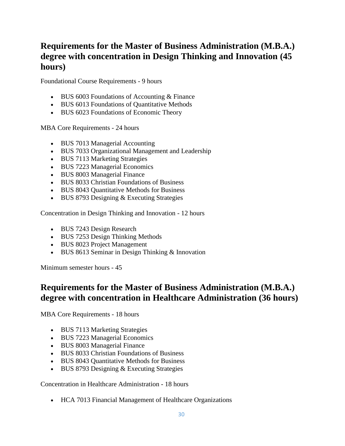# **Requirements for the Master of Business Administration (M.B.A.) degree with concentration in Design Thinking and Innovation (45 hours)**

Foundational Course Requirements - 9 hours

- BUS 6003 Foundations of Accounting & Finance
- BUS 6013 Foundations of Quantitative Methods
- BUS 6023 Foundations of Economic Theory

MBA Core Requirements - 24 hours

- BUS 7013 Managerial Accounting
- BUS 7033 Organizational Management and Leadership
- BUS 7113 Marketing Strategies
- BUS 7223 Managerial Economics
- BUS 8003 Managerial Finance
- BUS 8033 Christian Foundations of Business
- BUS 8043 Quantitative Methods for Business
- BUS 8793 Designing & Executing Strategies

Concentration in Design Thinking and Innovation - 12 hours

- BUS 7243 Design Research
- BUS 7253 Design Thinking Methods
- BUS 8023 Project Management
- BUS 8613 Seminar in Design Thinking & Innovation

Minimum semester hours - 45

## **Requirements for the Master of Business Administration (M.B.A.) degree with concentration in Healthcare Administration (36 hours)**

MBA Core Requirements - 18 hours

- BUS 7113 Marketing Strategies
- BUS 7223 Managerial Economics
- BUS 8003 Managerial Finance
- BUS 8033 Christian Foundations of Business
- BUS 8043 Quantitative Methods for Business
- BUS 8793 Designing & Executing Strategies

Concentration in Healthcare Administration - 18 hours

HCA 7013 Financial Management of Healthcare Organizations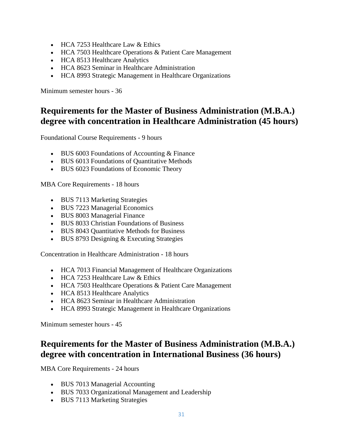- HCA 7253 Healthcare Law & Ethics
- HCA 7503 Healthcare Operations & Patient Care Management
- HCA 8513 Healthcare Analytics
- HCA 8623 Seminar in Healthcare Administration
- HCA 8993 Strategic Management in Healthcare Organizations

Minimum semester hours - 36

## **Requirements for the Master of Business Administration (M.B.A.) degree with concentration in Healthcare Administration (45 hours)**

Foundational Course Requirements - 9 hours

- BUS 6003 Foundations of Accounting & Finance
- BUS 6013 Foundations of Quantitative Methods
- BUS 6023 Foundations of Economic Theory

MBA Core Requirements - 18 hours

- BUS 7113 Marketing Strategies
- BUS 7223 Managerial Economics
- BUS 8003 Managerial Finance
- BUS 8033 Christian Foundations of Business
- BUS 8043 Quantitative Methods for Business
- BUS 8793 Designing & Executing Strategies

Concentration in Healthcare Administration - 18 hours

- HCA 7013 Financial Management of Healthcare Organizations
- HCA 7253 Healthcare Law & Ethics
- HCA 7503 Healthcare Operations & Patient Care Management
- HCA 8513 Healthcare Analytics
- HCA 8623 Seminar in Healthcare Administration
- HCA 8993 Strategic Management in Healthcare Organizations

Minimum semester hours - 45

## **Requirements for the Master of Business Administration (M.B.A.) degree with concentration in International Business (36 hours)**

MBA Core Requirements - 24 hours

- BUS 7013 Managerial Accounting
- BUS 7033 Organizational Management and Leadership
- BUS 7113 Marketing Strategies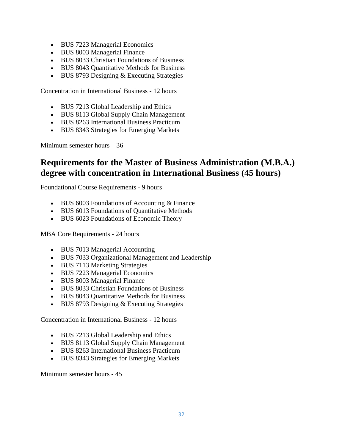- BUS 7223 Managerial Economics
- BUS 8003 Managerial Finance
- BUS 8033 Christian Foundations of Business
- BUS 8043 Quantitative Methods for Business
- BUS 8793 Designing & Executing Strategies

Concentration in International Business - 12 hours

- BUS 7213 Global Leadership and Ethics
- BUS 8113 Global Supply Chain Management
- BUS 8263 International Business Practicum
- BUS 8343 Strategies for Emerging Markets

Minimum semester hours – 36

## **Requirements for the Master of Business Administration (M.B.A.) degree with concentration in International Business (45 hours)**

Foundational Course Requirements - 9 hours

- BUS 6003 Foundations of Accounting & Finance
- BUS 6013 Foundations of Quantitative Methods
- BUS 6023 Foundations of Economic Theory

MBA Core Requirements - 24 hours

- BUS 7013 Managerial Accounting
- BUS 7033 Organizational Management and Leadership
- BUS 7113 Marketing Strategies
- BUS 7223 Managerial Economics
- BUS 8003 Managerial Finance
- BUS 8033 Christian Foundations of Business
- BUS 8043 Quantitative Methods for Business
- BUS 8793 Designing & Executing Strategies

Concentration in International Business - 12 hours

- BUS 7213 Global Leadership and Ethics
- BUS 8113 Global Supply Chain Management
- BUS 8263 International Business Practicum
- BUS 8343 Strategies for Emerging Markets

Minimum semester hours - 45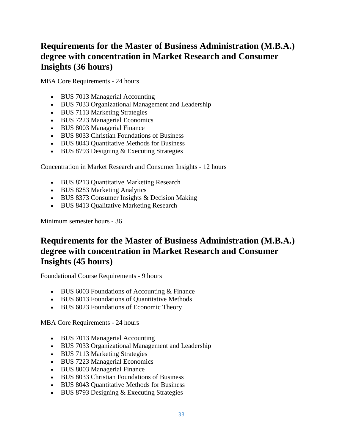# **Requirements for the Master of Business Administration (M.B.A.) degree with concentration in Market Research and Consumer Insights (36 hours)**

MBA Core Requirements - 24 hours

- BUS 7013 Managerial Accounting
- BUS 7033 Organizational Management and Leadership
- BUS 7113 Marketing Strategies
- BUS 7223 Managerial Economics
- BUS 8003 Managerial Finance
- BUS 8033 Christian Foundations of Business
- BUS 8043 Quantitative Methods for Business
- BUS 8793 Designing & Executing Strategies

Concentration in Market Research and Consumer Insights - 12 hours

- BUS 8213 Quantitative Marketing Research
- BUS 8283 Marketing Analytics
- BUS 8373 Consumer Insights & Decision Making
- BUS 8413 Qualitative Marketing Research

Minimum semester hours - 36

## **Requirements for the Master of Business Administration (M.B.A.) degree with concentration in Market Research and Consumer Insights (45 hours)**

Foundational Course Requirements - 9 hours

- BUS 6003 Foundations of Accounting & Finance
- BUS 6013 Foundations of Quantitative Methods
- BUS 6023 Foundations of Economic Theory

MBA Core Requirements - 24 hours

- BUS 7013 Managerial Accounting
- BUS 7033 Organizational Management and Leadership
- BUS 7113 Marketing Strategies
- BUS 7223 Managerial Economics
- BUS 8003 Managerial Finance
- BUS 8033 Christian Foundations of Business
- BUS 8043 Quantitative Methods for Business
- BUS 8793 Designing & Executing Strategies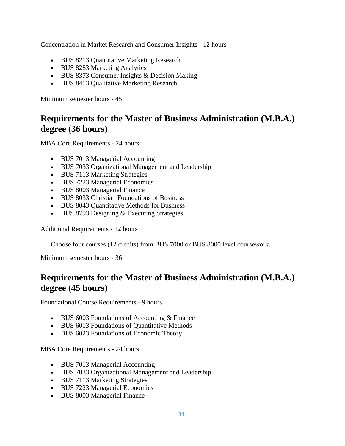Concentration in Market Research and Consumer Insights - 12 hours

- BUS 8213 Quantitative Marketing Research
- BUS 8283 Marketing Analytics
- BUS 8373 Consumer Insights & Decision Making
- BUS 8413 Qualitative Marketing Research

Minimum semester hours - 45

## **Requirements for the Master of Business Administration (M.B.A.) degree (36 hours)**

MBA Core Requirements - 24 hours

- BUS 7013 Managerial Accounting
- BUS 7033 Organizational Management and Leadership
- BUS 7113 Marketing Strategies
- BUS 7223 Managerial Economics
- BUS 8003 Managerial Finance
- BUS 8033 Christian Foundations of Business
- BUS 8043 Quantitative Methods for Business
- BUS 8793 Designing & Executing Strategies

Additional Requirements - 12 hours

Choose four courses (12 credits) from BUS 7000 or BUS 8000 level coursework.

Minimum semester hours - 36

## **Requirements for the Master of Business Administration (M.B.A.) degree (45 hours)**

Foundational Course Requirements - 9 hours

- BUS 6003 Foundations of Accounting & Finance
- BUS 6013 Foundations of Quantitative Methods
- BUS 6023 Foundations of Economic Theory

MBA Core Requirements - 24 hours

- BUS 7013 Managerial Accounting
- BUS 7033 Organizational Management and Leadership
- BUS 7113 Marketing Strategies
- BUS 7223 Managerial Economics
- BUS 8003 Managerial Finance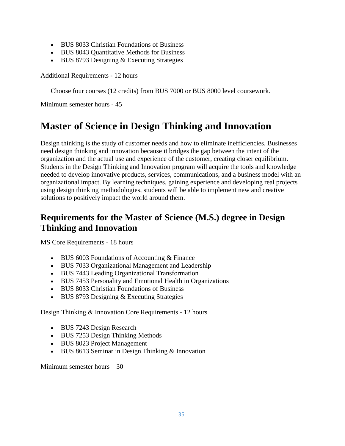- BUS 8033 Christian Foundations of Business
- BUS 8043 Quantitative Methods for Business
- BUS 8793 Designing & Executing Strategies

Additional Requirements - 12 hours

Choose four courses (12 credits) from BUS 7000 or BUS 8000 level coursework.

Minimum semester hours - 45

# **Master of Science in Design Thinking and Innovation**

Design thinking is the study of customer needs and how to eliminate inefficiencies. Businesses need design thinking and innovation because it bridges the gap between the intent of the organization and the actual use and experience of the customer, creating closer equilibrium. Students in the Design Thinking and Innovation program will acquire the tools and knowledge needed to develop innovative products, services, communications, and a business model with an organizational impact. By learning techniques, gaining experience and developing real projects using design thinking methodologies, students will be able to implement new and creative solutions to positively impact the world around them.

## **Requirements for the Master of Science (M.S.) degree in Design Thinking and Innovation**

MS Core Requirements - 18 hours

- BUS 6003 Foundations of Accounting & Finance
- BUS 7033 Organizational Management and Leadership
- BUS 7443 Leading Organizational Transformation
- BUS 7453 Personality and Emotional Health in Organizations
- BUS 8033 Christian Foundations of Business
- BUS 8793 Designing & Executing Strategies

Design Thinking & Innovation Core Requirements - 12 hours

- BUS 7243 Design Research
- BUS 7253 Design Thinking Methods
- BUS 8023 Project Management
- BUS 8613 Seminar in Design Thinking & Innovation

Minimum semester hours – 30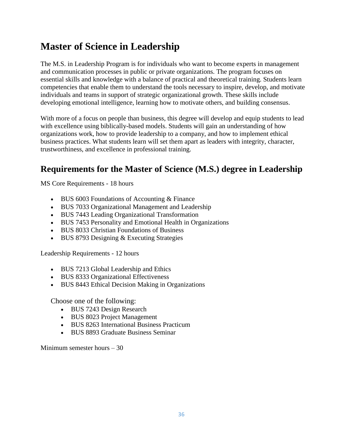# **Master of Science in Leadership**

The M.S. in Leadership Program is for individuals who want to become experts in management and communication processes in public or private organizations. The program focuses on essential skills and knowledge with a balance of practical and theoretical training. Students learn competencies that enable them to understand the tools necessary to inspire, develop, and motivate individuals and teams in support of strategic organizational growth. These skills include developing emotional intelligence, learning how to motivate others, and building consensus.

With more of a focus on people than business, this degree will develop and equip students to lead with excellence using biblically-based models. Students will gain an understanding of how organizations work, how to provide leadership to a company, and how to implement ethical business practices. What students learn will set them apart as leaders with integrity, character, trustworthiness, and excellence in professional training.

# **Requirements for the Master of Science (M.S.) degree in Leadership**

MS Core Requirements - 18 hours

- BUS 6003 Foundations of Accounting & Finance
- BUS 7033 Organizational Management and Leadership
- BUS 7443 Leading Organizational Transformation
- BUS 7453 Personality and Emotional Health in Organizations
- BUS 8033 Christian Foundations of Business
- BUS 8793 Designing & Executing Strategies

Leadership Requirements - 12 hours

- BUS 7213 Global Leadership and Ethics
- BUS 8333 Organizational Effectiveness
- BUS 8443 Ethical Decision Making in Organizations

Choose one of the following:

- BUS 7243 Design Research
- BUS 8023 Project Management
- BUS 8263 International Business Practicum
- BUS 8893 Graduate Business Seminar

Minimum semester hours – 30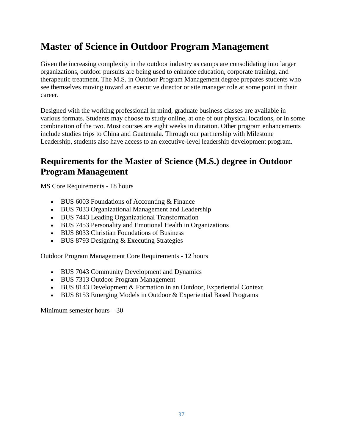# **Master of Science in Outdoor Program Management**

Given the increasing complexity in the outdoor industry as camps are consolidating into larger organizations, outdoor pursuits are being used to enhance education, corporate training, and therapeutic treatment. The M.S. in Outdoor Program Management degree prepares students who see themselves moving toward an executive director or site manager role at some point in their career.

Designed with the working professional in mind, graduate business classes are available in various formats. Students may choose to study online, at one of our physical locations, or in some combination of the two. Most courses are eight weeks in duration. Other program enhancements include studies trips to China and Guatemala. Through our partnership with Milestone Leadership, students also have access to an executive-level leadership development program.

## **Requirements for the Master of Science (M.S.) degree in Outdoor Program Management**

MS Core Requirements - 18 hours

- BUS 6003 Foundations of Accounting & Finance
- BUS 7033 Organizational Management and Leadership
- BUS 7443 Leading Organizational Transformation
- BUS 7453 Personality and Emotional Health in Organizations
- BUS 8033 Christian Foundations of Business
- $\bullet$  BUS 8793 Designing & Executing Strategies

Outdoor Program Management Core Requirements - 12 hours

- BUS 7043 Community Development and Dynamics
- BUS 7313 Outdoor Program Management
- BUS 8143 Development & Formation in an Outdoor, Experiential Context
- BUS 8153 Emerging Models in Outdoor & Experiential Based Programs

Minimum semester hours – 30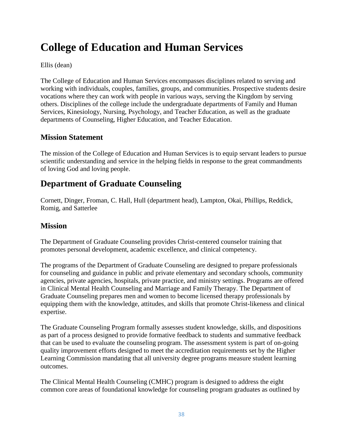# **College of Education and Human Services**

## Ellis (dean)

The College of Education and Human Services encompasses disciplines related to serving and working with individuals, couples, families, groups, and communities. Prospective students desire vocations where they can work with people in various ways, serving the Kingdom by serving others. Disciplines of the college include the undergraduate departments of Family and Human Services, Kinesiology, Nursing, Psychology, and Teacher Education, as well as the graduate departments of Counseling, Higher Education, and Teacher Education.

## **Mission Statement**

The mission of the College of Education and Human Services is to equip servant leaders to pursue scientific understanding and service in the helping fields in response to the great commandments of loving God and loving people.

## **Department of Graduate Counseling**

Cornett, Dinger, Froman, C. Hall, Hull (department head), Lampton, Okai, Phillips, Reddick, Romig, and Satterlee

## **Mission**

The Department of Graduate Counseling provides Christ-centered counselor training that promotes personal development, academic excellence, and clinical competency.

The programs of the Department of Graduate Counseling are designed to prepare professionals for counseling and guidance in public and private elementary and secondary schools, community agencies, private agencies, hospitals, private practice, and ministry settings. Programs are offered in Clinical Mental Health Counseling and Marriage and Family Therapy. The Department of Graduate Counseling prepares men and women to become licensed therapy professionals by equipping them with the knowledge, attitudes, and skills that promote Christ-likeness and clinical expertise.

The Graduate Counseling Program formally assesses student knowledge, skills, and dispositions as part of a process designed to provide formative feedback to students and summative feedback that can be used to evaluate the counseling program. The assessment system is part of on-going quality improvement efforts designed to meet the accreditation requirements set by the Higher Learning Commission mandating that all university degree programs measure student learning outcomes.

The Clinical Mental Health Counseling (CMHC) program is designed to address the eight common core areas of foundational knowledge for counseling program graduates as outlined by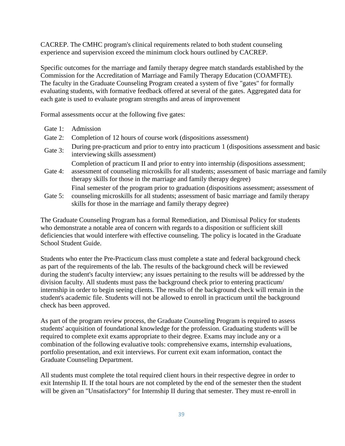CACREP. The CMHC program's clinical requirements related to both student counseling experience and supervision exceed the minimum clock hours outlined by CACREP.

Specific outcomes for the marriage and family therapy degree match standards established by the Commission for the Accreditation of Marriage and Family Therapy Education (COAMFTE). The faculty in the Graduate Counseling Program created a system of five "gates" for formally evaluating students, with formative feedback offered at several of the gates. Aggregated data for each gate is used to evaluate program strengths and areas of improvement

Formal assessments occur at the following five gates:

- Gate 1: Admission
- Gate 2: Completion of 12 hours of course work (dispositions assessment)
- Gate 3: During pre-practicum and prior to entry into practicum 1 (dispositions assessment and basic interviewing skills assessment)
	- Completion of practicum II and prior to entry into internship (dispositions assessment;
- Gate 4: assessment of counseling microskills for all students; assessment of basic marriage and family therapy skills for those in the marriage and family therapy degree) Final semester of the program prior to graduation (dispositions assessment; assessment of
- Gate 5: counseling microskills for all students; assessment of basic marriage and family therapy skills for those in the marriage and family therapy degree)

The Graduate Counseling Program has a formal Remediation, and Dismissal Policy for students who demonstrate a notable area of concern with regards to a disposition or sufficient skill deficiencies that would interfere with effective counseling. The policy is located in the Graduate School Student Guide.

Students who enter the Pre-Practicum class must complete a state and federal background check as part of the requirements of the lab. The results of the background check will be reviewed during the student's faculty interview; any issues pertaining to the results will be addressed by the division faculty. All students must pass the background check prior to entering practicum/ internship in order to begin seeing clients. The results of the background check will remain in the student's academic file. Students will not be allowed to enroll in practicum until the background check has been approved.

As part of the program review process, the Graduate Counseling Program is required to assess students' acquisition of foundational knowledge for the profession. Graduating students will be required to complete exit exams appropriate to their degree. Exams may include any or a combination of the following evaluative tools: comprehensive exams, internship evaluations, portfolio presentation, and exit interviews. For current exit exam information, contact the Graduate Counseling Department.

All students must complete the total required client hours in their respective degree in order to exit Internship II. If the total hours are not completed by the end of the semester then the student will be given an "Unsatisfactory" for Internship II during that semester. They must re-enroll in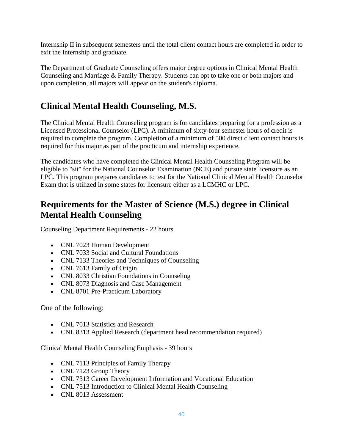Internship II in subsequent semesters until the total client contact hours are completed in order to exit the Internship and graduate.

The Department of Graduate Counseling offers major degree options in Clinical Mental Health Counseling and Marriage & Family Therapy. Students can opt to take one or both majors and upon completion, all majors will appear on the student's diploma.

## **Clinical Mental Health Counseling, M.S.**

The Clinical Mental Health Counseling program is for candidates preparing for a profession as a Licensed Professional Counselor (LPC). A minimum of sixty-four semester hours of credit is required to complete the program. Completion of a minimum of 500 direct client contact hours is required for this major as part of the practicum and internship experience.

The candidates who have completed the Clinical Mental Health Counseling Program will be eligible to "sit" for the National Counselor Examination (NCE) and pursue state licensure as an LPC. This program prepares candidates to test for the National Clinical Mental Health Counselor Exam that is utilized in some states for licensure either as a LCMHC or LPC.

## **Requirements for the Master of Science (M.S.) degree in Clinical Mental Health Counseling**

Counseling Department Requirements - 22 hours

- CNL 7023 Human Development
- CNL 7033 Social and Cultural Foundations
- CNL 7133 Theories and Techniques of Counseling
- CNL 7613 Family of Origin
- CNL 8033 Christian Foundations in Counseling
- CNL 8073 Diagnosis and Case Management
- CNL 8701 Pre-Practicum Laboratory

One of the following:

- CNL 7013 Statistics and Research
- CNL 8313 Applied Research (department head recommendation required)

Clinical Mental Health Counseling Emphasis - 39 hours

- CNL 7113 Principles of Family Therapy
- CNL 7123 Group Theory
- CNL 7313 Career Development Information and Vocational Education
- CNL 7513 Introduction to Clinical Mental Health Counseling
- CNL 8013 Assessment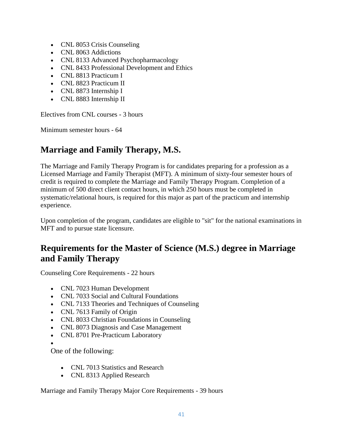- CNL 8053 Crisis Counseling
- CNL 8063 Addictions
- CNL 8133 Advanced Psychopharmacology
- CNL 8433 Professional Development and Ethics
- CNL 8813 Practicum I
- CNL 8823 Practicum II
- CNL 8873 Internship I
- CNL 8883 Internship II

Electives from CNL courses - 3 hours

Minimum semester hours - 64

## **Marriage and Family Therapy, M.S.**

The Marriage and Family Therapy Program is for candidates preparing for a profession as a Licensed Marriage and Family Therapist (MFT). A minimum of sixty-four semester hours of credit is required to complete the Marriage and Family Therapy Program. Completion of a minimum of 500 direct client contact hours, in which 250 hours must be completed in systematic/relational hours, is required for this major as part of the practicum and internship experience.

Upon completion of the program, candidates are eligible to "sit" for the national examinations in MFT and to pursue state licensure.

## **Requirements for the Master of Science (M.S.) degree in Marriage and Family Therapy**

Counseling Core Requirements - 22 hours

- CNL 7023 Human Development
- CNL 7033 Social and Cultural Foundations
- CNL 7133 Theories and Techniques of Counseling
- CNL 7613 Family of Origin
- CNL 8033 Christian Foundations in Counseling
- CNL 8073 Diagnosis and Case Management
- CNL 8701 Pre-Practicum Laboratory

 $\bullet$ 

One of the following:

- CNL 7013 Statistics and Research
- CNL 8313 Applied Research

Marriage and Family Therapy Major Core Requirements - 39 hours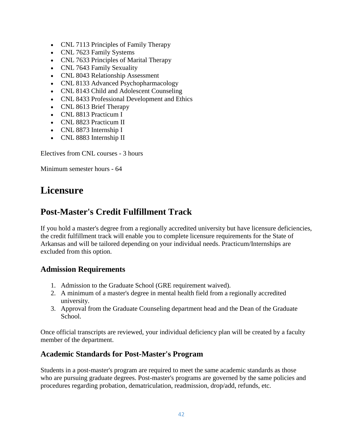- CNL 7113 Principles of Family Therapy
- CNL 7623 Family Systems
- CNL 7633 Principles of Marital Therapy
- CNL 7643 Family Sexuality
- CNL 8043 Relationship Assessment
- CNL 8133 Advanced Psychopharmacology
- CNL 8143 Child and Adolescent Counseling
- CNL 8433 Professional Development and Ethics
- CNL 8613 Brief Therapy
- CNL 8813 Practicum I
- CNL 8823 Practicum II
- CNL 8873 Internship I
- CNL 8883 Internship II

Electives from CNL courses - 3 hours

Minimum semester hours - 64

## **Licensure**

## **Post-Master's Credit Fulfillment Track**

If you hold a master's degree from a regionally accredited university but have licensure deficiencies, the credit fulfillment track will enable you to complete licensure requirements for the State of Arkansas and will be tailored depending on your individual needs. Practicum/Internships are excluded from this option.

## **Admission Requirements**

- 1. Admission to the Graduate School (GRE requirement waived).
- 2. A minimum of a master's degree in mental health field from a regionally accredited university.
- 3. Approval from the Graduate Counseling department head and the Dean of the Graduate School.

Once official transcripts are reviewed, your individual deficiency plan will be created by a faculty member of the department.

## **Academic Standards for Post-Master's Program**

Students in a post-master's program are required to meet the same academic standards as those who are pursuing graduate degrees. Post-master's programs are governed by the same policies and procedures regarding probation, dematriculation, readmission, drop/add, refunds, etc.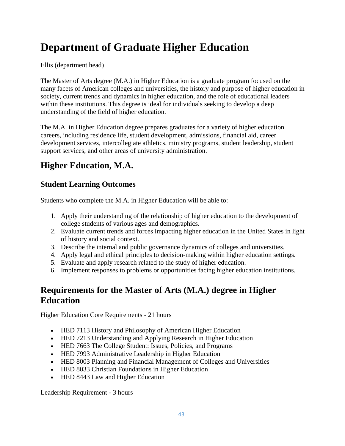# **Department of Graduate Higher Education**

Ellis (department head)

The Master of Arts degree (M.A.) in Higher Education is a graduate program focused on the many facets of American colleges and universities, the history and purpose of higher education in society, current trends and dynamics in higher education, and the role of educational leaders within these institutions. This degree is ideal for individuals seeking to develop a deep understanding of the field of higher education.

The M.A. in Higher Education degree prepares graduates for a variety of higher education careers, including residence life, student development, admissions, financial aid, career development services, intercollegiate athletics, ministry programs, student leadership, student support services, and other areas of university administration.

## **Higher Education, M.A.**

## **Student Learning Outcomes**

Students who complete the M.A. in Higher Education will be able to:

- 1. Apply their understanding of the relationship of higher education to the development of college students of various ages and demographics.
- 2. Evaluate current trends and forces impacting higher education in the United States in light of history and social context.
- 3. Describe the internal and public governance dynamics of colleges and universities.
- 4. Apply legal and ethical principles to decision-making within higher education settings.
- 5. Evaluate and apply research related to the study of higher education.
- 6. Implement responses to problems or opportunities facing higher education institutions.

## **Requirements for the Master of Arts (M.A.) degree in Higher Education**

Higher Education Core Requirements - 21 hours

- HED 7113 History and Philosophy of American Higher Education
- HED 7213 Understanding and Applying Research in Higher Education
- HED 7663 The College Student: Issues, Policies, and Programs
- HED 7993 Administrative Leadership in Higher Education
- HED 8003 Planning and Financial Management of Colleges and Universities
- HED 8033 Christian Foundations in Higher Education
- HED 8443 Law and Higher Education

Leadership Requirement - 3 hours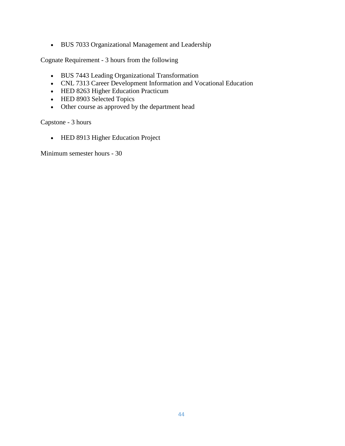BUS 7033 Organizational Management and Leadership

Cognate Requirement - 3 hours from the following

- BUS 7443 Leading Organizational Transformation
- CNL 7313 Career Development Information and Vocational Education
- HED 8263 Higher Education Practicum
- HED 8903 Selected Topics
- Other course as approved by the department head

Capstone - 3 hours

• HED 8913 Higher Education Project

Minimum semester hours - 30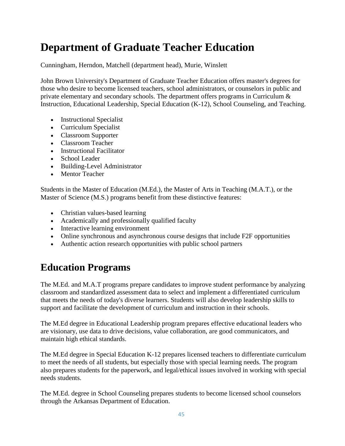# **Department of Graduate Teacher Education**

Cunningham, Herndon, Matchell (department head), Murie, Winslett

John Brown University's Department of Graduate Teacher Education offers master's degrees for those who desire to become licensed teachers, school administrators, or counselors in public and private elementary and secondary schools. The department offers programs in Curriculum & Instruction, Educational Leadership, Special Education (K-12), School Counseling, and Teaching.

- Instructional Specialist
- Curriculum Specialist
- Classroom Supporter
- Classroom Teacher
- Instructional Facilitator
- School Leader
- Building-Level Administrator
- Mentor Teacher

Students in the Master of Education (M.Ed.), the Master of Arts in Teaching (M.A.T.), or the Master of Science (M.S.) programs benefit from these distinctive features:

- Christian values-based learning
- Academically and professionally qualified faculty
- Interactive learning environment
- Online synchronous and asynchronous course designs that include F2F opportunities
- Authentic action research opportunities with public school partners

## **Education Programs**

The M.Ed. and M.A.T programs prepare candidates to improve student performance by analyzing classroom and standardized assessment data to select and implement a differentiated curriculum that meets the needs of today's diverse learners. Students will also develop leadership skills to support and facilitate the development of curriculum and instruction in their schools.

The M.Ed degree in Educational Leadership program prepares effective educational leaders who are visionary, use data to drive decisions, value collaboration, are good communicators, and maintain high ethical standards.

The M.Ed degree in Special Education K-12 prepares licensed teachers to differentiate curriculum to meet the needs of all students, but especially those with special learning needs. The program also prepares students for the paperwork, and legal/ethical issues involved in working with special needs students.

The M.Ed. degree in School Counseling prepares students to become licensed school counselors through the Arkansas Department of Education.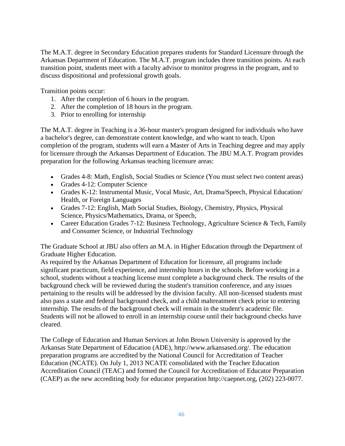The M.A.T. degree in Secondary Education prepares students for Standard Licensure through the Arkansas Department of Education. The M.A.T. program includes three transition points. At each transition point, students meet with a faculty advisor to monitor progress in the program, and to discuss dispositional and professional growth goals.

Transition points occur:

- 1. After the completion of 6 hours in the program.
- 2. After the completion of 18 hours in the program.
- 3. Prior to enrolling for internship

The M.A.T. degree in Teaching is a 36-hour master's program designed for individuals who have a bachelor's degree, can demonstrate content knowledge, and who want to teach. Upon completion of the program, students will earn a Master of Arts in Teaching degree and may apply for licensure through the Arkansas Department of Education. The JBU M.A.T. Program provides preparation for the following Arkansas teaching licensure areas:

- Grades 4-8: Math, English, Social Studies or Science (You must select two content areas)
- Grades 4-12: Computer Science
- Grades K-12: Instrumental Music, Vocal Music, Art, Drama/Speech, Physical Education/ Health, or Foreign Languages
- Grades 7-12: English, Math Social Studies, Biology, Chemistry, Physics, Physical Science, Physics/Mathematics, Drama, or Speech,
- Career Education Grades 7-12: Business Technology, Agriculture Science & Tech, Family and Consumer Science, or Industrial Technology

The Graduate School at JBU also offers an M.A. in Higher Education through the Department of Graduate Higher Education.

As required by the Arkansas Department of Education for licensure, all programs include significant practicum, field experience, and internship hours in the schools. Before working in a school, students without a teaching license must complete a background check. The results of the background check will be reviewed during the student's transition conference, and any issues pertaining to the results will be addressed by the division faculty. All non-licensed students must also pass a state and federal background check, and a child maltreatment check prior to entering internship. The results of the background check will remain in the student's academic file. Students will not be allowed to enroll in an internship course until their background checks have cleared.

The College of Education and Human Services at John Brown University is approved by the Arkansas State Department of Education (ADE), http://www.arkansased.org/. The education preparation programs are accredited by the National Council for Accreditation of Teacher Education (NCATE). On July 1, 2013 NCATE consolidated with the Teacher Education Accreditation Council (TEAC) and formed the Council for Accreditation of Educator Preparation (CAEP) as the new accrediting body for educator preparation http://caepnet.org, (202) 223-0077.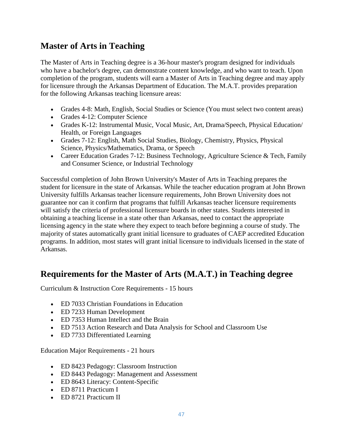## **Master of Arts in Teaching**

The Master of Arts in Teaching degree is a 36-hour master's program designed for individuals who have a bachelor's degree, can demonstrate content knowledge, and who want to teach. Upon completion of the program, students will earn a Master of Arts in Teaching degree and may apply for licensure through the Arkansas Department of Education. The M.A.T. provides preparation for the following Arkansas teaching licensure areas:

- Grades 4-8: Math, English, Social Studies or Science (You must select two content areas)
- Grades 4-12: Computer Science
- Grades K-12: Instrumental Music, Vocal Music, Art, Drama/Speech, Physical Education/ Health, or Foreign Languages
- Grades 7-12: English, Math Social Studies, Biology, Chemistry, Physics, Physical Science, Physics/Mathematics, Drama, or Speech
- Career Education Grades 7-12: Business Technology, Agriculture Science & Tech, Family and Consumer Science, or Industrial Technology

Successful completion of John Brown University's Master of Arts in Teaching prepares the student for licensure in the state of Arkansas. While the teacher education program at John Brown University fulfills Arkansas teacher licensure requirements, John Brown University does not guarantee nor can it confirm that programs that fulfill Arkansas teacher licensure requirements will satisfy the criteria of professional licensure boards in other states. Students interested in obtaining a teaching license in a state other than Arkansas, need to contact the appropriate licensing agency in the state where they expect to teach before beginning a course of study. The majority of states automatically grant initial licensure to graduates of CAEP accredited Education programs. In addition, most states will grant initial licensure to individuals licensed in the state of Arkansas.

## **Requirements for the Master of Arts (M.A.T.) in Teaching degree**

Curriculum & Instruction Core Requirements - 15 hours

- ED 7033 Christian Foundations in Education
- ED 7233 Human Development
- ED 7353 Human Intellect and the Brain
- ED 7513 Action Research and Data Analysis for School and Classroom Use
- ED 7733 Differentiated Learning

Education Major Requirements - 21 hours

- ED 8423 Pedagogy: Classroom Instruction
- ED 8443 Pedagogy: Management and Assessment
- ED 8643 Literacy: Content-Specific
- ED 8711 Practicum I
- ED 8721 Practicum II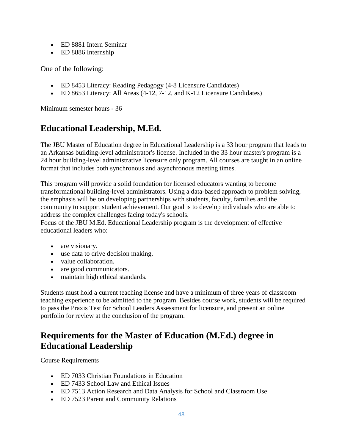- ED 8881 Intern Seminar
- ED 8886 Internship

One of the following:

- ED 8453 Literacy: Reading Pedagogy (4-8 Licensure Candidates)
- ED 8653 Literacy: All Areas (4-12, 7-12, and K-12 Licensure Candidates)

Minimum semester hours - 36

## **Educational Leadership, M.Ed.**

The JBU Master of Education degree in Educational Leadership is a 33 hour program that leads to an Arkansas building-level administrator's license. Included in the 33 hour master's program is a 24 hour building-level administrative licensure only program. All courses are taught in an online format that includes both synchronous and asynchronous meeting times.

This program will provide a solid foundation for licensed educators wanting to become transformational building-level administrators. Using a data-based approach to problem solving, the emphasis will be on developing partnerships with students, faculty, families and the community to support student achievement. Our goal is to develop individuals who are able to address the complex challenges facing today's schools.

Focus of the JBU M.Ed. Educational Leadership program is the development of effective educational leaders who:

- are visionary.
- use data to drive decision making.
- value collaboration.
- are good communicators.
- maintain high ethical standards.

Students must hold a current teaching license and have a minimum of three years of classroom teaching experience to be admitted to the program. Besides course work, students will be required to pass the Praxis Test for School Leaders Assessment for licensure, and present an online portfolio for review at the conclusion of the program.

## **Requirements for the Master of Education (M.Ed.) degree in Educational Leadership**

Course Requirements

- ED 7033 Christian Foundations in Education
- ED 7433 School Law and Ethical Issues
- ED 7513 Action Research and Data Analysis for School and Classroom Use
- ED 7523 Parent and Community Relations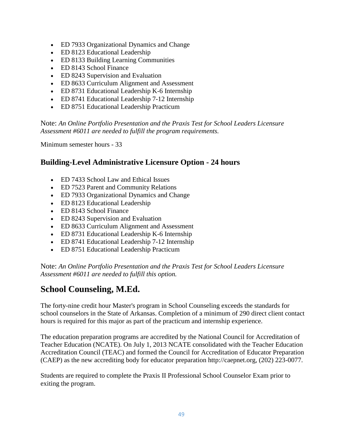- ED 7933 Organizational Dynamics and Change
- ED 8123 Educational Leadership
- ED 8133 Building Learning Communities
- ED 8143 School Finance
- ED 8243 Supervision and Evaluation
- ED 8633 Curriculum Alignment and Assessment
- ED 8731 Educational Leadership K-6 Internship
- ED 8741 Educational Leadership 7-12 Internship
- ED 8751 Educational Leadership Practicum

Note: *An Online Portfolio Presentation and the Praxis Test for School Leaders Licensure Assessment #6011 are needed to fulfill the program requirements.*

Minimum semester hours - 33

## **Building-Level Administrative Licensure Option - 24 hours**

- ED 7433 School Law and Ethical Issues
- ED 7523 Parent and Community Relations
- ED 7933 Organizational Dynamics and Change
- ED 8123 Educational Leadership
- ED 8143 School Finance
- ED 8243 Supervision and Evaluation
- ED 8633 Curriculum Alignment and Assessment
- ED 8731 Educational Leadership K-6 Internship
- ED 8741 Educational Leadership 7-12 Internship
- ED 8751 Educational Leadership Practicum

Note: *An Online Portfolio Presentation and the Praxis Test for School Leaders Licensure Assessment #6011 are needed to fulfill this option.*

## **School Counseling, M.Ed.**

The forty-nine credit hour Master's program in School Counseling exceeds the standards for school counselors in the State of Arkansas. Completion of a minimum of 290 direct client contact hours is required for this major as part of the practicum and internship experience.

The education preparation programs are accredited by the National Council for Accreditation of Teacher Education (NCATE). On July 1, 2013 NCATE consolidated with the Teacher Education Accreditation Council (TEAC) and formed the Council for Accreditation of Educator Preparation (CAEP) as the new accrediting body for educator preparation http://caepnet.org, (202) 223-0077.

Students are required to complete the Praxis II Professional School Counselor Exam prior to exiting the program.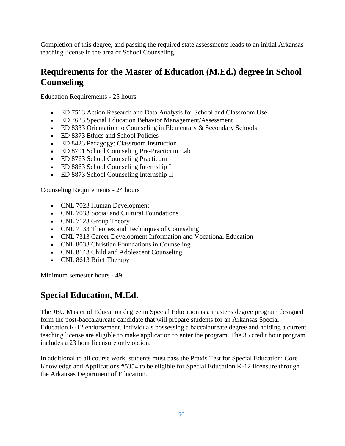Completion of this degree, and passing the required state assessments leads to an initial Arkansas teaching license in the area of School Counseling.

## **Requirements for the Master of Education (M.Ed.) degree in School Counseling**

Education Requirements - 25 hours

- ED 7513 Action Research and Data Analysis for School and Classroom Use
- ED 7623 Special Education Behavior Management/Assessment
- ED 8333 Orientation to Counseling in Elementary & Secondary Schools
- ED 8373 Ethics and School Policies
- ED 8423 Pedagogy: Classroom Instruction
- ED 8701 School Counseling Pre-Practicum Lab
- ED 8763 School Counseling Practicum
- ED 8863 School Counseling Internship I
- ED 8873 School Counseling Internship II

Counseling Requirements - 24 hours

- CNL 7023 Human Development
- CNL 7033 Social and Cultural Foundations
- CNL 7123 Group Theory
- CNL 7133 Theories and Techniques of Counseling
- CNL 7313 Career Development Information and Vocational Education
- CNL 8033 Christian Foundations in Counseling
- CNL 8143 Child and Adolescent Counseling
- CNL 8613 Brief Therapy

Minimum semester hours - 49

## **Special Education, M.Ed.**

The JBU Master of Education degree in Special Education is a master's degree program designed form the post-baccalaureate candidate that will prepare students for an Arkansas Special Education K-12 endorsement. Individuals possessing a baccalaureate degree and holding a current teaching license are eligible to make application to enter the program. The 35 credit hour program includes a 23 hour licensure only option.

In additional to all course work, students must pass the Praxis Test for Special Education: Core Knowledge and Applications #5354 to be eligible for Special Education K-12 licensure through the Arkansas Department of Education.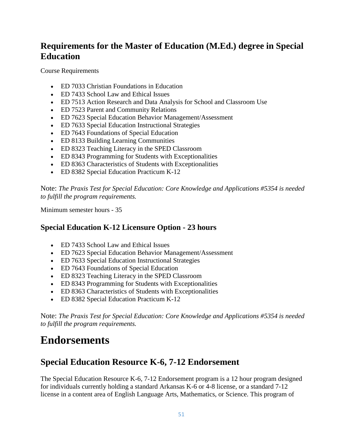## **Requirements for the Master of Education (M.Ed.) degree in Special Education**

Course Requirements

- ED 7033 Christian Foundations in Education
- ED 7433 School Law and Ethical Issues
- ED 7513 Action Research and Data Analysis for School and Classroom Use
- ED 7523 Parent and Community Relations
- ED 7623 Special Education Behavior Management/Assessment
- ED 7633 Special Education Instructional Strategies
- ED 7643 Foundations of Special Education
- ED 8133 Building Learning Communities
- ED 8323 Teaching Literacy in the SPED Classroom
- ED 8343 Programming for Students with Exceptionalities
- ED 8363 Characteristics of Students with Exceptionalities
- ED 8382 Special Education Practicum K-12

Note: *The Praxis Test for Special Education: Core Knowledge and Applications #5354 is needed to fulfill the program requirements.*

Minimum semester hours - 35

## **Special Education K-12 Licensure Option - 23 hours**

- ED 7433 School Law and Ethical Issues
- ED 7623 Special Education Behavior Management/Assessment
- ED 7633 Special Education Instructional Strategies
- ED 7643 Foundations of Special Education
- ED 8323 Teaching Literacy in the SPED Classroom
- ED 8343 Programming for Students with Exceptionalities
- ED 8363 Characteristics of Students with Exceptionalities
- ED 8382 Special Education Practicum K-12

Note: *The Praxis Test for Special Education: Core Knowledge and Applications #5354 is needed to fulfill the program requirements.*

## **Endorsements**

## **Special Education Resource K-6, 7-12 Endorsement**

The Special Education Resource K-6, 7-12 Endorsement program is a 12 hour program designed for individuals currently holding a standard Arkansas K-6 or 4-8 license, or a standard 7-12 license in a content area of English Language Arts, Mathematics, or Science. This program of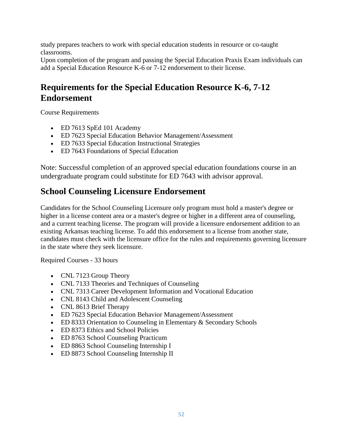study prepares teachers to work with special education students in resource or co-taught classrooms.

Upon completion of the program and passing the Special Education Praxis Exam individuals can add a Special Education Resource K-6 or 7-12 endorsement to their license.

## **Requirements for the Special Education Resource K-6, 7-12 Endorsement**

Course Requirements

- ED 7613 SpEd 101 Academy
- ED 7623 Special Education Behavior Management/Assessment
- ED 7633 Special Education Instructional Strategies
- ED 7643 Foundations of Special Education

Note: Successful completion of an approved special education foundations course in an undergraduate program could substitute for ED 7643 with advisor approval.

## **School Counseling Licensure Endorsement**

Candidates for the School Counseling Licensure only program must hold a master's degree or higher in a license content area or a master's degree or higher in a different area of counseling, and a current teaching license. The program will provide a licensure endorsement addition to an existing Arkansas teaching license. To add this endorsement to a license from another state, candidates must check with the licensure office for the rules and requirements governing licensure in the state where they seek licensure.

Required Courses - 33 hours

- CNL 7123 Group Theory
- CNL 7133 Theories and Techniques of Counseling
- CNL 7313 Career Development Information and Vocational Education
- CNL 8143 Child and Adolescent Counseling
- CNL 8613 Brief Therapy
- ED 7623 Special Education Behavior Management/Assessment
- ED 8333 Orientation to Counseling in Elementary & Secondary Schools
- ED 8373 Ethics and School Policies
- ED 8763 School Counseling Practicum
- ED 8863 School Counseling Internship I
- ED 8873 School Counseling Internship II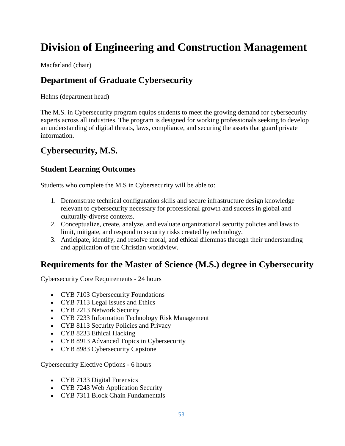# **Division of Engineering and Construction Management**

Macfarland (chair)

## **Department of Graduate Cybersecurity**

Helms (department head)

The M.S. in Cybersecurity program equips students to meet the growing demand for cybersecurity experts across all industries. The program is designed for working professionals seeking to develop an understanding of digital threats, laws, compliance, and securing the assets that guard private information.

## **Cybersecurity, M.S.**

## **Student Learning Outcomes**

Students who complete the M.S in Cybersecurity will be able to:

- 1. Demonstrate technical configuration skills and secure infrastructure design knowledge relevant to cybersecurity necessary for professional growth and success in global and culturally-diverse contexts.
- 2. Conceptualize, create, analyze, and evaluate organizational security policies and laws to limit, mitigate, and respond to security risks created by technology.
- 3. Anticipate, identify, and resolve moral, and ethical dilemmas through their understanding and application of the Christian worldview.

## **Requirements for the Master of Science (M.S.) degree in Cybersecurity**

Cybersecurity Core Requirements - 24 hours

- CYB 7103 Cybersecurity Foundations
- CYB 7113 Legal Issues and Ethics
- CYB 7213 Network Security
- CYB 7233 Information Technology Risk Management
- CYB 8113 Security Policies and Privacy
- CYB 8233 Ethical Hacking
- CYB 8913 Advanced Topics in Cybersecurity
- CYB 8983 Cybersecurity Capstone

Cybersecurity Elective Options - 6 hours

- CYB 7133 Digital Forensics
- CYB 7243 Web Application Security
- CYB 7311 Block Chain Fundamentals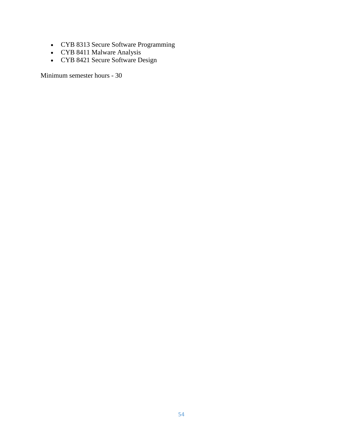- CYB 8313 Secure Software Programming
- CYB 8411 Malware Analysis
- CYB 8421 Secure Software Design

Minimum semester hours - 30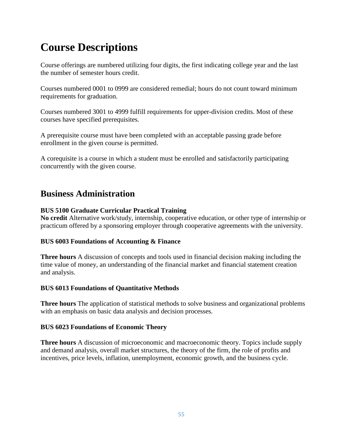# **Course Descriptions**

Course offerings are numbered utilizing four digits, the first indicating college year and the last the number of semester hours credit.

Courses numbered 0001 to 0999 are considered remedial; hours do not count toward minimum requirements for graduation.

Courses numbered 3001 to 4999 fulfill requirements for upper-division credits. Most of these courses have specified prerequisites.

A prerequisite course must have been completed with an acceptable passing grade before enrollment in the given course is permitted.

A corequisite is a course in which a student must be enrolled and satisfactorily participating concurrently with the given course.

## **Business Administration**

## **BUS 5100 Graduate Curricular Practical Training**

**No credit** Alternative work/study, internship, cooperative education, or other type of internship or practicum offered by a sponsoring employer through cooperative agreements with the university.

## **BUS 6003 Foundations of Accounting & Finance**

**Three hours** A discussion of concepts and tools used in financial decision making including the time value of money, an understanding of the financial market and financial statement creation and analysis.

## **BUS 6013 Foundations of Quantitative Methods**

**Three hours** The application of statistical methods to solve business and organizational problems with an emphasis on basic data analysis and decision processes.

## **BUS 6023 Foundations of Economic Theory**

**Three hours** A discussion of microeconomic and macroeconomic theory. Topics include supply and demand analysis, overall market structures, the theory of the firm, the role of profits and incentives, price levels, inflation, unemployment, economic growth, and the business cycle.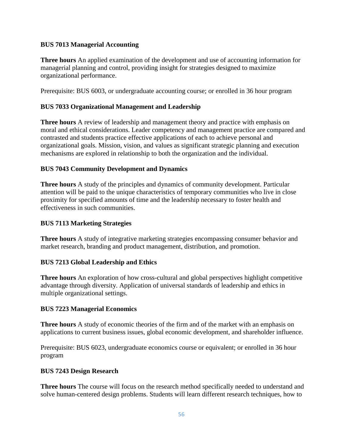## **BUS 7013 Managerial Accounting**

**Three hours** An applied examination of the development and use of accounting information for managerial planning and control, providing insight for strategies designed to maximize organizational performance.

Prerequisite: BUS 6003, or undergraduate accounting course; or enrolled in 36 hour program

## **BUS 7033 Organizational Management and Leadership**

**Three hours** A review of leadership and management theory and practice with emphasis on moral and ethical considerations. Leader competency and management practice are compared and contrasted and students practice effective applications of each to achieve personal and organizational goals. Mission, vision, and values as significant strategic planning and execution mechanisms are explored in relationship to both the organization and the individual.

## **BUS 7043 Community Development and Dynamics**

**Three hours** A study of the principles and dynamics of community development. Particular attention will be paid to the unique characteristics of temporary communities who live in close proximity for specified amounts of time and the leadership necessary to foster health and effectiveness in such communities.

### **BUS 7113 Marketing Strategies**

**Three hours** A study of integrative marketing strategies encompassing consumer behavior and market research, branding and product management, distribution, and promotion.

### **BUS 7213 Global Leadership and Ethics**

**Three hours** An exploration of how cross-cultural and global perspectives highlight competitive advantage through diversity. Application of universal standards of leadership and ethics in multiple organizational settings.

### **BUS 7223 Managerial Economics**

**Three hours** A study of economic theories of the firm and of the market with an emphasis on applications to current business issues, global economic development, and shareholder influence.

Prerequisite: BUS 6023, undergraduate economics course or equivalent; or enrolled in 36 hour program

### **BUS 7243 Design Research**

**Three hours** The course will focus on the research method specifically needed to understand and solve human-centered design problems. Students will learn different research techniques, how to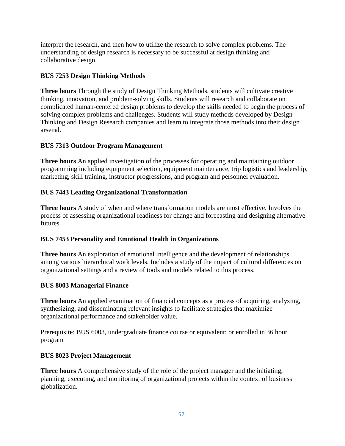interpret the research, and then how to utilize the research to solve complex problems. The understanding of design research is necessary to be successful at design thinking and collaborative design.

## **BUS 7253 Design Thinking Methods**

**Three hours** Through the study of Design Thinking Methods, students will cultivate creative thinking, innovation, and problem-solving skills. Students will research and collaborate on complicated human-centered design problems to develop the skills needed to begin the process of solving complex problems and challenges. Students will study methods developed by Design Thinking and Design Research companies and learn to integrate those methods into their design arsenal.

## **BUS 7313 Outdoor Program Management**

**Three hours** An applied investigation of the processes for operating and maintaining outdoor programming including equipment selection, equipment maintenance, trip logistics and leadership, marketing, skill training, instructor progressions, and program and personnel evaluation.

## **BUS 7443 Leading Organizational Transformation**

**Three hours** A study of when and where transformation models are most effective. Involves the process of assessing organizational readiness for change and forecasting and designing alternative futures.

## **BUS 7453 Personality and Emotional Health in Organizations**

**Three hours** An exploration of emotional intelligence and the development of relationships among various hierarchical work levels. Includes a study of the impact of cultural differences on organizational settings and a review of tools and models related to this process.

## **BUS 8003 Managerial Finance**

**Three hours** An applied examination of financial concepts as a process of acquiring, analyzing, synthesizing, and disseminating relevant insights to facilitate strategies that maximize organizational performance and stakeholder value.

Prerequisite: BUS 6003, undergraduate finance course or equivalent; or enrolled in 36 hour program

## **BUS 8023 Project Management**

**Three hours** A comprehensive study of the role of the project manager and the initiating, planning, executing, and monitoring of organizational projects within the context of business globalization.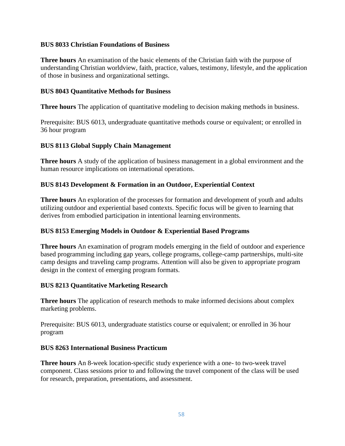### **BUS 8033 Christian Foundations of Business**

**Three hours** An examination of the basic elements of the Christian faith with the purpose of understanding Christian worldview, faith, practice, values, testimony, lifestyle, and the application of those in business and organizational settings.

## **BUS 8043 Quantitative Methods for Business**

**Three hours** The application of quantitative modeling to decision making methods in business.

Prerequisite: BUS 6013, undergraduate quantitative methods course or equivalent; or enrolled in 36 hour program

## **BUS 8113 Global Supply Chain Management**

**Three hours** A study of the application of business management in a global environment and the human resource implications on international operations.

## **BUS 8143 Development & Formation in an Outdoor, Experiential Context**

**Three hours** An exploration of the processes for formation and development of youth and adults utilizing outdoor and experiential based contexts. Specific focus will be given to learning that derives from embodied participation in intentional learning environments.

## **BUS 8153 Emerging Models in Outdoor & Experiential Based Programs**

**Three hours** An examination of program models emerging in the field of outdoor and experience based programming including gap years, college programs, college-camp partnerships, multi-site camp designs and traveling camp programs. Attention will also be given to appropriate program design in the context of emerging program formats.

### **BUS 8213 Quantitative Marketing Research**

**Three hours** The application of research methods to make informed decisions about complex marketing problems.

Prerequisite: BUS 6013, undergraduate statistics course or equivalent; or enrolled in 36 hour program

### **BUS 8263 International Business Practicum**

**Three hours** An 8-week location-specific study experience with a one- to two-week travel component. Class sessions prior to and following the travel component of the class will be used for research, preparation, presentations, and assessment.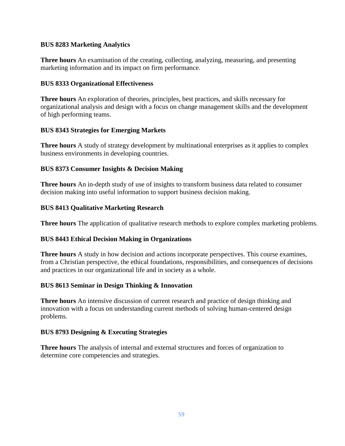## **BUS 8283 Marketing Analytics**

**Three hours** An examination of the creating, collecting, analyzing, measuring, and presenting marketing information and its impact on firm performance.

### **BUS 8333 Organizational Effectiveness**

**Three hours** An exploration of theories, principles, best practices, and skills necessary for organizational analysis and design with a focus on change management skills and the development of high performing teams.

## **BUS 8343 Strategies for Emerging Markets**

**Three hours** A study of strategy development by multinational enterprises as it applies to complex business environments in developing countries.

## **BUS 8373 Consumer Insights & Decision Making**

**Three hours** An in-depth study of use of insights to transform business data related to consumer decision making into useful information to support business decision making.

## **BUS 8413 Qualitative Marketing Research**

**Three hours** The application of qualitative research methods to explore complex marketing problems.

## **BUS 8443 Ethical Decision Making in Organizations**

**Three hours** A study in how decision and actions incorporate perspectives. This course examines, from a Christian perspective, the ethical foundations, responsibilities, and consequences of decisions and practices in our organizational life and in society as a whole.

### **BUS 8613 Seminar in Design Thinking & Innovation**

**Three hours** An intensive discussion of current research and practice of design thinking and innovation with a focus on understanding current methods of solving human-centered design problems.

### **BUS 8793 Designing & Executing Strategies**

**Three hours** The analysis of internal and external structures and forces of organization to determine core competencies and strategies.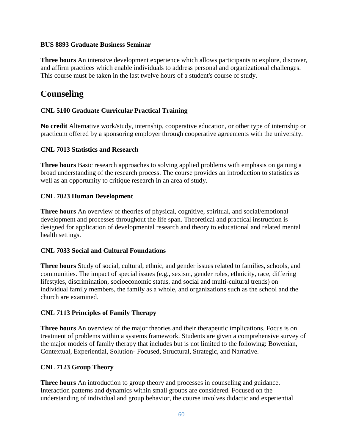## **BUS 8893 Graduate Business Seminar**

**Three hours** An intensive development experience which allows participants to explore, discover, and affirm practices which enable individuals to address personal and organizational challenges. This course must be taken in the last twelve hours of a student's course of study.

## **Counseling**

## **CNL 5100 Graduate Curricular Practical Training**

**No credit** Alternative work/study, internship, cooperative education, or other type of internship or practicum offered by a sponsoring employer through cooperative agreements with the university.

## **CNL 7013 Statistics and Research**

**Three hours** Basic research approaches to solving applied problems with emphasis on gaining a broad understanding of the research process. The course provides an introduction to statistics as well as an opportunity to critique research in an area of study.

## **CNL 7023 Human Development**

**Three hours** An overview of theories of physical, cognitive, spiritual, and social/emotional development and processes throughout the life span. Theoretical and practical instruction is designed for application of developmental research and theory to educational and related mental health settings.

### **CNL 7033 Social and Cultural Foundations**

**Three hours** Study of social, cultural, ethnic, and gender issues related to families, schools, and communities. The impact of special issues (e.g., sexism, gender roles, ethnicity, race, differing lifestyles, discrimination, socioeconomic status, and social and multi-cultural trends) on individual family members, the family as a whole, and organizations such as the school and the church are examined.

## **CNL 7113 Principles of Family Therapy**

**Three hours** An overview of the major theories and their therapeutic implications. Focus is on treatment of problems within a systems framework. Students are given a comprehensive survey of the major models of family therapy that includes but is not limited to the following: Bowenian, Contextual, Experiential, Solution- Focused, Structural, Strategic, and Narrative.

### **CNL 7123 Group Theory**

**Three hours** An introduction to group theory and processes in counseling and guidance. Interaction patterns and dynamics within small groups are considered. Focused on the understanding of individual and group behavior, the course involves didactic and experiential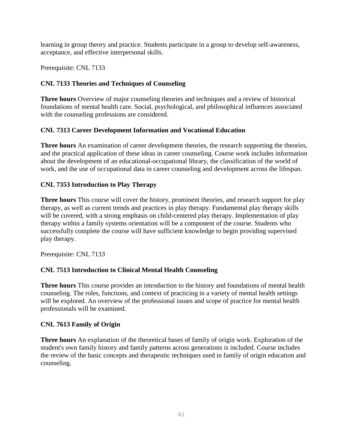learning in group theory and practice. Students participate in a group to develop self-awareness, acceptance, and effective interpersonal skills.

Prerequisite: CNL 7133

## **CNL 7133 Theories and Techniques of Counseling**

**Three hours** Overview of major counseling theories and techniques and a review of historical foundations of mental health care. Social, psychological, and philosophical influences associated with the counseling professions are considered.

## **CNL 7313 Career Development Information and Vocational Education**

**Three hours** An examination of career development theories, the research supporting the theories, and the practical application of these ideas in career counseling. Course work includes information about the development of an educational-occupational library, the classification of the world of work, and the use of occupational data in career counseling and development across the lifespan.

## **CNL 7353 Introduction to Play Therapy**

**Three hours** This course will cover the history, prominent theories, and research support for play therapy, as well as current trends and practices in play therapy. Fundamental play therapy skills will be covered, with a strong emphasis on child-centered play therapy. Implementation of play therapy within a family systems orientation will be a component of the course. Students who successfully complete the course will have sufficient knowledge to begin providing supervised play therapy.

Prerequisite: CNL 7133

## **CNL 7513 Introduction to Clinical Mental Health Counseling**

**Three hours** This course provides an introduction to the history and foundations of mental health counseling. The roles, functions, and context of practicing in a variety of mental health settings will be explored. An overview of the professional issues and scope of practice for mental health professionals will be examined.

## **CNL 7613 Family of Origin**

**Three hours** An explanation of the theoretical bases of family of origin work. Exploration of the student's own family history and family patterns across generations is included. Course includes the review of the basic concepts and therapeutic techniques used in family of origin education and counseling.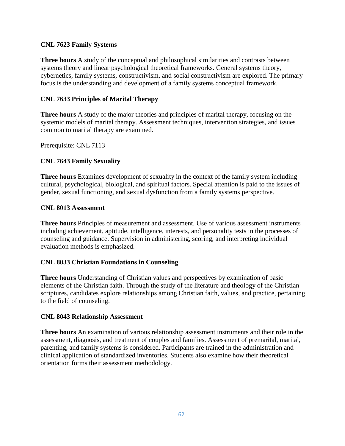## **CNL 7623 Family Systems**

**Three hours** A study of the conceptual and philosophical similarities and contrasts between systems theory and linear psychological theoretical frameworks. General systems theory, cybernetics, family systems, constructivism, and social constructivism are explored. The primary focus is the understanding and development of a family systems conceptual framework.

## **CNL 7633 Principles of Marital Therapy**

**Three hours** A study of the major theories and principles of marital therapy, focusing on the systemic models of marital therapy. Assessment techniques, intervention strategies, and issues common to marital therapy are examined.

Prerequisite: CNL 7113

## **CNL 7643 Family Sexuality**

**Three hours** Examines development of sexuality in the context of the family system including cultural, psychological, biological, and spiritual factors. Special attention is paid to the issues of gender, sexual functioning, and sexual dysfunction from a family systems perspective.

### **CNL 8013 Assessment**

**Three hours** Principles of measurement and assessment. Use of various assessment instruments including achievement, aptitude, intelligence, interests, and personality tests in the processes of counseling and guidance. Supervision in administering, scoring, and interpreting individual evaluation methods is emphasized.

### **CNL 8033 Christian Foundations in Counseling**

**Three hours** Understanding of Christian values and perspectives by examination of basic elements of the Christian faith. Through the study of the literature and theology of the Christian scriptures, candidates explore relationships among Christian faith, values, and practice, pertaining to the field of counseling.

### **CNL 8043 Relationship Assessment**

**Three hours** An examination of various relationship assessment instruments and their role in the assessment, diagnosis, and treatment of couples and families. Assessment of premarital, marital, parenting, and family systems is considered. Participants are trained in the administration and clinical application of standardized inventories. Students also examine how their theoretical orientation forms their assessment methodology.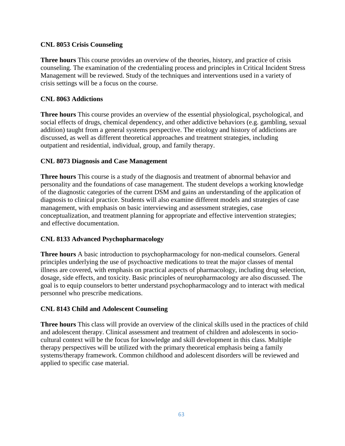## **CNL 8053 Crisis Counseling**

**Three hours** This course provides an overview of the theories, history, and practice of crisis counseling. The examination of the credentialing process and principles in Critical Incident Stress Management will be reviewed. Study of the techniques and interventions used in a variety of crisis settings will be a focus on the course.

## **CNL 8063 Addictions**

**Three hours** This course provides an overview of the essential physiological, psychological, and social effects of drugs, chemical dependency, and other addictive behaviors (e.g. gambling, sexual addition) taught from a general systems perspective. The etiology and history of addictions are discussed, as well as different theoretical approaches and treatment strategies, including outpatient and residential, individual, group, and family therapy.

## **CNL 8073 Diagnosis and Case Management**

**Three hours** This course is a study of the diagnosis and treatment of abnormal behavior and personality and the foundations of case management. The student develops a working knowledge of the diagnostic categories of the current DSM and gains an understanding of the application of diagnosis to clinical practice. Students will also examine different models and strategies of case management, with emphasis on basic interviewing and assessment strategies, case conceptualization, and treatment planning for appropriate and effective intervention strategies; and effective documentation.

## **CNL 8133 Advanced Psychopharmacology**

**Three hours** A basic introduction to psychopharmacology for non-medical counselors. General principles underlying the use of psychoactive medications to treat the major classes of mental illness are covered, with emphasis on practical aspects of pharmacology, including drug selection, dosage, side effects, and toxicity. Basic principles of neuropharmacology are also discussed. The goal is to equip counselors to better understand psychopharmacology and to interact with medical personnel who prescribe medications.

## **CNL 8143 Child and Adolescent Counseling**

**Three hours** This class will provide an overview of the clinical skills used in the practices of child and adolescent therapy. Clinical assessment and treatment of children and adolescents in sociocultural context will be the focus for knowledge and skill development in this class. Multiple therapy perspectives will be utilized with the primary theoretical emphasis being a family systems/therapy framework. Common childhood and adolescent disorders will be reviewed and applied to specific case material.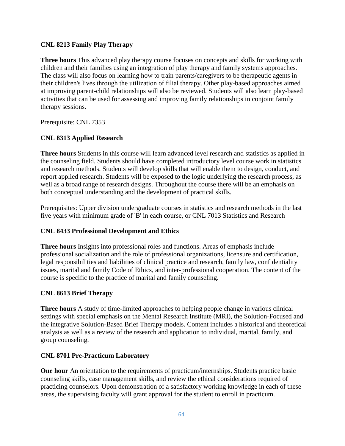## **CNL 8213 Family Play Therapy**

**Three hours** This advanced play therapy course focuses on concepts and skills for working with children and their families using an integration of play therapy and family systems approaches. The class will also focus on learning how to train parents/caregivers to be therapeutic agents in their children's lives through the utilization of filial therapy. Other play-based approaches aimed at improving parent-child relationships will also be reviewed. Students will also learn play-based activities that can be used for assessing and improving family relationships in conjoint family therapy sessions.

Prerequisite: CNL 7353

## **CNL 8313 Applied Research**

**Three hours** Students in this course will learn advanced level research and statistics as applied in the counseling field. Students should have completed introductory level course work in statistics and research methods. Students will develop skills that will enable them to design, conduct, and report applied research. Students will be exposed to the logic underlying the research process, as well as a broad range of research designs. Throughout the course there will be an emphasis on both conceptual understanding and the development of practical skills.

Prerequisites: Upper division undergraduate courses in statistics and research methods in the last five years with minimum grade of 'B' in each course, or CNL 7013 Statistics and Research

### **CNL 8433 Professional Development and Ethics**

**Three hours** Insights into professional roles and functions. Areas of emphasis include professional socialization and the role of professional organizations, licensure and certification, legal responsibilities and liabilities of clinical practice and research, family law, confidentiality issues, marital and family Code of Ethics, and inter-professional cooperation. The content of the course is specific to the practice of marital and family counseling.

### **CNL 8613 Brief Therapy**

**Three hours** A study of time-limited approaches to helping people change in various clinical settings with special emphasis on the Mental Research Institute (MRI), the Solution-Focused and the integrative Solution-Based Brief Therapy models. Content includes a historical and theoretical analysis as well as a review of the research and application to individual, marital, family, and group counseling.

### **CNL 8701 Pre-Practicum Laboratory**

**One hour** An orientation to the requirements of practicum/internships. Students practice basic counseling skills, case management skills, and review the ethical considerations required of practicing counselors. Upon demonstration of a satisfactory working knowledge in each of these areas, the supervising faculty will grant approval for the student to enroll in practicum.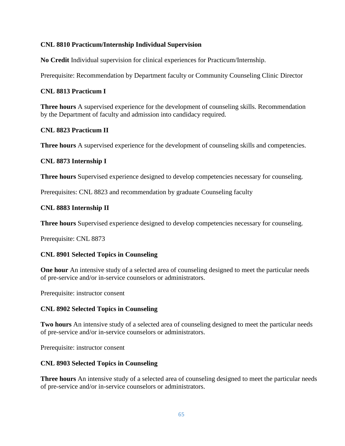## **CNL 8810 Practicum/Internship Individual Supervision**

**No Credit** Individual supervision for clinical experiences for Practicum/Internship.

Prerequisite: Recommendation by Department faculty or Community Counseling Clinic Director

#### **CNL 8813 Practicum I**

**Three hours** A supervised experience for the development of counseling skills. Recommendation by the Department of faculty and admission into candidacy required.

#### **CNL 8823 Practicum II**

**Three hours** A supervised experience for the development of counseling skills and competencies.

#### **CNL 8873 Internship I**

**Three hours** Supervised experience designed to develop competencies necessary for counseling.

Prerequisites: CNL 8823 and recommendation by graduate Counseling faculty

#### **CNL 8883 Internship II**

**Three hours** Supervised experience designed to develop competencies necessary for counseling.

Prerequisite: CNL 8873

### **CNL 8901 Selected Topics in Counseling**

**One hour** An intensive study of a selected area of counseling designed to meet the particular needs of pre-service and/or in-service counselors or administrators.

Prerequisite: instructor consent

#### **CNL 8902 Selected Topics in Counseling**

**Two hours** An intensive study of a selected area of counseling designed to meet the particular needs of pre-service and/or in-service counselors or administrators.

Prerequisite: instructor consent

#### **CNL 8903 Selected Topics in Counseling**

**Three hours** An intensive study of a selected area of counseling designed to meet the particular needs of pre-service and/or in-service counselors or administrators.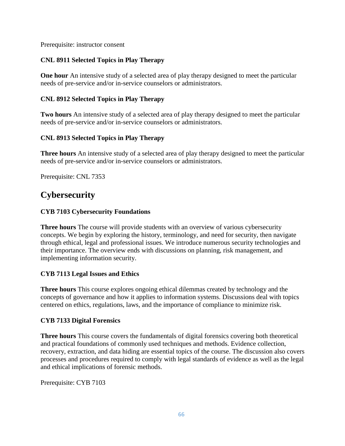Prerequisite: instructor consent

## **CNL 8911 Selected Topics in Play Therapy**

**One hour** An intensive study of a selected area of play therapy designed to meet the particular needs of pre-service and/or in-service counselors or administrators.

## **CNL 8912 Selected Topics in Play Therapy**

**Two hours** An intensive study of a selected area of play therapy designed to meet the particular needs of pre-service and/or in-service counselors or administrators.

## **CNL 8913 Selected Topics in Play Therapy**

**Three hours** An intensive study of a selected area of play therapy designed to meet the particular needs of pre-service and/or in-service counselors or administrators.

Prerequisite: CNL 7353

## **Cybersecurity**

## **CYB 7103 Cybersecurity Foundations**

**Three hours** The course will provide students with an overview of various cybersecurity concepts. We begin by exploring the history, terminology, and need for security, then navigate through ethical, legal and professional issues. We introduce numerous security technologies and their importance. The overview ends with discussions on planning, risk management, and implementing information security.

## **CYB 7113 Legal Issues and Ethics**

**Three hours** This course explores ongoing ethical dilemmas created by technology and the concepts of governance and how it applies to information systems. Discussions deal with topics centered on ethics, regulations, laws, and the importance of compliance to minimize risk.

## **CYB 7133 Digital Forensics**

**Three hours** This course covers the fundamentals of digital forensics covering both theoretical and practical foundations of commonly used techniques and methods. Evidence collection, recovery, extraction, and data hiding are essential topics of the course. The discussion also covers processes and procedures required to comply with legal standards of evidence as well as the legal and ethical implications of forensic methods.

Prerequisite: CYB 7103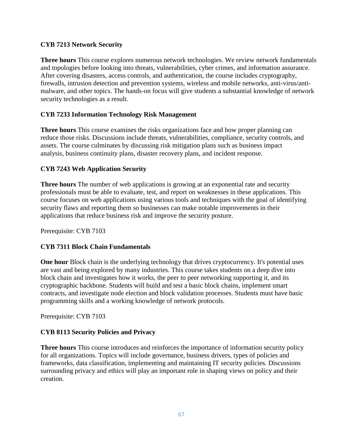## **CYB 7213 Network Security**

**Three hours** This course explores numerous network technologies. We review network fundamentals and topologies before looking into threats, vulnerabilities, cyber crimes, and information assurance. After covering disasters, access controls, and authentication, the course includes cryptography, firewalls, intrusion detection and prevention systems, wireless and mobile networks, anti-virus/antimalware, and other topics. The hands-on focus will give students a substantial knowledge of network security technologies as a result.

## **CYB 7233 Information Technology Risk Management**

**Three hours** This course examines the risks organizations face and how proper planning can reduce those risks. Discussions include threats, vulnerabilities, compliance, security controls, and assets. The course culminates by discussing risk mitigation plans such as business impact analysis, business continuity plans, disaster recovery plans, and incident response.

## **CYB 7243 Web Application Security**

**Three hours** The number of web applications is growing at an exponential rate and security professionals must be able to evaluate, test, and report on weaknesses in these applications. This course focuses on web applications using various tools and techniques with the goal of identifying security flaws and reporting them so businesses can make notable improvements in their applications that reduce business risk and improve the security posture.

Prerequisite: CYB 7103

### **CYB 7311 Block Chain Fundamentals**

**One hour** Block chain is the underlying technology that drives cryptocurrency. It's potential uses are vast and being explored by many industries. This course takes students on a deep dive into block chain and investigates how it works, the peer to peer networking supporting it, and its cryptographic backbone. Students will build and test a basic block chains, implement smart contracts, and investigate node election and block validation processes. Students must have basic programming skills and a working knowledge of network protocols.

Prerequisite: CYB 7103

### **CYB 8113 Security Policies and Privacy**

**Three hours** This course introduces and reinforces the importance of information security policy for all organizations. Topics will include governance, business drivers, types of policies and frameworks, data classification, implementing and maintaining IT security policies. Discussions surrounding privacy and ethics will play an important role in shaping views on policy and their creation.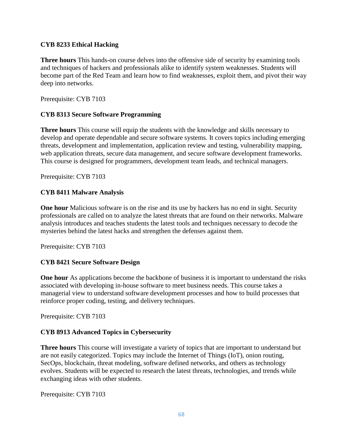## **CYB 8233 Ethical Hacking**

**Three hours** This hands-on course delves into the offensive side of security by examining tools and techniques of hackers and professionals alike to identify system weaknesses. Students will become part of the Red Team and learn how to find weaknesses, exploit them, and pivot their way deep into networks.

Prerequisite: CYB 7103

## **CYB 8313 Secure Software Programming**

**Three hours** This course will equip the students with the knowledge and skills necessary to develop and operate dependable and secure software systems. It covers topics including emerging threats, development and implementation, application review and testing, vulnerability mapping, web application threats, secure data management, and secure software development frameworks. This course is designed for programmers, development team leads, and technical managers.

Prerequisite: CYB 7103

## **CYB 8411 Malware Analysis**

**One hour** Malicious software is on the rise and its use by hackers has no end in sight. Security professionals are called on to analyze the latest threats that are found on their networks. Malware analysis introduces and teaches students the latest tools and techniques necessary to decode the mysteries behind the latest hacks and strengthen the defenses against them.

Prerequisite: CYB 7103

## **CYB 8421 Secure Software Design**

**One hour** As applications become the backbone of business it is important to understand the risks associated with developing in-house software to meet business needs. This course takes a managerial view to understand software development processes and how to build processes that reinforce proper coding, testing, and delivery techniques.

Prerequisite: CYB 7103

### **CYB 8913 Advanced Topics in Cybersecurity**

**Three hours** This course will investigate a variety of topics that are important to understand but are not easily categorized. Topics may include the Internet of Things (IoT), onion routing, SecOps, blockchain, threat modeling, software defined networks, and others as technology evolves. Students will be expected to research the latest threats, technologies, and trends while exchanging ideas with other students.

Prerequisite: CYB 7103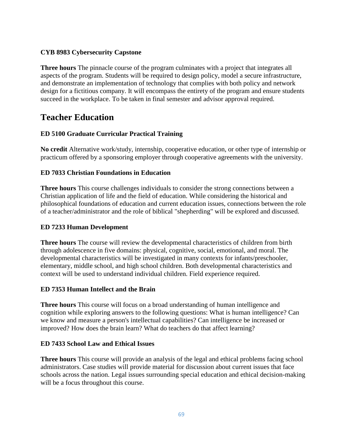## **CYB 8983 Cybersecurity Capstone**

**Three hours** The pinnacle course of the program culminates with a project that integrates all aspects of the program. Students will be required to design policy, model a secure infrastructure, and demonstrate an implementation of technology that complies with both policy and network design for a fictitious company. It will encompass the entirety of the program and ensure students succeed in the workplace. To be taken in final semester and advisor approval required.

## **Teacher Education**

## **ED 5100 Graduate Curricular Practical Training**

**No credit** Alternative work/study, internship, cooperative education, or other type of internship or practicum offered by a sponsoring employer through cooperative agreements with the university.

## **ED 7033 Christian Foundations in Education**

**Three hours** This course challenges individuals to consider the strong connections between a Christian application of life and the field of education. While considering the historical and philosophical foundations of education and current education issues, connections between the role of a teacher/administrator and the role of biblical "shepherding" will be explored and discussed.

### **ED 7233 Human Development**

**Three hours** The course will review the developmental characteristics of children from birth through adolescence in five domains: physical, cognitive, social, emotional, and moral. The developmental characteristics will be investigated in many contexts for infants/preschooler, elementary, middle school, and high school children. Both developmental characteristics and context will be used to understand individual children. Field experience required.

## **ED 7353 Human Intellect and the Brain**

**Three hours** This course will focus on a broad understanding of human intelligence and cognition while exploring answers to the following questions: What is human intelligence? Can we know and measure a person's intellectual capabilities? Can intelligence be increased or improved? How does the brain learn? What do teachers do that affect learning?

### **ED 7433 School Law and Ethical Issues**

**Three hours** This course will provide an analysis of the legal and ethical problems facing school administrators. Case studies will provide material for discussion about current issues that face schools across the nation. Legal issues surrounding special education and ethical decision-making will be a focus throughout this course.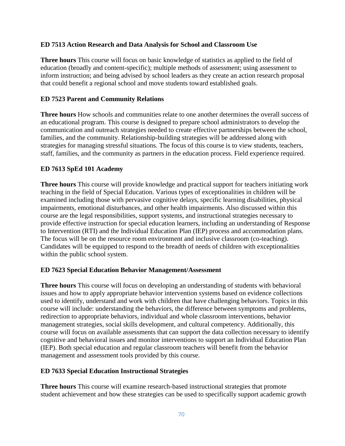## **ED 7513 Action Research and Data Analysis for School and Classroom Use**

**Three hours** This course will focus on basic knowledge of statistics as applied to the field of education (broadly and content-specific); multiple methods of assessment; using assessment to inform instruction; and being advised by school leaders as they create an action research proposal that could benefit a regional school and move students toward established goals.

## **ED 7523 Parent and Community Relations**

**Three hours** How schools and communities relate to one another determines the overall success of an educational program. This course is designed to prepare school administrators to develop the communication and outreach strategies needed to create effective partnerships between the school, families, and the community. Relationship-building strategies will be addressed along with strategies for managing stressful situations. The focus of this course is to view students, teachers, staff, families, and the community as partners in the education process. Field experience required.

## **ED 7613 SpEd 101 Academy**

**Three hours** This course will provide knowledge and practical support for teachers initiating work teaching in the field of Special Education. Various types of exceptionalities in children will be examined including those with pervasive cognitive delays, specific learning disabilities, physical impairments, emotional disturbances, and other health impairments. Also discussed within this course are the legal responsibilities, support systems, and instructional strategies necessary to provide effective instruction for special education learners, including an understanding of Response to Intervention (RTI) and the Individual Education Plan (IEP) process and accommodation plans. The focus will be on the resource room environment and inclusive classroom (co-teaching). Candidates will be equipped to respond to the breadth of needs of children with exceptionalities within the public school system.

### **ED 7623 Special Education Behavior Management/Assessment**

**Three hours** This course will focus on developing an understanding of students with behavioral issues and how to apply appropriate behavior intervention systems based on evidence collections used to identify, understand and work with children that have challenging behaviors. Topics in this course will include: understanding the behaviors, the difference between symptoms and problems, redirection to appropriate behaviors, individual and whole classroom interventions, behavior management strategies, social skills development, and cultural competency. Additionally, this course will focus on available assessments that can support the data collection necessary to identify cognitive and behavioral issues and monitor interventions to support an Individual Education Plan (IEP). Both special education and regular classroom teachers will benefit from the behavior management and assessment tools provided by this course.

### **ED 7633 Special Education Instructional Strategies**

**Three hours** This course will examine research-based instructional strategies that promote student achievement and how these strategies can be used to specifically support academic growth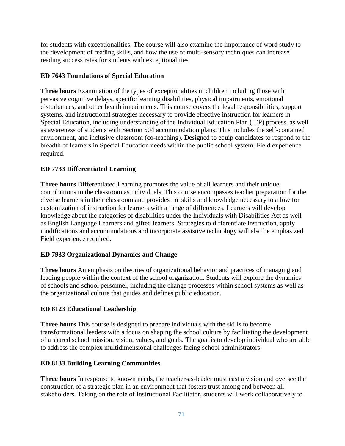for students with exceptionalities. The course will also examine the importance of word study to the development of reading skills, and how the use of multi-sensory techniques can increase reading success rates for students with exceptionalities.

## **ED 7643 Foundations of Special Education**

**Three hours** Examination of the types of exceptionalities in children including those with pervasive cognitive delays, specific learning disabilities, physical impairments, emotional disturbances, and other health impairments. This course covers the legal responsibilities, support systems, and instructional strategies necessary to provide effective instruction for learners in Special Education, including understanding of the Individual Education Plan (IEP) process, as well as awareness of students with Section 504 accommodation plans. This includes the self-contained environment, and inclusive classroom (co-teaching). Designed to equip candidates to respond to the breadth of learners in Special Education needs within the public school system. Field experience required.

## **ED 7733 Differentiated Learning**

**Three hours** Differentiated Learning promotes the value of all learners and their unique contributions to the classroom as individuals. This course encompasses teacher preparation for the diverse learners in their classroom and provides the skills and knowledge necessary to allow for customization of instruction for learners with a range of differences. Learners will develop knowledge about the categories of disabilities under the Individuals with Disabilities Act as well as English Language Learners and gifted learners. Strategies to differentiate instruction, apply modifications and accommodations and incorporate assistive technology will also be emphasized. Field experience required.

## **ED 7933 Organizational Dynamics and Change**

**Three hours** An emphasis on theories of organizational behavior and practices of managing and leading people within the context of the school organization. Students will explore the dynamics of schools and school personnel, including the change processes within school systems as well as the organizational culture that guides and defines public education.

## **ED 8123 Educational Leadership**

**Three hours** This course is designed to prepare individuals with the skills to become transformational leaders with a focus on shaping the school culture by facilitating the development of a shared school mission, vision, values, and goals. The goal is to develop individual who are able to address the complex multidimensional challenges facing school administrators.

## **ED 8133 Building Learning Communities**

**Three hours** In response to known needs, the teacher-as-leader must cast a vision and oversee the construction of a strategic plan in an environment that fosters trust among and between all stakeholders. Taking on the role of Instructional Facilitator, students will work collaboratively to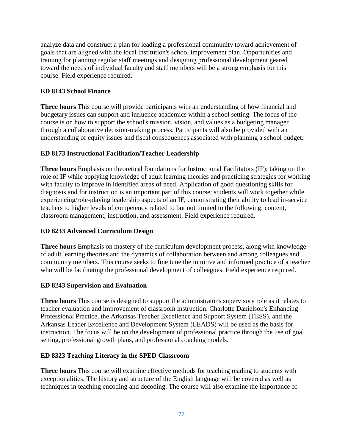analyze data and construct a plan for leading a professional community toward achievement of goals that are aligned with the local institution's school improvement plan. Opportunities and training for planning regular staff meetings and designing professional development geared toward the needs of individual faculty and staff members will be a strong emphasis for this course. Field experience required.

## **ED 8143 School Finance**

**Three hours** This course will provide participants with an understanding of how financial and budgetary issues can support and influence academics within a school setting. The focus of the course is on how to support the school's mission, vision, and values as a budgeting manager through a collaborative decision-making process. Participants will also be provided with an understanding of equity issues and fiscal consequences associated with planning a school budget.

## **ED 8173 Instructional Facilitation/Teacher Leadership**

**Three hours** Emphasis on theoretical foundations for Instructional Facilitators (IF); taking on the role of IF while applying knowledge of adult learning theories and practicing strategies for working with faculty to improve in identified areas of need. Application of good questioning skills for diagnosis and for instruction is an important part of this course; students will work together while experiencing/role-playing leadership aspects of an IF, demonstrating their ability to lead in-service teachers to higher levels of competency related to but not limited to the following: content, classroom management, instruction, and assessment. Field experience required.

### **ED 8233 Advanced Curriculum Design**

**Three hours** Emphasis on mastery of the curriculum development process, along with knowledge of adult learning theories and the dynamics of collaboration between and among colleagues and community members. This course seeks to fine tune the intuitive and informed practice of a teacher who will be facilitating the professional development of colleagues. Field experience required.

### **ED 8243 Supervision and Evaluation**

**Three hours** This course is designed to support the administrator's supervisory role as it relates to teacher evaluation and improvement of classroom instruction. Charlotte Danielson's Enhancing Professional Practice, the Arkansas Teacher Excellence and Support System (TESS), and the Arkansas Leader Excellence and Development System (LEADS) will be used as the basis for instruction. The focus will be on the development of professional practice through the use of goal setting, professional growth plans, and professional coaching models.

### **ED 8323 Teaching Literacy in the SPED Classroom**

**Three hours** This course will examine effective methods for teaching reading to students with exceptionalities. The history and structure of the English language will be covered as well as techniques in teaching encoding and decoding. The course will also examine the importance of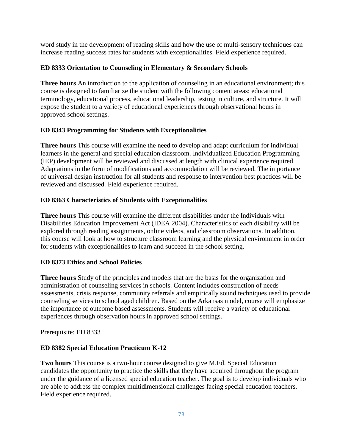word study in the development of reading skills and how the use of multi-sensory techniques can increase reading success rates for students with exceptionalities. Field experience required.

### **ED 8333 Orientation to Counseling in Elementary & Secondary Schools**

**Three hours** An introduction to the application of counseling in an educational environment; this course is designed to familiarize the student with the following content areas: educational terminology, educational process, educational leadership, testing in culture, and structure. It will expose the student to a variety of educational experiences through observational hours in approved school settings.

### **ED 8343 Programming for Students with Exceptionalities**

**Three hours** This course will examine the need to develop and adapt curriculum for individual learners in the general and special education classroom. Individualized Education Programming (IEP) development will be reviewed and discussed at length with clinical experience required. Adaptations in the form of modifications and accommodation will be reviewed. The importance of universal design instruction for all students and response to intervention best practices will be reviewed and discussed. Field experience required.

### **ED 8363 Characteristics of Students with Exceptionalities**

**Three hours** This course will examine the different disabilities under the Individuals with Disabilities Education Improvement Act (IDEA 2004). Characteristics of each disability will be explored through reading assignments, online videos, and classroom observations. In addition, this course will look at how to structure classroom learning and the physical environment in order for students with exceptionalities to learn and succeed in the school setting.

### **ED 8373 Ethics and School Policies**

**Three hours** Study of the principles and models that are the basis for the organization and administration of counseling services in schools. Content includes construction of needs assessments, crisis response, community referrals and empirically sound techniques used to provide counseling services to school aged children. Based on the Arkansas model, course will emphasize the importance of outcome based assessments. Students will receive a variety of educational experiences through observation hours in approved school settings.

Prerequisite: ED 8333

### **ED 8382 Special Education Practicum K-12**

**Two hours** This course is a two-hour course designed to give M.Ed. Special Education candidates the opportunity to practice the skills that they have acquired throughout the program under the guidance of a licensed special education teacher. The goal is to develop individuals who are able to address the complex multidimensional challenges facing special education teachers. Field experience required.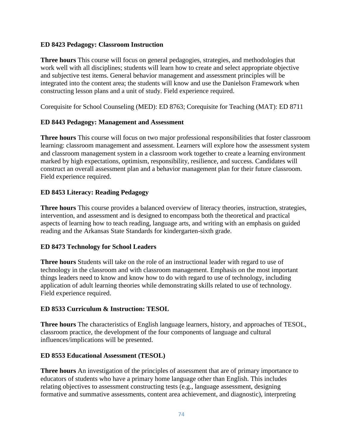#### **ED 8423 Pedagogy: Classroom Instruction**

**Three hours** This course will focus on general pedagogies, strategies, and methodologies that work well with all disciplines; students will learn how to create and select appropriate objective and subjective test items. General behavior management and assessment principles will be integrated into the content area; the students will know and use the Danielson Framework when constructing lesson plans and a unit of study. Field experience required.

Corequisite for School Counseling (MED): ED 8763; Corequisite for Teaching (MAT): ED 8711

#### **ED 8443 Pedagogy: Management and Assessment**

**Three hours** This course will focus on two major professional responsibilities that foster classroom learning: classroom management and assessment. Learners will explore how the assessment system and classroom management system in a classroom work together to create a learning environment marked by high expectations, optimism, responsibility, resilience, and success. Candidates will construct an overall assessment plan and a behavior management plan for their future classroom. Field experience required.

### **ED 8453 Literacy: Reading Pedagogy**

**Three hours** This course provides a balanced overview of literacy theories, instruction, strategies, intervention, and assessment and is designed to encompass both the theoretical and practical aspects of learning how to teach reading, language arts, and writing with an emphasis on guided reading and the Arkansas State Standards for kindergarten-sixth grade.

### **ED 8473 Technology for School Leaders**

**Three hours** Students will take on the role of an instructional leader with regard to use of technology in the classroom and with classroom management. Emphasis on the most important things leaders need to know and know how to do with regard to use of technology, including application of adult learning theories while demonstrating skills related to use of technology. Field experience required.

### **ED 8533 Curriculum & Instruction: TESOL**

**Three hours** The characteristics of English language learners, history, and approaches of TESOL, classroom practice, the development of the four components of language and cultural influences/implications will be presented.

#### **ED 8553 Educational Assessment (TESOL)**

**Three hours** An investigation of the principles of assessment that are of primary importance to educators of students who have a primary home language other than English. This includes relating objectives to assessment constructing tests (e.g., language assessment, designing formative and summative assessments, content area achievement, and diagnostic), interpreting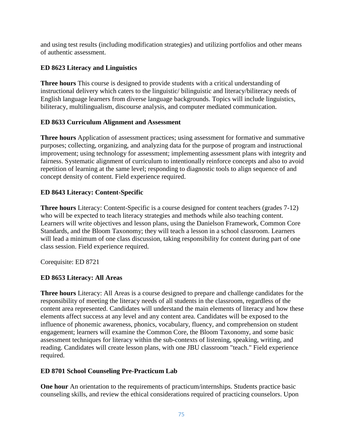and using test results (including modification strategies) and utilizing portfolios and other means of authentic assessment.

### **ED 8623 Literacy and Linguistics**

**Three hours** This course is designed to provide students with a critical understanding of instructional delivery which caters to the linguistic/ bilinguistic and literacy/biliteracy needs of English language learners from diverse language backgrounds. Topics will include linguistics, biliteracy, multilingualism, discourse analysis, and computer mediated communication.

#### **ED 8633 Curriculum Alignment and Assessment**

**Three hours** Application of assessment practices; using assessment for formative and summative purposes; collecting, organizing, and analyzing data for the purpose of program and instructional improvement; using technology for assessment; implementing assessment plans with integrity and fairness. Systematic alignment of curriculum to intentionally reinforce concepts and also to avoid repetition of learning at the same level; responding to diagnostic tools to align sequence of and concept density of content. Field experience required.

### **ED 8643 Literacy: Content-Specific**

**Three hours** Literacy: Content-Specific is a course designed for content teachers (grades 7-12) who will be expected to teach literacy strategies and methods while also teaching content. Learners will write objectives and lesson plans, using the Danielson Framework, Common Core Standards, and the Bloom Taxonomy; they will teach a lesson in a school classroom. Learners will lead a minimum of one class discussion, taking responsibility for content during part of one class session. Field experience required.

Corequisite: ED 8721

### **ED 8653 Literacy: All Areas**

**Three hours** Literacy: All Areas is a course designed to prepare and challenge candidates for the responsibility of meeting the literacy needs of all students in the classroom, regardless of the content area represented. Candidates will understand the main elements of literacy and how these elements affect success at any level and any content area. Candidates will be exposed to the influence of phonemic awareness, phonics, vocabulary, fluency, and comprehension on student engagement; learners will examine the Common Core, the Bloom Taxonomy, and some basic assessment techniques for literacy within the sub-contexts of listening, speaking, writing, and reading. Candidates will create lesson plans, with one JBU classroom "teach." Field experience required.

#### **ED 8701 School Counseling Pre-Practicum Lab**

**One hour** An orientation to the requirements of practicum/internships. Students practice basic counseling skills, and review the ethical considerations required of practicing counselors. Upon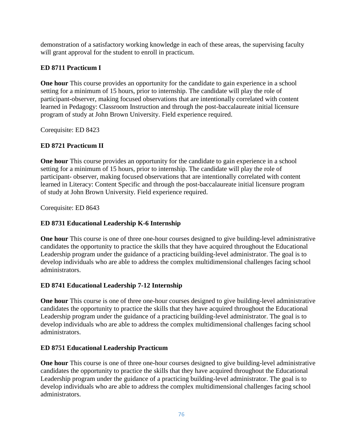demonstration of a satisfactory working knowledge in each of these areas, the supervising faculty will grant approval for the student to enroll in practicum.

### **ED 8711 Practicum I**

**One hour** This course provides an opportunity for the candidate to gain experience in a school setting for a minimum of 15 hours, prior to internship. The candidate will play the role of participant-observer, making focused observations that are intentionally correlated with content learned in Pedagogy: Classroom Instruction and through the post-baccalaureate initial licensure program of study at John Brown University. Field experience required.

Corequisite: ED 8423

#### **ED 8721 Practicum II**

**One hour** This course provides an opportunity for the candidate to gain experience in a school setting for a minimum of 15 hours, prior to internship. The candidate will play the role of participant- observer, making focused observations that are intentionally correlated with content learned in Literacy: Content Specific and through the post-baccalaureate initial licensure program of study at John Brown University. Field experience required.

Corequisite: ED 8643

#### **ED 8731 Educational Leadership K-6 Internship**

**One hour** This course is one of three one-hour courses designed to give building-level administrative candidates the opportunity to practice the skills that they have acquired throughout the Educational Leadership program under the guidance of a practicing building-level administrator. The goal is to develop individuals who are able to address the complex multidimensional challenges facing school administrators.

#### **ED 8741 Educational Leadership 7-12 Internship**

**One hour** This course is one of three one-hour courses designed to give building-level administrative candidates the opportunity to practice the skills that they have acquired throughout the Educational Leadership program under the guidance of a practicing building-level administrator. The goal is to develop individuals who are able to address the complex multidimensional challenges facing school administrators.

#### **ED 8751 Educational Leadership Practicum**

**One hour** This course is one of three one-hour courses designed to give building-level administrative candidates the opportunity to practice the skills that they have acquired throughout the Educational Leadership program under the guidance of a practicing building-level administrator. The goal is to develop individuals who are able to address the complex multidimensional challenges facing school administrators.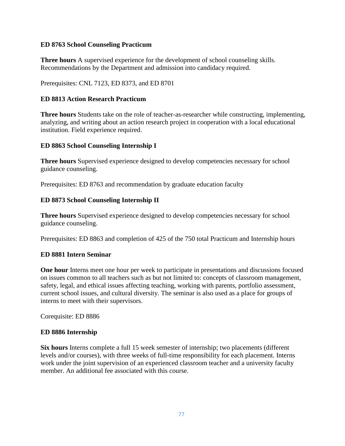#### **ED 8763 School Counseling Practicum**

**Three hours** A supervised experience for the development of school counseling skills. Recommendations by the Department and admission into candidacy required.

Prerequisites: CNL 7123, ED 8373, and ED 8701

#### **ED 8813 Action Research Practicum**

**Three hours** Students take on the role of teacher-as-researcher while constructing, implementing, analyzing, and writing about an action research project in cooperation with a local educational institution. Field experience required.

#### **ED 8863 School Counseling Internship I**

**Three hours** Supervised experience designed to develop competencies necessary for school guidance counseling.

Prerequisites: ED 8763 and recommendation by graduate education faculty

#### **ED 8873 School Counseling Internship II**

**Three hours** Supervised experience designed to develop competencies necessary for school guidance counseling.

Prerequisites: ED 8863 and completion of 425 of the 750 total Practicum and Internship hours

#### **ED 8881 Intern Seminar**

**One hour** Interns meet one hour per week to participate in presentations and discussions focused on issues common to all teachers such as but not limited to: concepts of classroom management, safety, legal, and ethical issues affecting teaching, working with parents, portfolio assessment, current school issues, and cultural diversity. The seminar is also used as a place for groups of interns to meet with their supervisors.

Corequisite: ED 8886

#### **ED 8886 Internship**

**Six hours** Interns complete a full 15 week semester of internship; two placements (different levels and/or courses), with three weeks of full-time responsibility for each placement. Interns work under the joint supervision of an experienced classroom teacher and a university faculty member. An additional fee associated with this course.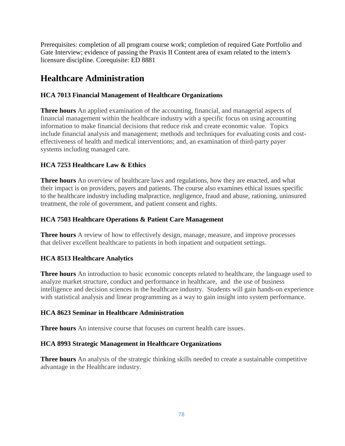Prerequisites: completion of all program course work; completion of required Gate Portfolio and Gate Interview; evidence of passing the Praxis II Content area of exam related to the intern's licensure discipline. Corequisite: ED 8881

# **Healthcare Administration**

### **HCA 7013 Financial Management of Healthcare Organizations**

**Three hours** An applied examination of the accounting, financial, and managerial aspects of financial management within the healthcare industry with a specific focus on using accounting information to make financial decisions that reduce risk and create economic value. Topics include financial analysis and management; methods and techniques for evaluating costs and costeffectiveness of health and medical interventions; and, an examination of third-party payer systems including managed care.

### **HCA 7253 Healthcare Law & Ethics**

**Three hours** An overview of healthcare laws and regulations, how they are enacted, and what their impact is on providers, payers and patients. The course also examines ethical issues specific to the healthcare industry including malpractice, negligence, fraud and abuse, rationing, uninsured treatment, the role of government, and patient consent and rights.

### **HCA 7503 Healthcare Operations & Patient Care Management**

**Three hours** A review of how to effectively design, manage, measure, and improve processes that deliver excellent healthcare to patients in both inpatient and outpatient settings.

### **HCA 8513 Healthcare Analytics**

**Three hours** An introduction to basic economic concepts related to healthcare, the language used to analyze market structure, conduct and performance in healthcare, and the use of business intelligence and decision sciences in the healthcare industry. Students will gain hands-on experience with statistical analysis and linear programming as a way to gain insight into system performance.

### **HCA 8623 Seminar in Healthcare Administration**

**Three hours** An intensive course that focuses on current health care issues.

### **HCA 8993 Strategic Management in Healthcare Organizations**

**Three hours** An analysis of the strategic thinking skills needed to create a sustainable competitive advantage in the Healthcare industry.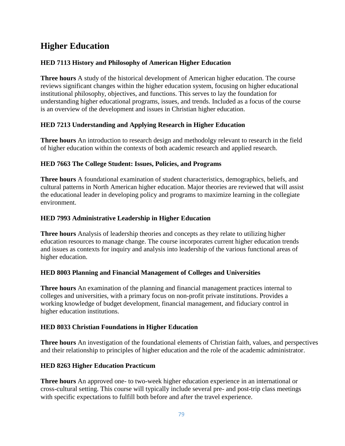# **Higher Education**

### **HED 7113 History and Philosophy of American Higher Education**

**Three hours** A study of the historical development of American higher education. The course reviews significant changes within the higher education system, focusing on higher educational institutional philosophy, objectives, and functions. This serves to lay the foundation for understanding higher educational programs, issues, and trends. Included as a focus of the course is an overview of the development and issues in Christian higher education.

### **HED 7213 Understanding and Applying Research in Higher Education**

**Three hours** An introduction to research design and methodolgy relevant to research in the field of higher education within the contexts of both academic research and applied research.

#### **HED 7663 The College Student: Issues, Policies, and Programs**

**Three hours** A foundational examination of student characteristics, demographics, beliefs, and cultural patterns in North American higher education. Major theories are reviewed that will assist the educational leader in developing policy and programs to maximize learning in the collegiate environment.

#### **HED 7993 Administrative Leadership in Higher Education**

**Three hours** Analysis of leadership theories and concepts as they relate to utilizing higher education resources to manage change. The course incorporates current higher education trends and issues as contexts for inquiry and analysis into leadership of the various functional areas of higher education.

### **HED 8003 Planning and Financial Management of Colleges and Universities**

**Three hours** An examination of the planning and financial management practices internal to colleges and universities, with a primary focus on non-profit private institutions. Provides a working knowledge of budget development, financial management, and fiduciary control in higher education institutions.

### **HED 8033 Christian Foundations in Higher Education**

**Three hours** An investigation of the foundational elements of Christian faith, values, and perspectives and their relationship to principles of higher education and the role of the academic administrator.

### **HED 8263 Higher Education Practicum**

**Three hours** An approved one- to two-week higher education experience in an international or cross-cultural setting. This course will typically include several pre- and post-trip class meetings with specific expectations to fulfill both before and after the travel experience.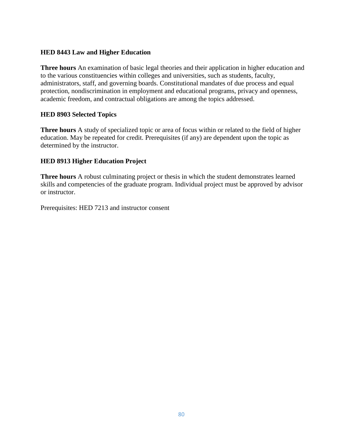#### **HED 8443 Law and Higher Education**

**Three hours** An examination of basic legal theories and their application in higher education and to the various constituencies within colleges and universities, such as students, faculty, administrators, staff, and governing boards. Constitutional mandates of due process and equal protection, nondiscrimination in employment and educational programs, privacy and openness, academic freedom, and contractual obligations are among the topics addressed.

#### **HED 8903 Selected Topics**

**Three hours** A study of specialized topic or area of focus within or related to the field of higher education. May be repeated for credit. Prerequisites (if any) are dependent upon the topic as determined by the instructor.

#### **HED 8913 Higher Education Project**

**Three hours** A robust culminating project or thesis in which the student demonstrates learned skills and competencies of the graduate program. Individual project must be approved by advisor or instructor.

Prerequisites: HED 7213 and instructor consent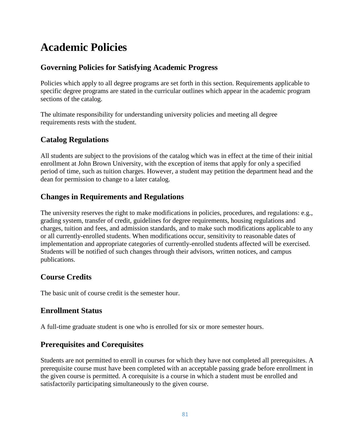# **Academic Policies**

### **Governing Policies for Satisfying Academic Progress**

Policies which apply to all degree programs are set forth in this section. Requirements applicable to specific degree programs are stated in the curricular outlines which appear in the academic program sections of the catalog.

The ultimate responsibility for understanding university policies and meeting all degree requirements rests with the student.

### **Catalog Regulations**

All students are subject to the provisions of the catalog which was in effect at the time of their initial enrollment at John Brown University, with the exception of items that apply for only a specified period of time, such as tuition charges. However, a student may petition the department head and the dean for permission to change to a later catalog.

### **Changes in Requirements and Regulations**

The university reserves the right to make modifications in policies, procedures, and regulations: e.g., grading system, transfer of credit, guidelines for degree requirements, housing regulations and charges, tuition and fees, and admission standards, and to make such modifications applicable to any or all currently-enrolled students. When modifications occur, sensitivity to reasonable dates of implementation and appropriate categories of currently-enrolled students affected will be exercised. Students will be notified of such changes through their advisors, written notices, and campus publications.

### **Course Credits**

The basic unit of course credit is the semester hour.

### **Enrollment Status**

A full-time graduate student is one who is enrolled for six or more semester hours.

### **Prerequisites and Corequisites**

Students are not permitted to enroll in courses for which they have not completed all prerequisites. A prerequisite course must have been completed with an acceptable passing grade before enrollment in the given course is permitted. A corequisite is a course in which a student must be enrolled and satisfactorily participating simultaneously to the given course.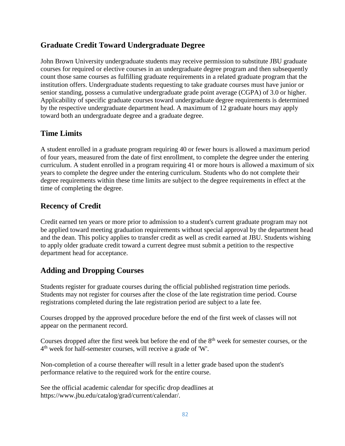### **Graduate Credit Toward Undergraduate Degree**

John Brown University undergraduate students may receive permission to substitute JBU graduate courses for required or elective courses in an undergraduate degree program and then subsequently count those same courses as fulfilling graduate requirements in a related graduate program that the institution offers. Undergraduate students requesting to take graduate courses must have junior or senior standing, possess a cumulative undergraduate grade point average (CGPA) of 3.0 or higher. Applicability of specific graduate courses toward undergraduate degree requirements is determined by the respective undergraduate department head. A maximum of 12 graduate hours may apply toward both an undergraduate degree and a graduate degree.

### **Time Limits**

A student enrolled in a graduate program requiring 40 or fewer hours is allowed a maximum period of four years, measured from the date of first enrollment, to complete the degree under the entering curriculum. A student enrolled in a program requiring 41 or more hours is allowed a maximum of six years to complete the degree under the entering curriculum. Students who do not complete their degree requirements within these time limits are subject to the degree requirements in effect at the time of completing the degree.

### **Recency of Credit**

Credit earned ten years or more prior to admission to a student's current graduate program may not be applied toward meeting graduation requirements without special approval by the department head and the dean. This policy applies to transfer credit as well as credit earned at JBU. Students wishing to apply older graduate credit toward a current degree must submit a petition to the respective department head for acceptance.

### **Adding and Dropping Courses**

Students register for graduate courses during the official published registration time periods. Students may not register for courses after the close of the late registration time period. Course registrations completed during the late registration period are subject to a late fee.

Courses dropped by the approved procedure before the end of the first week of classes will not appear on the permanent record.

Courses dropped after the first week but before the end of the 8<sup>th</sup> week for semester courses, or the 4<sup>th</sup> week for half-semester courses, will receive a grade of 'W'.

Non-completion of a course thereafter will result in a letter grade based upon the student's performance relative to the required work for the entire course.

See the official academic calendar for specific drop deadlines at https://www.jbu.edu/catalog/grad/current/calendar/.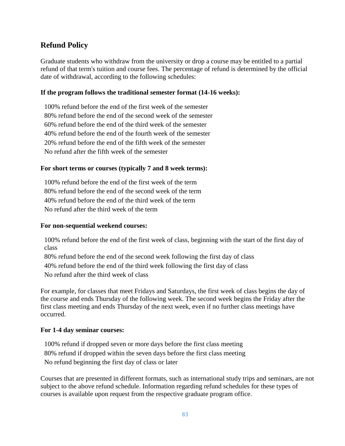### **Refund Policy**

Graduate students who withdraw from the university or drop a course may be entitled to a partial refund of that term's tuition and course fees. The percentage of refund is determined by the official date of withdrawal, according to the following schedules:

#### **If the program follows the traditional semester format (14-16 weeks):**

100% refund before the end of the first week of the semester 80% refund before the end of the second week of the semester 60% refund before the end of the third week of the semester 40% refund before the end of the fourth week of the semester 20% refund before the end of the fifth week of the semester No refund after the fifth week of the semester

#### **For short terms or courses (typically 7 and 8 week terms):**

100% refund before the end of the first week of the term 80% refund before the end of the second week of the term 40% refund before the end of the third week of the term No refund after the third week of the term

#### **For non-sequential weekend courses:**

100% refund before the end of the first week of class, beginning with the start of the first day of class

80% refund before the end of the second week following the first day of class

40% refund before the end of the third week following the first day of class

No refund after the third week of class

For example, for classes that meet Fridays and Saturdays, the first week of class begins the day of the course and ends Thursday of the following week. The second week begins the Friday after the first class meeting and ends Thursday of the next week, even if no further class meetings have occurred.

#### **For 1-4 day seminar courses:**

100% refund if dropped seven or more days before the first class meeting 80% refund if dropped within the seven days before the first class meeting No refund beginning the first day of class or later

Courses that are presented in different formats, such as international study trips and seminars, are not subject to the above refund schedule. Information regarding refund schedules for these types of courses is available upon request from the respective graduate program office.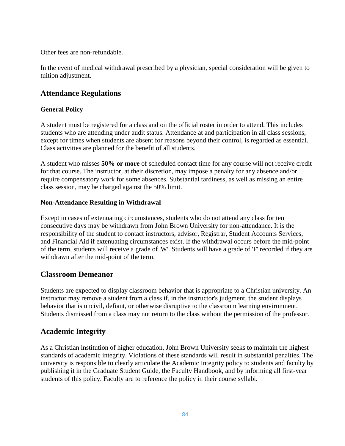Other fees are non-refundable.

In the event of medical withdrawal prescribed by a physician, special consideration will be given to tuition adjustment.

### **Attendance Regulations**

### **General Policy**

A student must be registered for a class and on the official roster in order to attend. This includes students who are attending under audit status. Attendance at and participation in all class sessions, except for times when students are absent for reasons beyond their control, is regarded as essential. Class activities are planned for the benefit of all students.

A student who misses **50% or more** of scheduled contact time for any course will not receive credit for that course. The instructor, at their discretion, may impose a penalty for any absence and/or require compensatory work for some absences. Substantial tardiness, as well as missing an entire class session, may be charged against the 50% limit.

#### **Non-Attendance Resulting in Withdrawal**

Except in cases of extenuating circumstances, students who do not attend any class for ten consecutive days may be withdrawn from John Brown University for non-attendance. It is the responsibility of the student to contact instructors, advisor, Registrar, Student Accounts Services, and Financial Aid if extenuating circumstances exist. If the withdrawal occurs before the mid-point of the term, students will receive a grade of 'W'. Students will have a grade of 'F' recorded if they are withdrawn after the mid-point of the term.

### **Classroom Demeanor**

Students are expected to display classroom behavior that is appropriate to a Christian university. An instructor may remove a student from a class if, in the instructor's judgment, the student displays behavior that is uncivil, defiant, or otherwise disruptive to the classroom learning environment. Students dismissed from a class may not return to the class without the permission of the professor.

### **Academic Integrity**

As a Christian institution of higher education, John Brown University seeks to maintain the highest standards of academic integrity. Violations of these standards will result in substantial penalties. The university is responsible to clearly articulate the Academic Integrity policy to students and faculty by publishing it in the Graduate Student Guide, the Faculty Handbook, and by informing all first-year students of this policy. Faculty are to reference the policy in their course syllabi.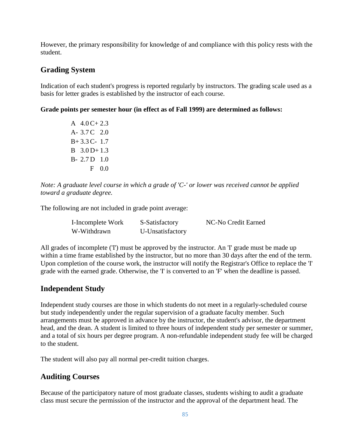However, the primary responsibility for knowledge of and compliance with this policy rests with the student.

### **Grading System**

Indication of each student's progress is reported regularly by instructors. The grading scale used as a basis for letter grades is established by the instructor of each course.

**Grade points per semester hour (in effect as of Fall 1999) are determined as follows:**

A  $4.0 \text{C} + 2.3$ A- 3.7 C 2.0 B+ 3.3 C- 1.7 B 3.0 D+ 1.3 B- 2.7 D 1.0 F 0.0

*Note: A graduate level course in which a grade of 'C-' or lower was received cannot be applied toward a graduate degree.*

The following are not included in grade point average:

| I-Incomplete Work | S-Satisfactory   | NC-No Credit Earned |
|-------------------|------------------|---------------------|
| W-Withdrawn       | U-Unsatisfactory |                     |

All grades of incomplete (T) must be approved by the instructor. An T grade must be made up within a time frame established by the instructor, but no more than 30 days after the end of the term. Upon completion of the course work, the instructor will notify the Registrar's Office to replace the 'I' grade with the earned grade. Otherwise, the 'I' is converted to an 'F' when the deadline is passed.

### **Independent Study**

Independent study courses are those in which students do not meet in a regularly-scheduled course but study independently under the regular supervision of a graduate faculty member. Such arrangements must be approved in advance by the instructor, the student's advisor, the department head, and the dean. A student is limited to three hours of independent study per semester or summer, and a total of six hours per degree program. A non-refundable independent study fee will be charged to the student.

The student will also pay all normal per-credit tuition charges.

### **Auditing Courses**

Because of the participatory nature of most graduate classes, students wishing to audit a graduate class must secure the permission of the instructor and the approval of the department head. The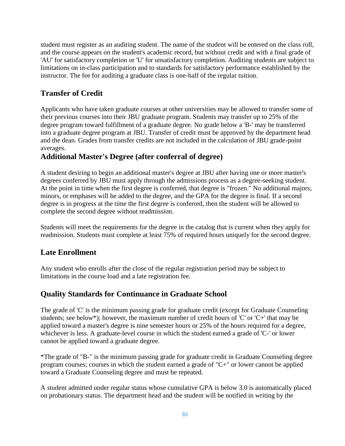student must register as an auditing student. The name of the student will be entered on the class roll, and the course appears on the student's academic record, but without credit and with a final grade of 'AU' for satisfactory completion or 'U' for unsatisfactory completion. Auditing students are subject to limitations on in-class participation and to standards for satisfactory performance established by the instructor. The fee for auditing a graduate class is one-half of the regular tuition.

### **Transfer of Credit**

Applicants who have taken graduate courses at other universities may be allowed to transfer some of their previous courses into their JBU graduate program. Students may transfer up to 25% of the degree program toward fulfillment of a graduate degree. No grade below a 'B-' may be transferred into a graduate degree program at JBU. Transfer of credit must be approved by the department head and the dean. Grades from transfer credits are not included in the calculation of JBU grade-point averages.

### **Additional Master's Degree (after conferral of degree)**

A student desiring to begin an additional master's degree at JBU after having one or more master's degrees conferred by JBU must apply through the admissions process as a degree-seeking student. At the point in time when the first degree is conferred, that degree is "frozen." No additional majors, minors, or emphases will be added to the degree, and the GPA for the degree is final. If a second degree is in progress at the time the first degree is conferred, then the student will be allowed to complete the second degree without readmission.

Students will meet the requirements for the degree in the catalog that is current when they apply for readmission. Students must complete at least 75% of required hours uniquely for the second degree.

### **Late Enrollment**

Any student who enrolls after the close of the regular registration period may be subject to limitations in the course load and a late registration fee.

### **Quality Standards for Continuance in Graduate School**

The grade of 'C' is the minimum passing grade for graduate credit (except for Graduate Counseling students; see below\*); however, the maximum number of credit hours of 'C' or 'C+' that may be applied toward a master's degree is nine semester hours or 25% of the hours required for a degree, whichever is less. A graduate-level course in which the student earned a grade of 'C-' or lower cannot be applied toward a graduate degree.

\*The grade of "B-" is the minimum passing grade for graduate credit in Graduate Counseling degree program courses; courses in which the student earned a grade of "C+" or lower cannot be applied toward a Graduate Counseling degree and must be repeated.

A student admitted under regular status whose cumulative GPA is below 3.0 is automatically placed on probationary status. The department head and the student will be notified in writing by the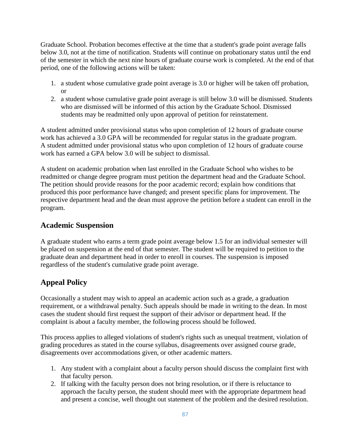Graduate School. Probation becomes effective at the time that a student's grade point average falls below 3.0, not at the time of notification. Students will continue on probationary status until the end of the semester in which the next nine hours of graduate course work is completed. At the end of that period, one of the following actions will be taken:

- 1. a student whose cumulative grade point average is 3.0 or higher will be taken off probation, or
- 2. a student whose cumulative grade point average is still below 3.0 will be dismissed. Students who are dismissed will be informed of this action by the Graduate School. Dismissed students may be readmitted only upon approval of petition for reinstatement.

A student admitted under provisional status who upon completion of 12 hours of graduate course work has achieved a 3.0 GPA will be recommended for regular status in the graduate program. A student admitted under provisional status who upon completion of 12 hours of graduate course work has earned a GPA below 3.0 will be subject to dismissal.

A student on academic probation when last enrolled in the Graduate School who wishes to be readmitted or change degree program must petition the department head and the Graduate School. The petition should provide reasons for the poor academic record; explain how conditions that produced this poor performance have changed; and present specific plans for improvement. The respective department head and the dean must approve the petition before a student can enroll in the program.

### **Academic Suspension**

A graduate student who earns a term grade point average below 1.5 for an individual semester will be placed on suspension at the end of that semester. The student will be required to petition to the graduate dean and department head in order to enroll in courses. The suspension is imposed regardless of the student's cumulative grade point average.

### **Appeal Policy**

Occasionally a student may wish to appeal an academic action such as a grade, a graduation requirement, or a withdrawal penalty. Such appeals should be made in writing to the dean. In most cases the student should first request the support of their advisor or department head. If the complaint is about a faculty member, the following process should be followed.

This process applies to alleged violations of student's rights such as unequal treatment, violation of grading procedures as stated in the course syllabus, disagreements over assigned course grade, disagreements over accommodations given, or other academic matters.

- 1. Any student with a complaint about a faculty person should discuss the complaint first with that faculty person.
- 2. If talking with the faculty person does not bring resolution, or if there is reluctance to approach the faculty person, the student should meet with the appropriate department head and present a concise, well thought out statement of the problem and the desired resolution.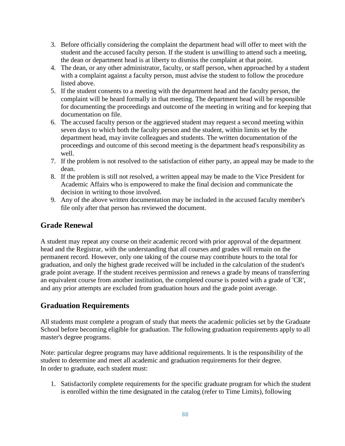- 3. Before officially considering the complaint the department head will offer to meet with the student and the accused faculty person. If the student is unwilling to attend such a meeting, the dean or department head is at liberty to dismiss the complaint at that point.
- 4. The dean, or any other administrator, faculty, or staff person, when approached by a student with a complaint against a faculty person, must advise the student to follow the procedure listed above.
- 5. If the student consents to a meeting with the department head and the faculty person, the complaint will be heard formally in that meeting. The department head will be responsible for documenting the proceedings and outcome of the meeting in writing and for keeping that documentation on file.
- 6. The accused faculty person or the aggrieved student may request a second meeting within seven days to which both the faculty person and the student, within limits set by the department head, may invite colleagues and students. The written documentation of the proceedings and outcome of this second meeting is the department head's responsibility as well.
- 7. If the problem is not resolved to the satisfaction of either party, an appeal may be made to the dean.
- 8. If the problem is still not resolved, a written appeal may be made to the Vice President for Academic Affairs who is empowered to make the final decision and communicate the decision in writing to those involved.
- 9. Any of the above written documentation may be included in the accused faculty member's file only after that person has reviewed the document.

## **Grade Renewal**

A student may repeat any course on their academic record with prior approval of the department head and the Registrar, with the understanding that all courses and grades will remain on the permanent record. However, only one taking of the course may contribute hours to the total for graduation, and only the highest grade received will be included in the calculation of the student's grade point average. If the student receives permission and renews a grade by means of transferring an equivalent course from another institution, the completed course is posted with a grade of 'CR', and any prior attempts are excluded from graduation hours and the grade point average.

### **Graduation Requirements**

All students must complete a program of study that meets the academic policies set by the Graduate School before becoming eligible for graduation. The following graduation requirements apply to all master's degree programs.

Note: particular degree programs may have additional requirements. It is the responsibility of the student to determine and meet all academic and graduation requirements for their degree. In order to graduate, each student must:

1. Satisfactorily complete requirements for the specific graduate program for which the student is enrolled within the time designated in the catalog (refer to Time Limits), following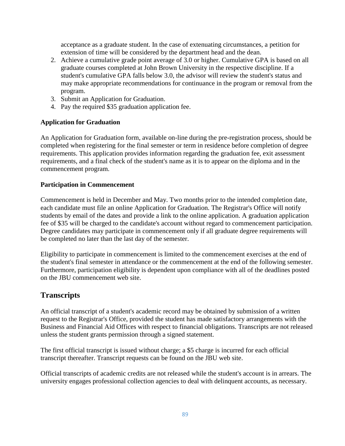acceptance as a graduate student. In the case of extenuating circumstances, a petition for extension of time will be considered by the department head and the dean.

- 2. Achieve a cumulative grade point average of 3.0 or higher. Cumulative GPA is based on all graduate courses completed at John Brown University in the respective discipline. If a student's cumulative GPA falls below 3.0, the advisor will review the student's status and may make appropriate recommendations for continuance in the program or removal from the program.
- 3. Submit an Application for Graduation.
- 4. Pay the required \$35 graduation application fee.

#### **Application for Graduation**

An Application for Graduation form, available on-line during the pre-registration process, should be completed when registering for the final semester or term in residence before completion of degree requirements. This application provides information regarding the graduation fee, exit assessment requirements, and a final check of the student's name as it is to appear on the diploma and in the commencement program.

#### **Participation in Commencement**

Commencement is held in December and May. Two months prior to the intended completion date, each candidate must file an online Application for Graduation. The Registrar's Office will notify students by email of the dates and provide a link to the online application. A graduation application fee of \$35 will be charged to the candidate's account without regard to commencement participation. Degree candidates may participate in commencement only if all graduate degree requirements will be completed no later than the last day of the semester.

Eligibility to participate in commencement is limited to the commencement exercises at the end of the student's final semester in attendance or the commencement at the end of the following semester. Furthermore, participation eligibility is dependent upon compliance with all of the deadlines posted on the JBU commencement web site.

### **Transcripts**

An official transcript of a student's academic record may be obtained by submission of a written request to the Registrar's Office, provided the student has made satisfactory arrangements with the Business and Financial Aid Offices with respect to financial obligations. Transcripts are not released unless the student grants permission through a signed statement.

The first official transcript is issued without charge; a \$5 charge is incurred for each official transcript thereafter. Transcript requests can be found on the JBU web site.

Official transcripts of academic credits are not released while the student's account is in arrears. The university engages professional collection agencies to deal with delinquent accounts, as necessary.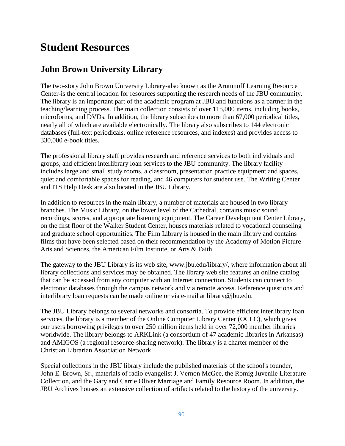# **Student Resources**

## **John Brown University Library**

The two-story John Brown University Library-also known as the Arutunoff Learning Resource Center-is the central location for resources supporting the research needs of the JBU community. The library is an important part of the academic program at JBU and functions as a partner in the teaching/learning process. The main collection consists of over 115,000 items, including books, microforms, and DVDs. In addition, the library subscribes to more than 67,000 periodical titles, nearly all of which are available electronically. The library also subscribes to 144 electronic databases (full-text periodicals, online reference resources, and indexes) and provides access to 330,000 e-book titles.

The professional library staff provides research and reference services to both individuals and groups, and efficient interlibrary loan services to the JBU community. The library facility includes large and small study rooms, a classroom, presentation practice equipment and spaces, quiet and comfortable spaces for reading, and 46 computers for student use. The Writing Center and ITS Help Desk are also located in the JBU Library.

In addition to resources in the main library, a number of materials are housed in two library branches. The Music Library, on the lower level of the Cathedral, contains music sound recordings, scores, and appropriate listening equipment. The Career Development Center Library, on the first floor of the Walker Student Center, houses materials related to vocational counseling and graduate school opportunities. The Film Library is housed in the main library and contains films that have been selected based on their recommendation by the Academy of Motion Picture Arts and Sciences, the American Film Institute, or Arts & Faith.

The gateway to the JBU Library is its web site, www.jbu.edu/library/, where information about all library collections and services may be obtained. The library web site features an online catalog that can be accessed from any computer with an Internet connection. Students can connect to electronic databases through the campus network and via remote access. Reference questions and interlibrary loan requests can be made online or via e-mail at library@jbu.edu.

The JBU Library belongs to several networks and consortia. To provide efficient interlibrary loan services, the library is a member of the Online Computer Library Center (OCLC), which gives our users borrowing privileges to over 250 million items held in over 72,000 member libraries worldwide. The library belongs to ARKLink (a consortium of 47 academic libraries in Arkansas) and AMIGOS (a regional resource-sharing network). The library is a charter member of the Christian Librarian Association Network.

Special collections in the JBU library include the published materials of the school's founder, John E. Brown, Sr., materials of radio evangelist J. Vernon McGee, the Romig Juvenile Literature Collection, and the Gary and Carrie Oliver Marriage and Family Resource Room. In addition, the JBU Archives houses an extensive collection of artifacts related to the history of the university.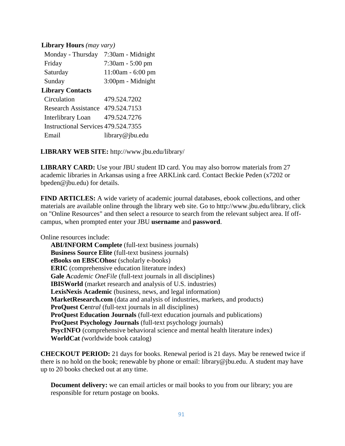#### **Library Hours** *(may vary)*

| Monday - Thursday                   | 7:30am - Midnight   |
|-------------------------------------|---------------------|
| Friday                              | 7:30am - 5:00 pm    |
| Saturday                            | $11:00am - 6:00 pm$ |
| Sunday                              | 3:00pm - Midnight   |
| <b>Library Contacts</b>             |                     |
| Circulation                         | 479.524.7202        |
| Research Assistance                 | 479.524.7153        |
| Interlibrary Loan                   | 479.524.7276        |
| Instructional Services 479.524.7355 |                     |
| Email                               | library@jbu.edu     |
|                                     |                     |

**LIBRARY WEB SITE:** http://www.jbu.edu/library/

**LIBRARY CARD:** Use your JBU student ID card. You may also borrow materials from 27 academic libraries in Arkansas using a free ARKLink card. Contact Beckie Peden (x7202 or bpeden@jbu.edu) for details.

**FIND ARTICLES:** A wide variety of academic journal databases, ebook collections, and other materials are available online through the library web site. Go to http://www.jbu.edu/library, click on "Online Resources" and then select a resource to search from the relevant subject area. If offcampus, when prompted enter your JBU **username** and **password**.

Online resources include:

**ABI/INFORM Complete** (full-text business journals) **Business Source Elite** (full-text business journals) **eBooks on EBSCOhos***t* (scholarly e-books) **ERIC** (comprehensive education literature index) **Gale A***cademic OneFile* (full-text journals in all disciplines) **IBISWorld** (market research and analysis of U.S. industries) **LexisNexis Academic** (business, news, and legal information) **MarketResearch.com** (data and analysis of industries, markets, and products) **ProQuest Ce***ntral* (full-text journals in all disciplines) **ProQuest Education Journals** (full-text education journals and publications) **ProQuest Psychology Journals** (full-text psychology journals) **PsycINFO** (comprehensive behavioral science and mental health literature index) **WorldCat** *(*worldwide book catalog)

**CHECKOUT PERIOD:** 21 days for books. Renewal period is 21 days. May be renewed twice if there is no hold on the book; renewable by phone or email: library@jbu.edu. A student may have up to 20 books checked out at any time.

**Document delivery:** we can email articles or mail books to you from our library; you are responsible for return postage on books.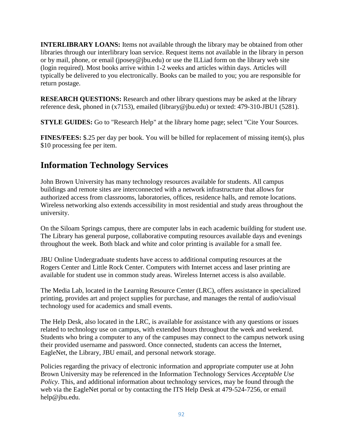**INTERLIBRARY LOANS:** Items not available through the library may be obtained from other libraries through our interlibrary loan service. Request items not available in the library in person or by mail, phone, or email (jposey@jbu.edu) or use the ILLiad form on the library web site (login required). Most books arrive within 1-2 weeks and articles within days. Articles will typically be delivered to you electronically. Books can be mailed to you; you are responsible for return postage.

**RESEARCH QUESTIONS:** Research and other library questions may be asked at the library reference desk, phoned in (x7153), emailed (library@jbu.edu) or texted: 479-310-JBU1 (5281).

**STYLE GUIDES:** Go to "Research Help" at the library home page; select "Cite Your Sources.

**FINES/FEES:** \$.25 per day per book. You will be billed for replacement of missing item(s), plus \$10 processing fee per item.

# **Information Technology Services**

John Brown University has many technology resources available for students. All campus buildings and remote sites are interconnected with a network infrastructure that allows for authorized access from classrooms, laboratories, offices, residence halls, and remote locations. Wireless networking also extends accessibility in most residential and study areas throughout the university.

On the Siloam Springs campus, there are computer labs in each academic building for student use. The Library has general purpose, collaborative computing resources available days and evenings throughout the week. Both black and white and color printing is available for a small fee.

JBU Online Undergraduate students have access to additional computing resources at the Rogers Center and Little Rock Center. Computers with Internet access and laser printing are available for student use in common study areas. Wireless Internet access is also available.

The Media Lab, located in the Learning Resource Center (LRC), offers assistance in specialized printing, provides art and project supplies for purchase, and manages the rental of audio/visual technology used for academics and small events.

The Help Desk, also located in the LRC, is available for assistance with any questions or issues related to technology use on campus, with extended hours throughout the week and weekend. Students who bring a computer to any of the campuses may connect to the campus network using their provided username and password. Once connected, students can access the Internet, EagleNet, the Library, JBU email, and personal network storage.

Policies regarding the privacy of electronic information and appropriate computer use at John Brown University may be referenced in the Information Technology Services *Acceptable Use Policy*. This, and additional information about technology services, may be found through the web via the EagleNet portal or by contacting the ITS Help Desk at 479-524-7256, or email help@jbu.edu.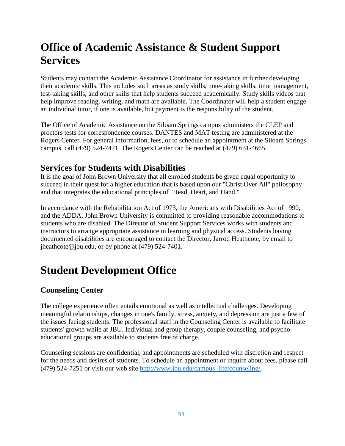# **Office of Academic Assistance & Student Support Services**

Students may contact the Academic Assistance Coordinator for assistance in further developing their academic skills. This includes such areas as study skills, note-taking skills, time management, test-taking skills, and other skills that help students succeed academically. Study skills videos that help improve reading, writing, and math are available. The Coordinator will help a student engage an individual tutor, if one is available, but payment is the responsibility of the student.

The Office of Academic Assistance on the Siloam Springs campus administers the CLEP and proctors tests for correspondence courses. DANTES and MAT testing are administered at the Rogers Center. For general information, fees, or to schedule an appointment at the Siloam Springs campus, call (479) 524-7471. The Rogers Center can be reached at (479) 631-4665.

## **Services for Students with Disabilities**

It is the goal of John Brown University that all enrolled students be given equal opportunity to succeed in their quest for a higher education that is based upon our "Christ Over All" philosophy and that integrates the educational principles of "Head, Heart, and Hand."

In accordance with the Rehabilitation Act of 1973, the Americans with Disabilities Act of 1990, and the ADDA, John Brown University is committed to providing reasonable accommodations to students who are disabled. The Director of Student Support Services works with students and instructors to arrange appropriate assistance in learning and physical access. Students having documented disabilities are encouraged to contact the Director, Jarrod Heathcote, by email to jheathcote@jbu.edu, or by phone at (479) 524-7401.

# **Student Development Office**

### **Counseling Center**

The college experience often entails emotional as well as intellectual challenges. Developing meaningful relationships, changes in one's family, stress, anxiety, and depression are just a few of the issues facing students. The professional staff in the Counseling Center is available to facilitate students' growth while at JBU. Individual and group therapy, couple counseling, and psychoeducational groups are available to students free of charge.

Counseling sessions are confidential, and appointments are scheduled with discretion and respect for the needs and desires of students. To schedule an appointment or inquire about fees, please call (479) 524-7251 or visit our web site [http://www.jbu.edu/campus\\_life/counseling/.](http://www.jbu.edu/campus_life/counseling/)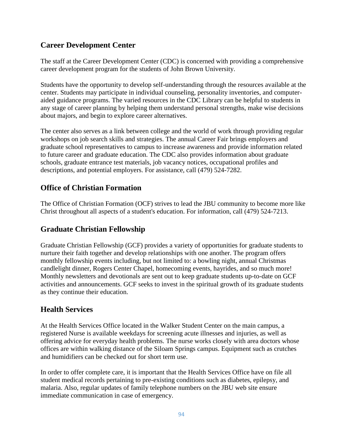### **Career Development Center**

The staff at the Career Development Center (CDC) is concerned with providing a comprehensive career development program for the students of John Brown University.

Students have the opportunity to develop self-understanding through the resources available at the center. Students may participate in individual counseling, personality inventories, and computeraided guidance programs. The varied resources in the CDC Library can be helpful to students in any stage of career planning by helping them understand personal strengths, make wise decisions about majors, and begin to explore career alternatives.

The center also serves as a link between college and the world of work through providing regular workshops on job search skills and strategies. The annual Career Fair brings employers and graduate school representatives to campus to increase awareness and provide information related to future career and graduate education. The CDC also provides information about graduate schools, graduate entrance test materials, job vacancy notices, occupational profiles and descriptions, and potential employers. For assistance, call (479) 524-7282.

### **Office of Christian Formation**

The Office of Christian Formation (OCF) strives to lead the JBU community to become more like Christ throughout all aspects of a student's education. For information, call (479) 524-7213.

### **Graduate Christian Fellowship**

Graduate Christian Fellowship (GCF) provides a variety of opportunities for graduate students to nurture their faith together and develop relationships with one another. The program offers monthly fellowship events including, but not limited to: a bowling night, annual Christmas candlelight dinner, Rogers Center Chapel, homecoming events, hayrides, and so much more! Monthly newsletters and devotionals are sent out to keep graduate students up-to-date on GCF activities and announcements. GCF seeks to invest in the spiritual growth of its graduate students as they continue their education.

### **Health Services**

At the Health Services Office located in the Walker Student Center on the main campus, a registered Nurse is available weekdays for screening acute illnesses and injuries, as well as offering advice for everyday health problems. The nurse works closely with area doctors whose offices are within walking distance of the Siloam Springs campus. Equipment such as crutches and humidifiers can be checked out for short term use.

In order to offer complete care, it is important that the Health Services Office have on file all student medical records pertaining to pre-existing conditions such as diabetes, epilepsy, and malaria. Also, regular updates of family telephone numbers on the JBU web site ensure immediate communication in case of emergency.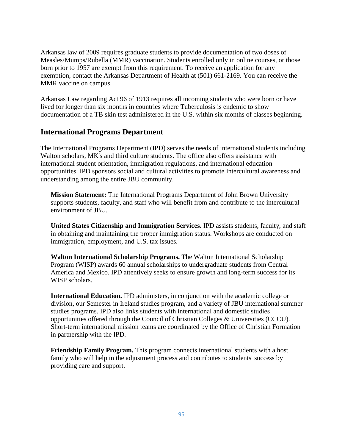Arkansas law of 2009 requires graduate students to provide documentation of two doses of Measles/Mumps/Rubella (MMR) vaccination. Students enrolled only in online courses, or those born prior to 1957 are exempt from this requirement. To receive an application for any exemption, contact the Arkansas Department of Health at (501) 661-2169. You can receive the MMR vaccine on campus.

Arkansas Law regarding Act 96 of 1913 requires all incoming students who were born or have lived for longer than six months in countries where Tuberculosis is endemic to show documentation of a TB skin test administered in the U.S. within six months of classes beginning.

### **International Programs Department**

The International Programs Department (IPD) serves the needs of international students including Walton scholars, MK's and third culture students. The office also offers assistance with international student orientation, immigration regulations, and international education opportunities. IPD sponsors social and cultural activities to promote Intercultural awareness and understanding among the entire JBU community.

**Mission Statement:** The International Programs Department of John Brown University supports students, faculty, and staff who will benefit from and contribute to the intercultural environment of JBU.

**United States Citizenship and Immigration Services.** IPD assists students, faculty, and staff in obtaining and maintaining the proper immigration status. Workshops are conducted on immigration, employment, and U.S. tax issues.

**Walton International Scholarship Programs.** The Walton International Scholarship Program (WISP) awards 60 annual scholarships to undergraduate students from Central America and Mexico. IPD attentively seeks to ensure growth and long-term success for its WISP scholars.

**International Education.** IPD administers, in conjunction with the academic college or division, our Semester in Ireland studies program, and a variety of JBU international summer studies programs. IPD also links students with international and domestic studies opportunities offered through the Council of Christian Colleges & Universities (CCCU). Short-term international mission teams are coordinated by the Office of Christian Formation in partnership with the IPD.

**Friendship Family Program.** This program connects international students with a host family who will help in the adjustment process and contributes to students' success by providing care and support.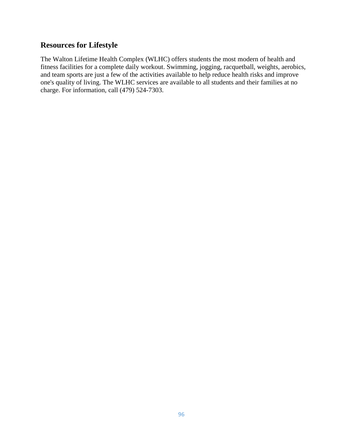### **Resources for Lifestyle**

The Walton Lifetime Health Complex (WLHC) offers students the most modern of health and fitness facilities for a complete daily workout. Swimming, jogging, racquetball, weights, aerobics, and team sports are just a few of the activities available to help reduce health risks and improve one's quality of living. The WLHC services are available to all students and their families at no charge. For information, call (479) 524-7303.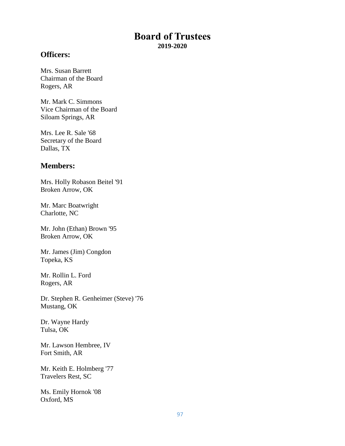### **Board of Trustees 2019-2020**

### **Officers:**

Mrs. Susan Barrett Chairman of the Board Rogers, AR

Mr. Mark C. Simmons Vice Chairman of the Board Siloam Springs, AR

Mrs. Lee R. Sale '68 Secretary of the Board Dallas, TX

### **Members:**

Mrs. Holly Robason Beitel '91 Broken Arrow, OK

Mr. Marc Boatwright Charlotte, NC

Mr. John (Ethan) Brown '95 Broken Arrow, OK

Mr. James (Jim) Congdon Topeka, KS

Mr. Rollin L. Ford Rogers, AR

Dr. Stephen R. Genheimer (Steve) '76 Mustang, OK

Dr. Wayne Hardy Tulsa, OK

Mr. Lawson Hembree, IV Fort Smith, AR

Mr. Keith E. Holmberg '77 Travelers Rest, SC

Ms. Emily Hornok '08 Oxford, MS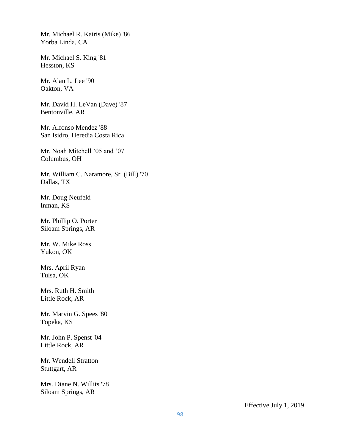Mr. Michael R. Kairis (Mike) '86 Yorba Linda, CA

Mr. Michael S. King '81 Hesston, KS

Mr. Alan L. Lee '90 Oakton, VA

Mr. David H. LeVan (Dave) '87 Bentonville, AR

Mr. Alfonso Mendez '88 San Isidro, Heredia Costa Rica

Mr. Noah Mitchell '05 and '07 Columbus, OH

Mr. William C. Naramore, Sr. (Bill) '70 Dallas, TX

Mr. Doug Neufeld Inman, KS

Mr. Phillip O. Porter Siloam Springs, AR

Mr. W. Mike Ross Yukon, OK

Mrs. April Ryan Tulsa, OK

Mrs. Ruth H. Smith Little Rock, AR

Mr. Marvin G. Spees '80 Topeka, KS

Mr. John P. Spenst '04 Little Rock, AR

Mr. Wendell Stratton Stuttgart, AR

Mrs. Diane N. Willits '78 Siloam Springs, AR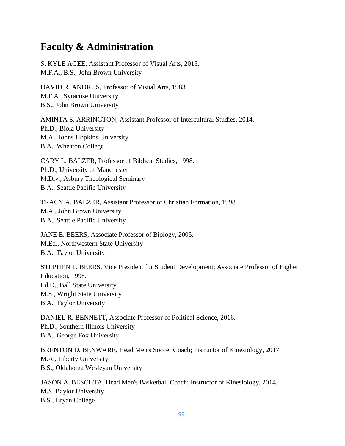## **Faculty & Administration**

S. KYLE AGEE, Assistant Professor of Visual Arts, 2015. M.F.A., B.S., John Brown University

DAVID R. ANDRUS, Professor of Visual Arts, 1983. M.F.A., Syracuse University B.S., John Brown University

AMINTA S. ARRINGTON, Assistant Professor of Intercultural Studies, 2014. Ph.D., Biola University M.A., Johns Hopkins University B.A., Wheaton College

CARY L. BALZER, Professor of Biblical Studies, 1998. Ph.D., University of Manchester M.Div., Asbury Theological Seminary B.A., Seattle Pacific University

TRACY A. BALZER, Assistant Professor of Christian Formation, 1998. M.A., John Brown University B.A., Seattle Pacific University

JANE E. BEERS, Associate Professor of Biology, 2005. M.Ed., Northwestern State University B.A., Taylor University

STEPHEN T. BEERS, Vice President for Student Development; Associate Professor of Higher Education, 1998. Ed.D., Ball State University M.S., Wright State University B.A., Taylor University

DANIEL R. BENNETT, Associate Professor of Political Science, 2016. Ph.D., Southern Illinois University B.A., George Fox University

BRENTON D. BENWARE, Head Men's Soccer Coach; Instructor of Kinesiology, 2017. M.A., Liberty University B.S., Oklahoma Wesleyan University

JASON A. BESCHTA, Head Men's Basketball Coach; Instructor of Kinesiology, 2014. M.S. Baylor University B.S., Bryan College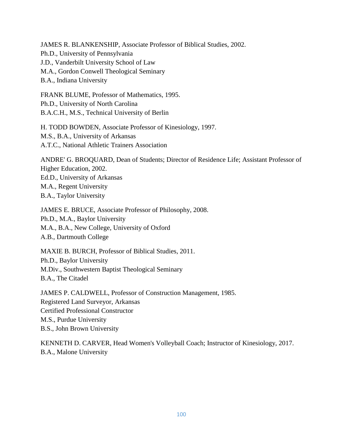JAMES R. BLANKENSHIP, Associate Professor of Biblical Studies, 2002. Ph.D., University of Pennsylvania J.D., Vanderbilt University School of Law M.A., Gordon Conwell Theological Seminary B.A., Indiana University

FRANK BLUME, Professor of Mathematics, 1995. Ph.D., University of North Carolina B.A.C.H., M.S., Technical University of Berlin

H. TODD BOWDEN, Associate Professor of Kinesiology, 1997. M.S., B.A., University of Arkansas A.T.C., National Athletic Trainers Association

ANDRE' G. BROQUARD, Dean of Students; Director of Residence Life; Assistant Professor of Higher Education, 2002. Ed.D., University of Arkansas M.A., Regent University B.A., Taylor University

JAMES E. BRUCE, Associate Professor of Philosophy, 2008. Ph.D., M.A., Baylor University M.A., B.A., New College, University of Oxford A.B., Dartmouth College

MAXIE B. BURCH, Professor of Biblical Studies, 2011. Ph.D., Baylor University M.Div., Southwestern Baptist Theological Seminary B.A., The Citadel

JAMES P. CALDWELL, Professor of Construction Management, 1985. Registered Land Surveyor, Arkansas Certified Professional Constructor M.S., Purdue University B.S., John Brown University

KENNETH D. CARVER, Head Women's Volleyball Coach; Instructor of Kinesiology, 2017. B.A., Malone University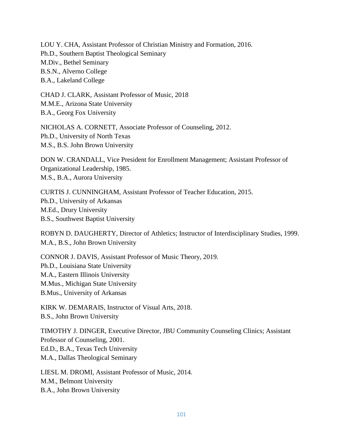LOU Y. CHA, Assistant Professor of Christian Ministry and Formation, 2016. Ph.D., Southern Baptist Theological Seminary M.Div., Bethel Seminary B.S.N., Alverno College B.A., Lakeland College

CHAD J. CLARK, Assistant Professor of Music, 2018 M.M.E., Arizona State University B.A., Georg Fox University

NICHOLAS A. CORNETT, Associate Professor of Counseling, 2012. Ph.D., University of North Texas M.S., B.S. John Brown University

DON W. CRANDALL, Vice President for Enrollment Management; Assistant Professor of Organizational Leadership, 1985. M.S., B.A., Aurora University

CURTIS J. CUNNINGHAM, Assistant Professor of Teacher Education, 2015. Ph.D., University of Arkansas M.Ed., Drury University B.S., Southwest Baptist University

ROBYN D. DAUGHERTY, Director of Athletics; Instructor of Interdisciplinary Studies, 1999. M.A., B.S., John Brown University

CONNOR J. DAVIS, Assistant Professor of Music Theory, 2019. Ph.D., Louisiana State University M.A., Eastern Illinois University M.Mus., Michigan State University B.Mus., University of Arkansas

KIRK W. DEMARAIS, Instructor of Visual Arts, 2018. B.S., John Brown University

TIMOTHY J. DINGER, Executive Director, JBU Community Counseling Clinics; Assistant Professor of Counseling, 2001. Ed.D., B.A., Texas Tech University M.A., Dallas Theological Seminary

LIESL M. DROMI, Assistant Professor of Music, 2014. M.M., Belmont University B.A., John Brown University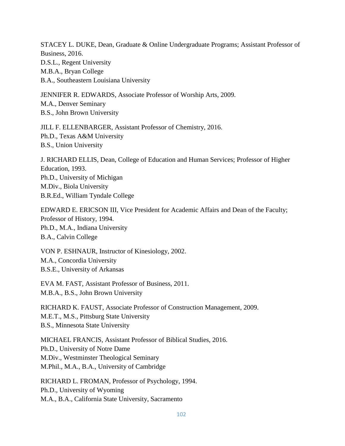STACEY L. DUKE, Dean, Graduate & Online Undergraduate Programs; Assistant Professor of Business, 2016. D.S.L., Regent University M.B.A., Bryan College B.A., Southeastern Louisiana University

JENNIFER R. EDWARDS, Associate Professor of Worship Arts, 2009. M.A., Denver Seminary B.S., John Brown University

JILL F. ELLENBARGER, Assistant Professor of Chemistry, 2016. Ph.D., Texas A&M University B.S., Union University

J. RICHARD ELLIS, Dean, College of Education and Human Services; Professor of Higher Education, 1993. Ph.D., University of Michigan M.Div., Biola University B.R.Ed., William Tyndale College

EDWARD E. ERICSON III, Vice President for Academic Affairs and Dean of the Faculty; Professor of History, 1994. Ph.D., M.A., Indiana University B.A., Calvin College

VON P. ESHNAUR, Instructor of Kinesiology, 2002. M.A., Concordia University B.S.E., University of Arkansas

EVA M. FAST, Assistant Professor of Business, 2011. M.B.A., B.S., John Brown University

RICHARD K. FAUST, Associate Professor of Construction Management, 2009. M.E.T., M.S., Pittsburg State University B.S., Minnesota State University

MICHAEL FRANCIS, Assistant Professor of Biblical Studies, 2016. Ph.D., University of Notre Dame M.Div., Westminster Theological Seminary M.Phil., M.A., B.A., University of Cambridge

RICHARD L. FROMAN, Professor of Psychology, 1994. Ph.D., University of Wyoming M.A., B.A., California State University, Sacramento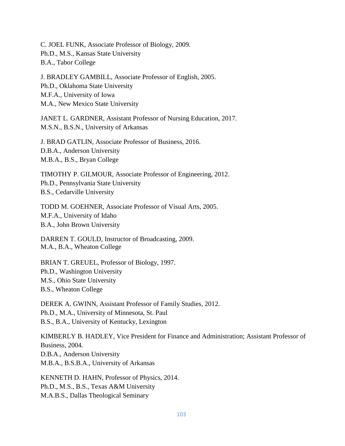C. JOEL FUNK, Associate Professor of Biology, 2009. Ph.D., M.S., Kansas State University B.A., Tabor College

J. BRADLEY GAMBILL, Associate Professor of English, 2005. Ph.D., Oklahoma State University M.F.A., University of Iowa M.A., New Mexico State University

JANET L. GARDNER, Assistant Professor of Nursing Education, 2017. M.S.N., B.S.N., University of Arkansas

J. BRAD GATLIN, Associate Professor of Business, 2016. D.B.A., Anderson University M.B.A., B.S., Bryan College

TIMOTHY P. GILMOUR, Associate Professor of Engineering, 2012. Ph.D., Pennsylvania State University B.S., Cedarville University

TODD M. GOEHNER, Associate Professor of Visual Arts, 2005. M.F.A., University of Idaho B.A., John Brown University

DARREN T. GOULD, Instructor of Broadcasting, 2009. M.A., B.A., Wheaton College

BRIAN T. GREUEL, Professor of Biology, 1997. Ph.D., Washington University M.S., Ohio State University B.S., Wheaton College

DEREK A. GWINN, Assistant Professor of Family Studies, 2012. Ph.D., M.A., University of Minnesota, St. Paul B.S., B.A., University of Kentucky, Lexington

KIMBERLY B. HADLEY, Vice President for Finance and Administration; Assistant Professor of Business, 2004. D.B.A., Anderson University M.B.A., B.S.B.A., University of Arkansas

KENNETH D. HAHN, Professor of Physics, 2014. Ph.D., M.S., B.S., Texas A&M University M.A.B.S., Dallas Theological Seminary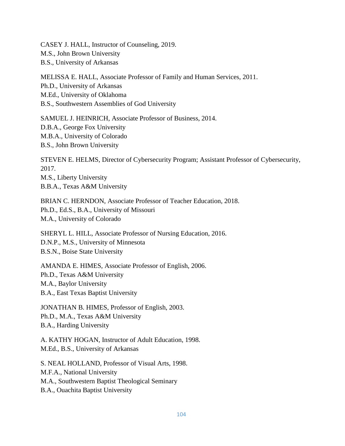CASEY J. HALL, Instructor of Counseling, 2019. M.S., John Brown University B.S., University of Arkansas

MELISSA E. HALL, Associate Professor of Family and Human Services, 2011. Ph.D., University of Arkansas M.Ed., University of Oklahoma B.S., Southwestern Assemblies of God University

SAMUEL J. HEINRICH, Associate Professor of Business, 2014. D.B.A., George Fox University M.B.A., University of Colorado B.S., John Brown University

STEVEN E. HELMS, Director of Cybersecurity Program; Assistant Professor of Cybersecurity, 2017. M.S., Liberty University B.B.A., Texas A&M University

BRIAN C. HERNDON, Associate Professor of Teacher Education, 2018. Ph.D., Ed.S., B.A., University of Missouri M.A., University of Colorado

SHERYL L. HILL, Associate Professor of Nursing Education, 2016. D.N.P., M.S., University of Minnesota B.S.N., Boise State University

AMANDA E. HIMES, Associate Professor of English, 2006. Ph.D., Texas A&M University M.A., Baylor University B.A., East Texas Baptist University

JONATHAN B. HIMES, Professor of English, 2003. Ph.D., M.A., Texas A&M University B.A., Harding University

A. KATHY HOGAN, Instructor of Adult Education, 1998. M.Ed., B.S., University of Arkansas

S. NEAL HOLLAND, Professor of Visual Arts, 1998. M.F.A., National University M.A., Southwestern Baptist Theological Seminary B.A., Ouachita Baptist University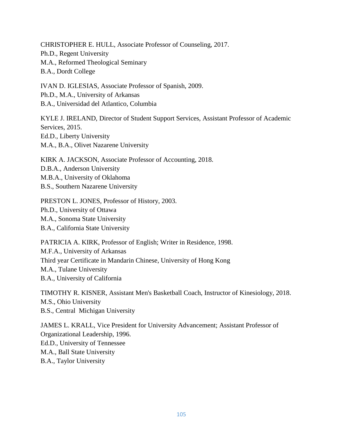CHRISTOPHER E. HULL, Associate Professor of Counseling, 2017. Ph.D., Regent University M.A., Reformed Theological Seminary B.A., Dordt College

IVAN D. IGLESIAS, Associate Professor of Spanish, 2009. Ph.D., M.A., University of Arkansas B.A., Universidad del Atlantico, Columbia

KYLE J. IRELAND, Director of Student Support Services, Assistant Professor of Academic Services, 2015. Ed.D., Liberty University M.A., B.A., Olivet Nazarene University

KIRK A. JACKSON, Associate Professor of Accounting, 2018. D.B.A., Anderson University M.B.A., University of Oklahoma B.S., Southern Nazarene University

PRESTON L. JONES, Professor of History, 2003. Ph.D., University of Ottawa M.A., Sonoma State University B.A., California State University

PATRICIA A. KIRK, Professor of English; Writer in Residence, 1998. M.F.A., University of Arkansas Third year Certificate in Mandarin Chinese, University of Hong Kong M.A., Tulane University B.A., University of California

TIMOTHY R. KISNER, Assistant Men's Basketball Coach, Instructor of Kinesiology, 2018. M.S., Ohio University B.S., Central Michigan University

JAMES L. KRALL, Vice President for University Advancement; Assistant Professor of Organizational Leadership, 1996. Ed.D., University of Tennessee M.A., Ball State University B.A., Taylor University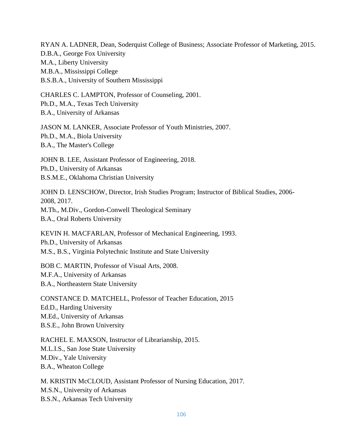RYAN A. LADNER, Dean, Soderquist College of Business; Associate Professor of Marketing, 2015. D.B.A., George Fox University M.A., Liberty University M.B.A., Mississippi College B.S.B.A., University of Southern Mississippi

CHARLES C. LAMPTON, Professor of Counseling, 2001. Ph.D., M.A., Texas Tech University B.A., University of Arkansas

JASON M. LANKER, Associate Professor of Youth Ministries, 2007. Ph.D., M.A., Biola University B.A., The Master's College

JOHN B. LEE, Assistant Professor of Engineering, 2018. Ph.D., University of Arkansas B.S.M.E., Oklahoma Christian University

JOHN D. LENSCHOW, Director, Irish Studies Program; Instructor of Biblical Studies, 2006- 2008, 2017. M.Th., M.Div., Gordon-Conwell Theological Seminary B.A., Oral Roberts University

KEVIN H. MACFARLAN, Professor of Mechanical Engineering, 1993. Ph.D., University of Arkansas M.S., B.S., Virginia Polytechnic Institute and State University

BOB C. MARTIN, Professor of Visual Arts, 2008. M.F.A., University of Arkansas B.A., Northeastern State University

CONSTANCE D. MATCHELL, Professor of Teacher Education, 2015 Ed.D., Harding University M.Ed., University of Arkansas B.S.E., John Brown University

RACHEL E. MAXSON, Instructor of Librarianship, 2015. M.L.I.S., San Jose State University M.Div., Yale University B.A., Wheaton College

M. KRISTIN McCLOUD, Assistant Professor of Nursing Education, 2017. M.S.N., University of Arkansas B.S.N., Arkansas Tech University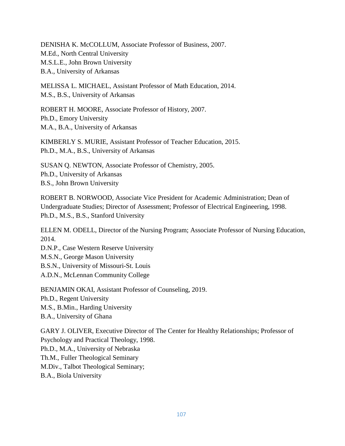DENISHA K. McCOLLUM, Associate Professor of Business, 2007. M.Ed., North Central University M.S.L.E., John Brown University B.A., University of Arkansas

MELISSA L. MICHAEL, Assistant Professor of Math Education, 2014. M.S., B.S., University of Arkansas

ROBERT H. MOORE, Associate Professor of History, 2007. Ph.D., Emory University M.A., B.A., University of Arkansas

KIMBERLY S. MURIE, Assistant Professor of Teacher Education, 2015. Ph.D., M.A., B.S., University of Arkansas

SUSAN Q. NEWTON, Associate Professor of Chemistry, 2005. Ph.D., University of Arkansas B.S., John Brown University

ROBERT B. NORWOOD, Associate Vice President for Academic Administration; Dean of Undergraduate Studies; Director of Assessment; Professor of Electrical Engineering, 1998. Ph.D., M.S., B.S., Stanford University

ELLEN M. ODELL, Director of the Nursing Program; Associate Professor of Nursing Education, 2014.

D.N.P., Case Western Reserve University M.S.N., George Mason University B.S.N., University of Missouri-St. Louis A.D.N., McLennan Community College

BENJAMIN OKAI, Assistant Professor of Counseling, 2019. Ph.D., Regent University M.S., B.Min., Harding University B.A., University of Ghana

GARY J. OLIVER, Executive Director of The Center for Healthy Relationships; Professor of Psychology and Practical Theology, 1998. Ph.D., M.A., University of Nebraska Th.M., Fuller Theological Seminary M.Div., Talbot Theological Seminary; B.A., Biola University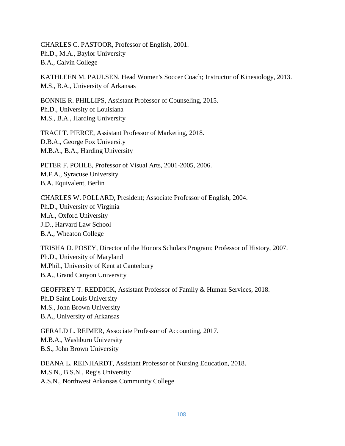CHARLES C. PASTOOR, Professor of English, 2001. Ph.D., M.A., Baylor University B.A., Calvin College

KATHLEEN M. PAULSEN, Head Women's Soccer Coach; Instructor of Kinesiology, 2013. M.S., B.A., University of Arkansas

BONNIE R. PHILLIPS, Assistant Professor of Counseling, 2015. Ph.D., University of Louisiana M.S., B.A., Harding University

TRACI T. PIERCE, Assistant Professor of Marketing, 2018. D.B.A., George Fox University M.B.A., B.A., Harding University

PETER F. POHLE, Professor of Visual Arts, 2001-2005, 2006. M.F.A., Syracuse University B.A. Equivalent, Berlin

CHARLES W. POLLARD, President; Associate Professor of English, 2004. Ph.D., University of Virginia M.A., Oxford University J.D., Harvard Law School B.A., Wheaton College

TRISHA D. POSEY, Director of the Honors Scholars Program; Professor of History, 2007. Ph.D., University of Maryland M.Phil., University of Kent at Canterbury B.A., Grand Canyon University

GEOFFREY T. REDDICK, Assistant Professor of Family & Human Services, 2018. Ph.D Saint Louis University M.S., John Brown University B.A., University of Arkansas

GERALD L. REIMER, Associate Professor of Accounting, 2017. M.B.A., Washburn University B.S., John Brown University

DEANA L. REINHARDT, Assistant Professor of Nursing Education, 2018. M.S.N., B.S.N., Regis University A.S.N., Northwest Arkansas Community College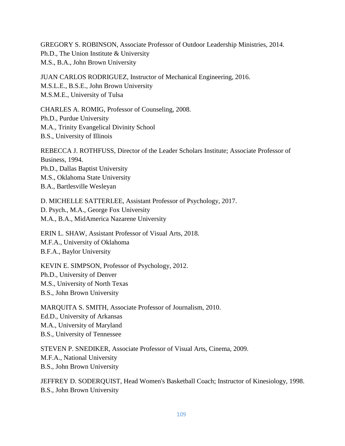GREGORY S. ROBINSON, Associate Professor of Outdoor Leadership Ministries, 2014. Ph.D., The Union Institute & University M.S., B.A., John Brown University

JUAN CARLOS RODRIGUEZ, Instructor of Mechanical Engineering, 2016. M.S.L.E., B.S.E., John Brown University M.S.M.E., University of Tulsa

CHARLES A. ROMIG, Professor of Counseling, 2008. Ph.D., Purdue University M.A., Trinity Evangelical Divinity School B.S., University of Illinois

REBECCA J. ROTHFUSS, Director of the Leader Scholars Institute; Associate Professor of Business, 1994. Ph.D., Dallas Baptist University M.S., Oklahoma State University B.A., Bartlesville Wesleyan

D. MICHELLE SATTERLEE, Assistant Professor of Psychology, 2017. D. Psych., M.A., George Fox University M.A., B.A., MidAmerica Nazarene University

ERIN L. SHAW, Assistant Professor of Visual Arts, 2018. M.F.A., University of Oklahoma B.F.A., Baylor University

KEVIN E. SIMPSON, Professor of Psychology, 2012. Ph.D., University of Denver M.S., University of North Texas B.S., John Brown University

MARQUITA S. SMITH, Associate Professor of Journalism, 2010. Ed.D., University of Arkansas M.A., University of Maryland B.S., University of Tennessee

STEVEN P. SNEDIKER, Associate Professor of Visual Arts, Cinema, 2009. M.F.A., National University B.S., John Brown University

JEFFREY D. SODERQUIST, Head Women's Basketball Coach; Instructor of Kinesiology, 1998. B.S., John Brown University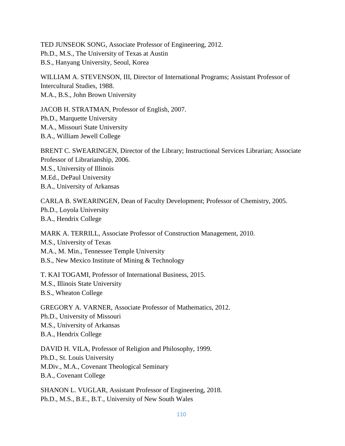TED JUNSEOK SONG, Associate Professor of Engineering, 2012. Ph.D., M.S., The University of Texas at Austin B.S., Hanyang University, Seoul, Korea

WILLIAM A. STEVENSON, III, Director of International Programs; Assistant Professor of Intercultural Studies, 1988. M.A., B.S., John Brown University

JACOB H. STRATMAN, Professor of English, 2007. Ph.D., Marquette University M.A., Missouri State University B.A., William Jewell College

BRENT C. SWEARINGEN, Director of the Library; Instructional Services Librarian; Associate Professor of Librarianship, 2006. M.S., University of Illinois M.Ed., DePaul University B.A., University of Arkansas

CARLA B. SWEARINGEN, Dean of Faculty Development; Professor of Chemistry, 2005. Ph.D., Loyola University B.A., Hendrix College

MARK A. TERRILL, Associate Professor of Construction Management, 2010. M.S., University of Texas M.A., M. Min., Tennessee Temple University B.S., New Mexico Institute of Mining & Technology

T. KAI TOGAMI, Professor of International Business, 2015. M.S., Illinois State University B.S., Wheaton College

GREGORY A. VARNER, Associate Professor of Mathematics, 2012. Ph.D., University of Missouri M.S., University of Arkansas B.A., Hendrix College

DAVID H. VILA, Professor of Religion and Philosophy, 1999. Ph.D., St. Louis University M.Div., M.A., Covenant Theological Seminary B.A., Covenant College

SHANON L. VUGLAR, Assistant Professor of Engineering, 2018. Ph.D., M.S., B.E., B.T., University of New South Wales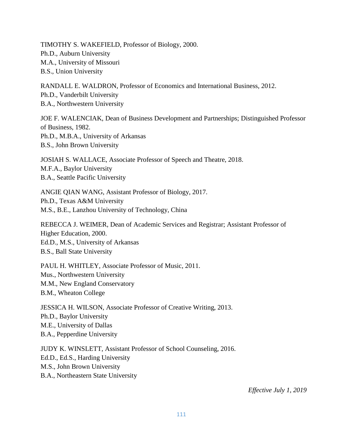TIMOTHY S. WAKEFIELD, Professor of Biology, 2000. Ph.D., Auburn University M.A., University of Missouri B.S., Union University

RANDALL E. WALDRON, Professor of Economics and International Business, 2012. Ph.D., Vanderbilt University B.A., Northwestern University

JOE F. WALENCIAK, Dean of Business Development and Partnerships; Distinguished Professor of Business, 1982. Ph.D., M.B.A., University of Arkansas B.S., John Brown University

JOSIAH S. WALLACE, Associate Professor of Speech and Theatre, 2018. M.F.A., Baylor University B.A., Seattle Pacific University

ANGIE QIAN WANG, Assistant Professor of Biology, 2017. Ph.D., Texas A&M University M.S., B.E., Lanzhou University of Technology, China

REBECCA J. WEIMER, Dean of Academic Services and Registrar; Assistant Professor of Higher Education, 2000. Ed.D., M.S., University of Arkansas B.S., Ball State University

PAUL H. WHITLEY, Associate Professor of Music, 2011. Mus., Northwestern University M.M., New England Conservatory B.M., Wheaton College

JESSICA H. WILSON, Associate Professor of Creative Writing, 2013. Ph.D., Baylor University M.E., University of Dallas B.A., Pepperdine University

JUDY K. WINSLETT, Assistant Professor of School Counseling, 2016. Ed.D., Ed.S., Harding University M.S., John Brown University B.A., Northeastern State University

*Effective July 1, 2019*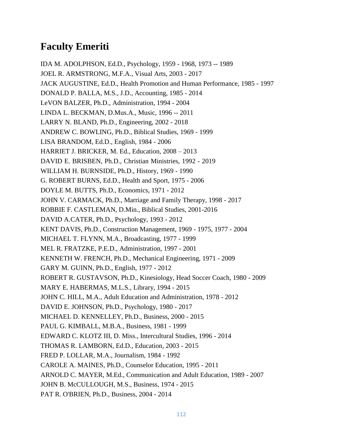## **Faculty Emeriti**

IDA M. ADOLPHSON, Ed.D., Psychology, 1959 - 1968, 1973 -- 1989 JOEL R. ARMSTRONG, M.F.A., Visual Arts, 2003 - 2017 JACK AUGUSTINE, Ed.D., Health Promotion and Human Performance, 1985 - 1997 DONALD P. BALLA, M.S., J.D., Accounting, 1985 - 2014 LeVON BALZER, Ph.D., Administration, 1994 - 2004 LINDA L. BECKMAN, D.Mus.A., Music, 1996 -- 2011 LARRY N. BLAND, Ph.D., Engineering, 2002 - 2018 ANDREW C. BOWLING, Ph.D., Biblical Studies, 1969 - 1999 LISA BRANDOM, Ed.D., English, 1984 - 2006 HARRIET J. BRICKER, M. Ed., Education, 2008 – 2013 DAVID E. BRISBEN, Ph.D., Christian Ministries, 1992 - 2019 WILLIAM H. BURNSIDE, Ph.D., History, 1969 - 1990 G. ROBERT BURNS, Ed.D., Health and Sport, 1975 - 2006 DOYLE M. BUTTS, Ph.D., Economics, 1971 - 2012 JOHN V. CARMACK, Ph.D., Marriage and Family Therapy, 1998 - 2017 ROBBIE F. CASTLEMAN, D.Min., Biblical Studies, 2001-2016 DAVID A.CATER, Ph.D., Psychology, 1993 - 2012 KENT DAVIS, Ph.D., Construction Management, 1969 - 1975, 1977 - 2004 MICHAEL T. FLYNN, M.A., Broadcasting, 1977 - 1999 MEL R. FRATZKE, P.E.D., Administration, 1997 - 2001 KENNETH W. FRENCH, Ph.D., Mechanical Engineering, 1971 - 2009 GARY M. GUINN, Ph.D., English, 1977 - 2012 ROBERT R. GUSTAVSON, Ph.D., Kinesiology, Head Soccer Coach, 1980 - 2009 MARY E. HABERMAS, M.L.S., Library, 1994 - 2015 JOHN C. HILL, M.A., Adult Education and Administration, 1978 - 2012 DAVID E. JOHNSON, Ph.D., Psychology, 1980 - 2017 MICHAEL D. KENNELLEY, Ph.D., Business, 2000 - 2015 PAUL G. KIMBALL, M.B.A., Business, 1981 - 1999 EDWARD C. KLOTZ III, D. Miss., Intercultural Studies, 1996 - 2014 THOMAS R. LAMBORN, Ed.D., Education, 2003 - 2015 FRED P. LOLLAR, M.A., Journalism, 1984 - 1992 CAROLE A. MAINES, Ph.D., Counselor Education, 1995 - 2011 ARNOLD C. MAYER, M.Ed., Communication and Adult Education, 1989 - 2007 JOHN B. McCULLOUGH, M.S., Business, 1974 - 2015

PAT R. O'BRIEN, Ph.D., Business, 2004 - 2014